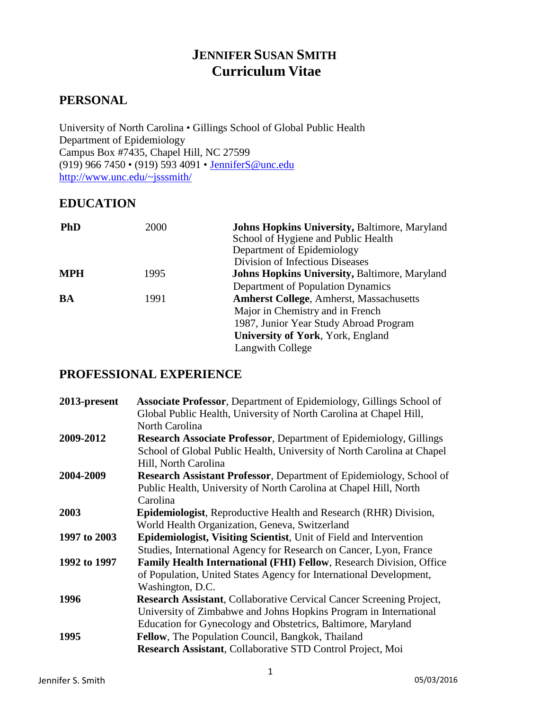# **JENNIFER SUSAN SMITH Curriculum Vitae**

# **PERSONAL**

University of North Carolina • Gillings School of Global Public Health Department of Epidemiology Campus Box #7435, Chapel Hill, NC 27599 (919) 966 7450 • (919) 593 4091 • [JenniferS@unc.edu](mailto:JenniferS@unc.edu) [http://www.unc.edu/~jsssmith/](http://www.unc.edu/%7Ejsssmith/)

# **EDUCATION**

| <b>PhD</b> | 2000 | <b>Johns Hopkins University, Baltimore, Maryland</b><br>School of Hygiene and Public Health<br>Department of Epidemiology<br>Division of Infectious Diseases |
|------------|------|--------------------------------------------------------------------------------------------------------------------------------------------------------------|
| <b>MPH</b> | 1995 | <b>Johns Hopkins University, Baltimore, Maryland</b>                                                                                                         |
|            |      | <b>Department of Population Dynamics</b>                                                                                                                     |
| BA         | 1991 | <b>Amherst College, Amherst, Massachusetts</b>                                                                                                               |
|            |      | Major in Chemistry and in French                                                                                                                             |
|            |      | 1987, Junior Year Study Abroad Program                                                                                                                       |
|            |      | <b>University of York, York, England</b>                                                                                                                     |
|            |      | Langwith College                                                                                                                                             |

# **PROFESSIONAL EXPERIENCE**

| 2013-present | <b>Associate Professor, Department of Epidemiology, Gillings School of</b><br>Global Public Health, University of North Carolina at Chapel Hill,<br>North Carolina                                               |
|--------------|------------------------------------------------------------------------------------------------------------------------------------------------------------------------------------------------------------------|
| 2009-2012    | <b>Research Associate Professor, Department of Epidemiology, Gillings</b><br>School of Global Public Health, University of North Carolina at Chapel<br>Hill, North Carolina                                      |
| 2004-2009    | <b>Research Assistant Professor, Department of Epidemiology, School of</b><br>Public Health, University of North Carolina at Chapel Hill, North<br>Carolina                                                      |
| 2003         | Epidemiologist, Reproductive Health and Research (RHR) Division,<br>World Health Organization, Geneva, Switzerland                                                                                               |
| 1997 to 2003 | <b>Epidemiologist, Visiting Scientist</b> , Unit of Field and Intervention<br>Studies, International Agency for Research on Cancer, Lyon, France                                                                 |
| 1992 to 1997 | Family Health International (FHI) Fellow, Research Division, Office<br>of Population, United States Agency for International Development,<br>Washington, D.C.                                                    |
| 1996         | <b>Research Assistant, Collaborative Cervical Cancer Screening Project,</b><br>University of Zimbabwe and Johns Hopkins Program in International<br>Education for Gynecology and Obstetrics, Baltimore, Maryland |
| 1995         | Fellow, The Population Council, Bangkok, Thailand<br>Research Assistant, Collaborative STD Control Project, Moi                                                                                                  |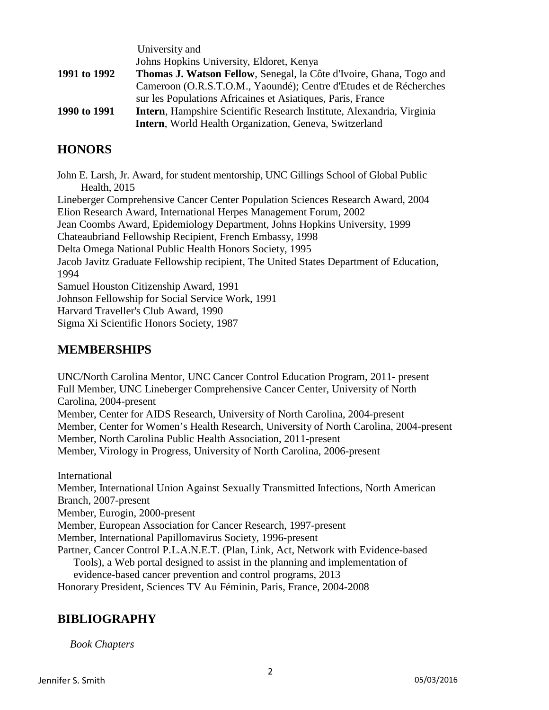|              | University and                                                                |
|--------------|-------------------------------------------------------------------------------|
|              | Johns Hopkins University, Eldoret, Kenya                                      |
| 1991 to 1992 | <b>Thomas J. Watson Fellow, Senegal, la Côte d'Ivoire, Ghana, Togo and</b>    |
|              | Cameroon (O.R.S.T.O.M., Yaoundé); Centre d'Etudes et de Récherches            |
|              | sur les Populations Africaines et Asiatiques, Paris, France                   |
| 1990 to 1991 | <b>Intern</b> , Hampshire Scientific Research Institute, Alexandria, Virginia |
|              | Intern, World Health Organization, Geneva, Switzerland                        |

# **HONORS**

John E. Larsh, Jr. Award, for student mentorship, UNC Gillings School of Global Public Health, 2015 Lineberger Comprehensive Cancer Center Population Sciences Research Award, 2004 Elion Research Award, International Herpes Management Forum, 2002 Jean Coombs Award, Epidemiology Department, Johns Hopkins University, 1999 Chateaubriand Fellowship Recipient, French Embassy, 1998 Delta Omega National Public Health Honors Society, 1995 Jacob Javitz Graduate Fellowship recipient, The United States Department of Education, 1994 Samuel Houston Citizenship Award, 1991 Johnson Fellowship for Social Service Work, 1991 Harvard Traveller's Club Award, 1990 Sigma Xi Scientific Honors Society, 1987

# **MEMBERSHIPS**

UNC/North Carolina Mentor, UNC Cancer Control Education Program, 2011- present Full Member, UNC Lineberger Comprehensive Cancer Center, University of North Carolina, 2004-present Member, Center for AIDS Research, University of North Carolina, 2004-present Member, Center for Women's Health Research, University of North Carolina, 2004-present Member, North Carolina Public Health Association, 2011-present Member, Virology in Progress, University of North Carolina, 2006-present

International

Member, International Union Against Sexually Transmitted Infections, North American Branch, 2007-present

Member, Eurogin, 2000-present

Member, European Association for Cancer Research, 1997-present

Member, International Papillomavirus Society, 1996-present

Partner, Cancer Control P.L.A.N.E.T. (Plan, Link, Act, Network with Evidence-based Tools), a Web portal designed to assist in the planning and implementation of evidence-based cancer prevention and control programs, 2013

Honorary President, Sciences TV Au Féminin, Paris, France, 2004-2008

# **BIBLIOGRAPHY**

*Book Chapters*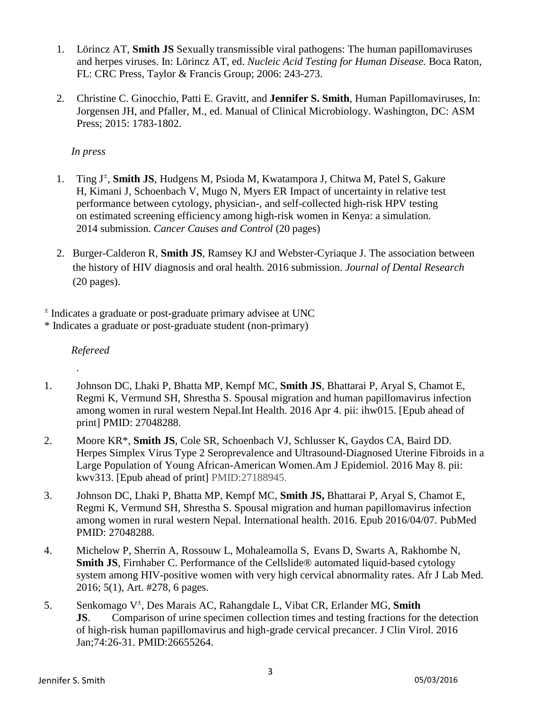- 1. Lörincz AT, **Smith JS** Sexually transmissible viral pathogens: The human papillomaviruses and herpes viruses. In: Lörincz AT, ed. *Nucleic Acid Testing for Human Disease.* Boca Raton, FL: CRC Press, Taylor & Francis Group; 2006: 243-273.
- 2. Christine C. Ginocchio, Patti E. Gravitt, and **Jennifer S. Smith**, Human Papillomaviruses, In: Jorgensen JH, and Pfaller, M., ed. Manual of Clinical Microbiology. Washington, DC: ASM Press; 2015: 1783-1802.

## *In press*

- 1. Ting J<sup>±</sup> , **Smith JS**, Hudgens M, Psioda M, Kwatampora J, Chitwa M, Patel S, Gakure H, Kimani J, Schoenbach V, Mugo N, Myers ER Impact of uncertainty in relative test performance between cytology, physician-, and self-collected high-risk HPV testing on estimated screening efficiency among high-risk women in Kenya: a simulation. 2014 submission. *Cancer Causes and Control* (20 pages)
- 2. Burger-Calderon R, **Smith JS**, Ramsey KJ and Webster-Cyriaque J. The association between the history of HIV diagnosis and oral health. 2016 submission. *Journal of Dental Research* (20 pages).

 $\pm$  Indicates a graduate or post-graduate primary advisee at UNC

\* Indicates a graduate or post-graduate student (non-primary)

 *Refereed*

.

- 1. Johnson DC, Lhaki P, Bhatta MP, Kempf MC, **Smith JS**, Bhattarai P, Aryal S, Chamot E, Regmi K, Vermund SH, Shrestha S. [Spousal migration and human papillomavirus infection](http://www.ncbi.nlm.nih.gov/pubmed/27048288)  [among women in rural western Nepal.I](http://www.ncbi.nlm.nih.gov/pubmed/27048288)nt Health. 2016 Apr 4. pii: ihw015. [Epub ahead of print] PMID: 27048288.
- 2. Moore KR\*, **Smith JS**, Cole SR, Schoenbach VJ, Schlusser K, Gaydos CA, Baird DD. [Herpes Simplex Virus Type 2 Seroprevalence and Ultrasound-Diagnosed Uterine Fibroids in a](http://www.ncbi.nlm.nih.gov/pubmed/27188945)  [Large Population of Young African-American Women.A](http://www.ncbi.nlm.nih.gov/pubmed/27188945)m J Epidemiol. 2016 May 8. pii: kwv313. [Epub ahead of print] PMID:27188945.
- 3. Johnson DC, Lhaki P, Bhatta MP, Kempf MC, **Smith JS,** Bhattarai P, Aryal S, Chamot E, Regmi K, Vermund SH, Shrestha S. Spousal migration and human papillomavirus infection among women in rural western Nepal. International health. 2016. Epub 2016/04/07. PubMed PMID: 27048288.
- 4. Michelow P, Sherrin A, Rossouw L, Mohaleamolla S, Evans D, Swarts A, Rakhombe N, **Smith JS**, Firnhaber C. Performance of the Cellslide<sup>®</sup> automated liquid-based cytology system among HIV-positive women with very high cervical abnormality rates. Afr J Lab Med. 2016; 5(1), Art. #278, 6 pages.
- 5. Senkomago V± , Des Marais AC, Rahangdale L, Vibat CR, Erlander MG, **Smith JS**. [Comparison of urine specimen collection times and testing fractions for the detection](http://www.ncbi.nlm.nih.gov/pubmed/26655264)  [of high-risk human papillomavirus and high-grade cervical precancer.](http://www.ncbi.nlm.nih.gov/pubmed/26655264) J Clin Virol. 2016 Jan;74:26-31. PMID:26655264.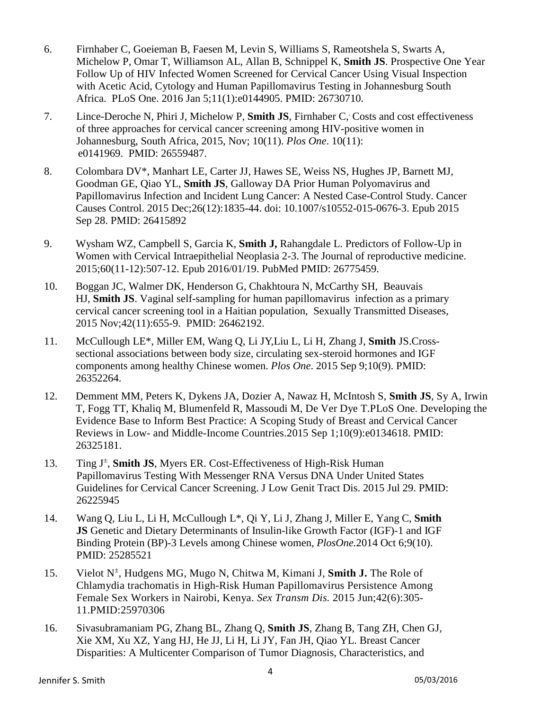- 6. Firnhaber C, Goeieman B, Faesen M, Levin S, Williams S, Rameotshela S, Swarts A, Michelow P, Omar T, Williamson AL, Allan B, Schnippel K, **Smith JS**. [Prospective One Year](http://www.ncbi.nlm.nih.gov/pubmed/26730710)  [Follow Up of HIV Infected Women Screened for Cervical Cancer Using Visual Inspection](http://www.ncbi.nlm.nih.gov/pubmed/26730710)  [with Acetic Acid, Cytology and Human Papillomavirus Testing in Johannesburg South](http://www.ncbi.nlm.nih.gov/pubmed/26730710)  [Africa.](http://www.ncbi.nlm.nih.gov/pubmed/26730710) PLoS One. 2016 Jan 5;11(1):e0144905. PMID: 26730710.
- 7. Lince-Deroche N, Phiri J, Michelow P, **Smith JS**, Firnhaber C, . Costs and cost effectiveness of three approaches for cervical cancer screening among HIV-positive women in Johannesburg, South Africa, 2015, Nov; 10(11). *Plos One*. 10(11): e0141969. PMID: 26559487.
- 8. Colombara DV\*, Manhart LE, Carter JJ, Hawes SE, Weiss NS, Hughes JP, Barnett MJ, Goodman GE, Qiao YL, **Smith JS**, Galloway DA Prior Human Polyomavirus and Papillomavirus Infection and Incident Lung Cancer: A Nested Case-Control Study. Cancer Causes Control. 2015 Dec;26(12):1835-44. doi: 10.1007/s10552-015-0676-3. Epub 2015 Sep 28. PMID: 26415892
- 9. Wysham WZ, Campbell S, Garcia K, **Smith J,** Rahangdale L. Predictors of Follow-Up in Women with Cervical Intraepithelial Neoplasia 2-3. The Journal of reproductive medicine. 2015;60(11-12):507-12. Epub 2016/01/19. PubMed PMID: 26775459.
- 10. [Boggan](http://www.pubfacts.com/author/Joel+C+Boggan) JC, [Walmer](http://www.pubfacts.com/author/David+K+Walmer) DK, [Henderson](http://www.pubfacts.com/author/Gregory+Henderson) G, [Chakhtoura](http://www.pubfacts.com/author/Nahida+Chakhtoura) N, [McCarthy](http://www.pubfacts.com/author/Schatzi+H+McCarthy) SH, [Beauvais](http://www.pubfacts.com/author/Harry+J+Beauvais) HJ, **[Smith](http://www.pubfacts.com/author/Jennifer+S+Smith) JS**. Vaginal self-sampling for human papillomavirus infection as a primary cervical cancer screening tool in a Haitian population, Sexually Transmitted Diseases, 2015 Nov;42(11):655-9. PMID: 26462192.
- 11. McCullough LE\*, Miller EM, Wang Q, Li JY,Liu L, Li H, Zhang J, **Smith** JS.Crosssectional associations between body size, circulating sex-steroid hormones and IGF components among healthy Chinese women. *Plos One*. 2015 Sep 9;10(9). PMID: 26352264.
- 12. Demment MM, Peters K, Dykens JA, Dozier A, Nawaz H, McIntosh S, **Smith JS**, Sy A, Irwin T, Fogg TT, Khaliq M, Blumenfeld R, Massoudi M, De Ver Dye T.PLoS One. Developing the Evidence Base to Inform Best Practice: A Scoping Study of Breast and Cervical Cancer Reviews in Low- and Middle-Income Countries.2015 Sep 1;10(9):e0134618. PMID: 26325181.
- 13. Ting J<sup>±</sup>, **Smith JS**, Myers ER. Cost-Effectiveness of High-Risk Human [Papillomavirus Testing With Messenger RNA Versus DNA Under United States](http://www.ncbi.nlm.nih.gov/pubmed/26225945)  [Guidelines for Cervical Cancer Screening.](http://www.ncbi.nlm.nih.gov/pubmed/26225945) J Low Genit Tract Dis. 2015 Jul 29. PMID: 26225945
- 14. Wang Q, Liu L, Li H, McCullough L\*, Qi Y, Li J, Zhang J, Miller E, Yang C, **Smith JS** Genetic and Dietary Determinants of Insulin-like Growth Factor (IGF)-1 and IGF Binding Protein (BP)-3 Levels among Chinese women, *PlosOne.*2014 Oct 6;9(10). PMID: 25285521
- 15. Vielot N<sup>±</sup>, Hudgens MG, Mugo N, Chitwa M, Kimani J, Smith J. The Role of Chlamydia trachomatis in High-Risk Human Papillomavirus Persistence Among Female Sex Workers in Nairobi, Kenya. *Sex Transm Dis.* 2015 Jun;42(6):305- 11.PMID:25970306
- 16. Sivasubramaniam PG, Zhang BL, Zhang Q, **Smith JS**, Zhang B, Tang ZH, Chen GJ, Xie XM, Xu XZ, Yang HJ, He JJ, Li H, Li JY, Fan JH, Qiao YL. [Breast Cancer](http://www.ncbi.nlm.nih.gov/pubmed/26240131)  [Disparities: A Multicenter Comparison of Tumor Diagnosis, Characteristics, and](http://www.ncbi.nlm.nih.gov/pubmed/26240131)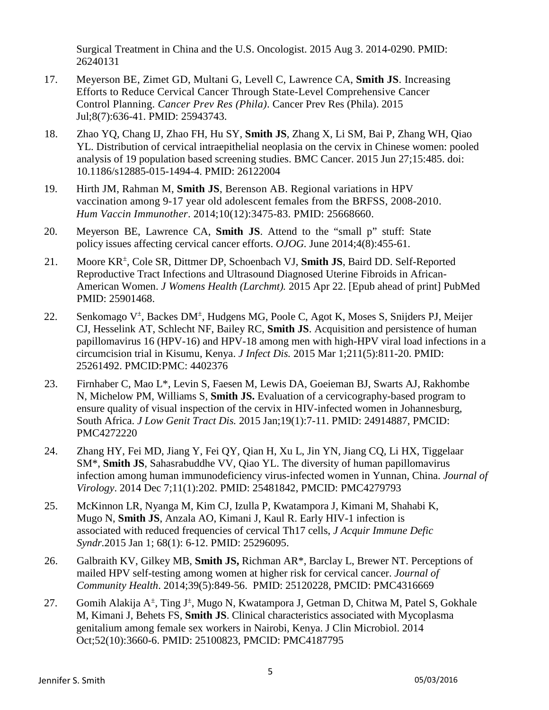[Surgical Treatment in China and the U.S.](http://www.ncbi.nlm.nih.gov/pubmed/26240131) Oncologist. 2015 Aug 3. 2014-0290. PMID: 26240131

- 17. Meyerson BE, Zimet GD, Multani G, Levell C, Lawrence CA, **Smith JS**. [Increasing](http://www.ncbi.nlm.nih.gov/pubmed/25943743)  [Efforts to Reduce Cervical Cancer Through State-Level Comprehensive Cancer](http://www.ncbi.nlm.nih.gov/pubmed/25943743)  [Control Planning.](http://www.ncbi.nlm.nih.gov/pubmed/25943743) *Cancer Prev Res (Phila)*. Cancer Prev Res (Phila). 2015 Jul;8(7):636-41. PMID: 25943743.
- 18. Zhao YQ, Chang IJ, Zhao FH, Hu SY, **Smith JS**, Zhang X, Li SM, Bai P, Zhang WH, Qiao YL. [Distribution of cervical intraepithelial neoplasia on the cervix in Chinese women: pooled](http://www.ncbi.nlm.nih.gov/pubmed/26122004)  [analysis of 19 population](http://www.ncbi.nlm.nih.gov/pubmed/26122004) based screening studies. BMC Cancer. 2015 Jun 27;15:485. doi: 10.1186/s12885-015-1494-4. PMID: 26122004
- 19. Hirth JM, Rahman M, **Smith JS**, Berenson AB. Regional variations in HPV vaccination among 9-17 year old adolescent females from the BRFSS, 2008-2010. *Hum Vaccin Immunother*. 2014;10(12):3475-83. PMID: 25668660.
- 20. Meyerson BE, Lawrence CA, **Smith JS**. Attend to the "small p" stuff: State policy issues affecting cervical cancer efforts. *OJOG.* June 2014;4(8):455-61.
- 21. Moore KR<sup>±</sup> , Cole SR, Dittmer DP, Schoenbach VJ, **Smith JS**, Baird DD. Self-Reported Reproductive Tract Infections and Ultrasound Diagnosed Uterine Fibroids in African-American Women. *J Womens Health (Larchmt).* 2015 Apr 22. [Epub ahead of print] PubMed PMID: 25901468.
- 22. Senkomago V<sup>±</sup>, [Backes DM](http://www.ncbi.nlm.nih.gov/pubmed/?term=Backes%20DM%5BAuthor%5D&cauthor=true&cauthor_uid=25261492)<sup>±</sup>, [Hudgens MG,](http://www.ncbi.nlm.nih.gov/pubmed/?term=Hudgens%20MG%5BAuthor%5D&cauthor=true&cauthor_uid=25261492) Poole C, [Agot K,](http://www.ncbi.nlm.nih.gov/pubmed/?term=Agot%20K%5BAuthor%5D&cauthor=true&cauthor_uid=25261492) [Moses S,](http://www.ncbi.nlm.nih.gov/pubmed/?term=Moses%20S%5BAuthor%5D&cauthor=true&cauthor_uid=25261492) [Snijders PJ,](http://www.ncbi.nlm.nih.gov/pubmed/?term=Snijders%20PJ%5BAuthor%5D&cauthor=true&cauthor_uid=25261492) Meijer [CJ,](http://www.ncbi.nlm.nih.gov/pubmed/?term=Meijer%20CJ%5BAuthor%5D&cauthor=true&cauthor_uid=25261492) [Hesselink AT,](http://www.ncbi.nlm.nih.gov/pubmed/?term=Hesselink%20AT%5BAuthor%5D&cauthor=true&cauthor_uid=25261492) Schlecht NF, [Bailey RC,](http://www.ncbi.nlm.nih.gov/pubmed/?term=Bailey%20RC%5BAuthor%5D&cauthor=true&cauthor_uid=25261492) **[Smith JS](http://www.ncbi.nlm.nih.gov/pubmed/?term=Smith%20JS%5BAuthor%5D&cauthor=true&cauthor_uid=25261492)**. Acquisition and persistence of human papillomavirus 16 (HPV-16) and HPV-18 among men with high-HPV viral load infections in a circumcision trial in Kisumu, Kenya. *[J Infect Dis.](http://www.ncbi.nlm.nih.gov/pubmed/25261492)* 2015 Mar 1;211(5):811-20. PMID: 25261492. PMCID:PMC: 4402376
- 23. [Firnhaber C,](http://www.ncbi.nlm.nih.gov/pubmed/?term=Firnhaber%20C%5BAuthor%5D&cauthor=true&cauthor_uid=24914887) [Mao L\\*](http://www.ncbi.nlm.nih.gov/pubmed/?term=Mao%20L%5BAuthor%5D&cauthor=true&cauthor_uid=24914887), [Levin S,](http://www.ncbi.nlm.nih.gov/pubmed/?term=Levin%20S%5BAuthor%5D&cauthor=true&cauthor_uid=24914887) [Faesen](http://www.ncbi.nlm.nih.gov/pubmed/?term=Faesen%20M%5BAuthor%5D&cauthor=true&cauthor_uid=24914887) M, [Lewis DA,](http://www.ncbi.nlm.nih.gov/pubmed/?term=Lewis%20DA%5BAuthor%5D&cauthor=true&cauthor_uid=24914887) [Goeieman BJ,](http://www.ncbi.nlm.nih.gov/pubmed/?term=Goeieman%20BJ%5BAuthor%5D&cauthor=true&cauthor_uid=24914887) [Swarts AJ,](http://www.ncbi.nlm.nih.gov/pubmed/?term=Swarts%20AJ%5BAuthor%5D&cauthor=true&cauthor_uid=24914887) [Rakhombe](http://www.ncbi.nlm.nih.gov/pubmed/?term=Rakhombe%20N%5BAuthor%5D&cauthor=true&cauthor_uid=24914887)  [N,](http://www.ncbi.nlm.nih.gov/pubmed/?term=Rakhombe%20N%5BAuthor%5D&cauthor=true&cauthor_uid=24914887) [Michelow PM,](http://www.ncbi.nlm.nih.gov/pubmed/?term=Michelow%20PM%5BAuthor%5D&cauthor=true&cauthor_uid=24914887) [Williams S,](http://www.ncbi.nlm.nih.gov/pubmed/?term=Williams%20S%5BAuthor%5D&cauthor=true&cauthor_uid=24914887) **Smith JS.** Evaluation of a cervicography-based program to ensure quality of visual inspection of the cervix in HIV-infected women in Johannesburg, South Africa. *J Low Genit Tract Dis.* 2015 Jan;19(1):7-11. PMID: 24914887, PMCID: PMC4272220
- 24. [Zhang HY,](http://www.ncbi.nlm.nih.gov/pubmed/?term=Zhang%20HY%5BAuthor%5D&cauthor=true&cauthor_uid=25481842) [Fei MD,](http://www.ncbi.nlm.nih.gov/pubmed/?term=Fei%20MD%5BAuthor%5D&cauthor=true&cauthor_uid=25481842) [Jiang Y,](http://www.ncbi.nlm.nih.gov/pubmed/?term=Jiang%20Y%5BAuthor%5D&cauthor=true&cauthor_uid=25481842) [Fei QY,](http://www.ncbi.nlm.nih.gov/pubmed/?term=Fei%20QY%5BAuthor%5D&cauthor=true&cauthor_uid=25481842) [Qian H,](http://www.ncbi.nlm.nih.gov/pubmed/?term=Qian%20H%5BAuthor%5D&cauthor=true&cauthor_uid=25481842) [Xu L,](http://www.ncbi.nlm.nih.gov/pubmed/?term=Xu%20L%5BAuthor%5D&cauthor=true&cauthor_uid=25481842) [Jin YN,](http://www.ncbi.nlm.nih.gov/pubmed/?term=Jin%20YN%5BAuthor%5D&cauthor=true&cauthor_uid=25481842) [Jiang CQ,](http://www.ncbi.nlm.nih.gov/pubmed/?term=Jiang%20CQ%5BAuthor%5D&cauthor=true&cauthor_uid=25481842) [Li HX,](http://www.ncbi.nlm.nih.gov/pubmed/?term=Li%20HX%5BAuthor%5D&cauthor=true&cauthor_uid=25481842) [Tiggelaar](http://www.ncbi.nlm.nih.gov/pubmed/?term=Tiggelaar%20SM%5BAuthor%5D&cauthor=true&cauthor_uid=25481842)  [SM\\*](http://www.ncbi.nlm.nih.gov/pubmed/?term=Tiggelaar%20SM%5BAuthor%5D&cauthor=true&cauthor_uid=25481842), **[Smith JS](http://www.ncbi.nlm.nih.gov/pubmed/?term=Smith%20JS%5BAuthor%5D&cauthor=true&cauthor_uid=25481842)**, Sahasrabuddhe VV, [Qiao YL.](http://www.ncbi.nlm.nih.gov/pubmed/?term=Qiao%20YL%5BAuthor%5D&cauthor=true&cauthor_uid=25481842) The diversity of human papillomavirus infection among human immunodeficiency virus-infected women in Yunnan, China. *Journal of Virology*. 2014 Dec 7;11(1):202. PMID: 25481842, PMCID: PMC4279793
- 25. McKinnon LR, Nyanga M, Kim CJ, Izulla P, Kwatampora J, Kimani M, Shahabi K, Mugo N, **Smith JS**, Anzala AO, Kimani J, Kaul R. Early HIV-1 infection is associated with reduced frequencies of cervical Th17 cells, *J Acquir Immune Defic Syndr.*2015 Jan 1; 68(1): 6-12. PMID: 25296095.
- 26. Galbraith KV, Gilkey MB, **Smith JS,** Richman AR\*, Barclay L, Brewer NT. Perceptions of mailed HPV self-testing among women at higher risk for cervical cancer. *Journal of Community Health*. 2014;39(5):849-56. PMID: 25120228, PMCID: PMC4316669
- 27. Gomih Alakija A<sup>±</sup>, Ting J<sup>±</sup>, Mugo N, Kwatampora J, Getman D, Chitwa M, Patel S, Gokhale M, Kimani J, Behets FS, **Smith JS**. Clinical characteristics associated with Mycoplasma genitalium among female sex workers in Nairobi, Kenya. J Clin Microbiol. 2014 Oct;52(10):3660-6. PMID: 25100823, PMCID: PMC4187795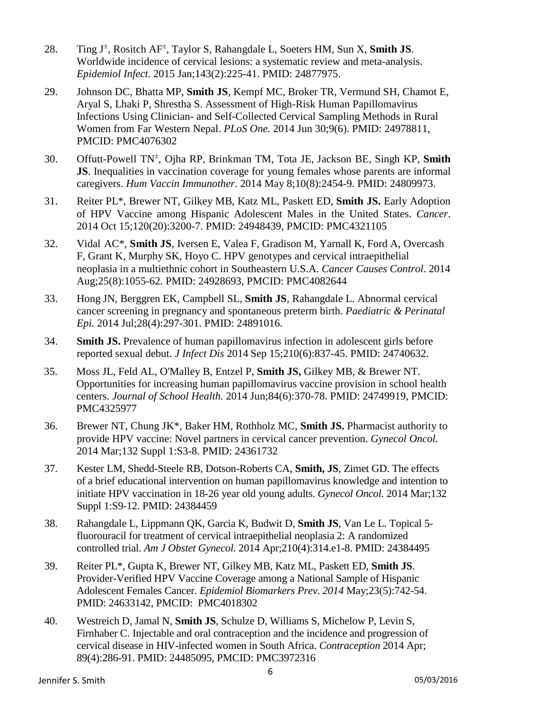- 28. Ting J<sup>±</sup> , Rositch AF± , Taylor S, Rahangdale L, Soeters HM, Sun X, **Smith JS**. Worldwide incidence of cervical lesions: a systematic review and meta-analysis. *Epidemiol Infect*. 2015 Jan;143(2):225-41. PMID: 24877975.
- 29. Johnson DC, Bhatta MP, **Smith JS**, Kempf MC, Broker TR, Vermund SH, Chamot E, Aryal S, Lhaki P, Shrestha S. Assessment of High-Risk Human Papillomavirus Infections Using Clinician- and Self-Collected Cervical Sampling Methods in Rural Women from Far Western Nepal. *PLoS One.* 2014 Jun 30;9(6). PMID: 24978811, PMCID: PMC4076302
- 30. Offutt-Powell TN± , Ojha RP, Brinkman TM, Tota JE, Jackson BE, Singh KP, **Smith JS**. Inequalities in vaccination coverage for young females whose parents are informal caregivers. *Hum Vaccin Immunother*. 2014 May 8;10(8):2454-9. PMID: 24809973.
- 31. Reiter PL\*, Brewer NT, Gilkey MB, Katz ML, Paskett ED, **Smith JS.** Early Adoption of HPV Vaccine among Hispanic Adolescent Males in the United States. *Cancer*. 2014 Oct 15;120(20):3200-7. PMID: 24948439, PMCID: PMC4321105
- 32. Vidal AC\*, **Smith JS**, Iversen E, Valea F, Gradison M, Yarnall K, Ford A, Overcash F, Grant K, Murphy SK, Hoyo C. HPV genotypes and cervical intraepithelial neoplasia in a multiethnic cohort in Southeastern U.S.A. *Cancer Causes Control*. 2014 Aug;25(8):1055-62. PMID: 24928693, PMCID: PMC4082644
- 33. Hong JN, Berggren EK, Campbell SL, **Smith JS**, Rahangdale L. Abnormal cervical cancer screening in pregnancy and spontaneous preterm birth. *Paediatric & Perinatal Epi.* 2014 Jul;28(4):297-301. PMID: 24891016.
- 34. **Smith JS.** Prevalence of human papillomavirus infection in adolescent girls before reported sexual debut. *J Infect Dis* 2014 Sep 15;210(6):837-45. PMID: 24740632.
- 35. Moss JL, Feld AL, O'Malley B, Entzel P, **Smith JS,** Gilkey MB, & Brewer NT. Opportunities for increasing human papillomavirus vaccine provision in school health centers. *Journal of School Health.* 2014 Jun;84(6):370-78. PMID: 24749919, PMCID: PMC4325977
- 36. Brewer NT, Chung JK\*, Baker HM, Rothholz MC, **Smith JS.** Pharmacist authority to provide HPV vaccine: Novel partners in cervical cancer prevention. *Gynecol Oncol.* 2014 Mar;132 Suppl 1:S3-8. PMID: 24361732
- 37. Kester LM, Shedd-Steele RB, Dotson-Roberts CA, **Smith, JS**, Zimet GD. The effects of a brief educational intervention on human papillomavirus knowledge and intention to initiate HPV vaccination in 18-26 year old young adults. *Gynecol Oncol.* 2014 Mar;132 Suppl 1:S9-12. PMID: 24384459
- 38. Rahangdale L, Lippmann QK, Garcia K, Budwit D, **Smith JS**, Van Le L. Topical 5 fluorouracil for treatment of cervical intraepithelial neoplasia 2: A randomized controlled trial. *Am J Obstet Gynecol.* 2014 Apr;210(4):314.e1-8. PMID: 24384495
- 39. Reiter PL\*, Gupta K, Brewer NT, Gilkey MB, Katz ML, Paskett ED, **Smith JS**. Provider-Verified HPV Vaccine Coverage among a National Sample of Hispanic Adolescent Females Cancer. *Epidemiol Biomarkers Prev*. *2014* May;23(5):742-54. PMID: 24633142, PMCID: PMC4018302
- 40. Westreich D, Jamal N, **Smith JS**, Schulze D, Williams S, Michelow P, Levin S, Firnhaber C. Injectable and oral contraception and the incidence and progression of cervical disease in HIV-infected women in South Africa. *Contraception* 2014 Apr; 89(4):286-91. PMID: 24485095, PMCID: PMC3972316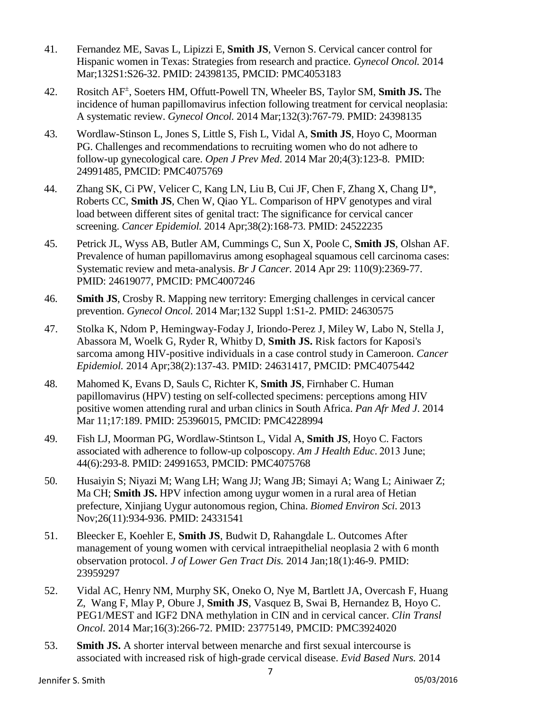- 41. Fernandez ME, Savas L, Lipizzi E, **Smith JS**, Vernon S. Cervical cancer control for Hispanic women in Texas: Strategies from research and practice. *Gynecol Oncol.* 2014 Mar;132S1:S26-32. PMID: 24398135, PMCID: PMC4053183
- 42. Rositch AF± , Soeters HM, Offutt-Powell TN, Wheeler BS, Taylor SM, **Smith JS.** The incidence of human papillomavirus infection following treatment for cervical neoplasia: A systematic review. *Gynecol Oncol.* 2014 Mar;132(3):767-79. PMID: 24398135
- 43. Wordlaw-Stinson L, Jones S, Little S, Fish L, Vidal A, **Smith JS**, Hoyo C, Moorman PG. Challenges and recommendations to recruiting women who do not adhere to follow-up gynecological care. *Open J Prev Med*. 2014 Mar 20;4(3):123[-8.](http://dx.doi.org/10.4236/ojpm.2014.43017) PMID: 24991485, PMCID: PMC4075769
- 44. Zhang SK, Ci PW, Velicer C, Kang LN, Liu B, Cui JF, Chen F, Zhang X, Chang IJ\*, Roberts CC, **Smith JS**, Chen W, Qiao YL. Comparison of HPV genotypes and viral load between different sites of genital tract: The significance for cervical cancer screening. *Cancer Epidemiol.* 2014 Apr;38(2):168-73. PMID: 24522235
- 45. Petrick JL, Wyss AB, Butler AM, Cummings C, Sun X, Poole C, **Smith JS**, Olshan AF. Prevalence of human papillomavirus among esophageal squamous cell carcinoma cases: Systematic review and meta-analysis. *Br J Cancer.* 2014 Apr 29: 110(9):2369-77. PMID: 24619077, PMCID: PMC4007246
- 46. **Smith JS**, Crosby R. Mapping new territory: Emerging challenges in cervical cancer prevention. *Gynecol Oncol.* 2014 Mar;132 Suppl 1:S1-2. PMID: 24630575
- 47. Stolka K, Ndom P, Hemingway-Foday J, Iriondo-Perez J, Miley W, Labo N, Stella J, Abassora M, Woelk G, Ryder R, Whitby D, **Smith JS.** Risk factors for Kaposi's sarcoma among HIV-positive individuals in a case control study in Cameroon. *Cancer Epidemiol.* 2014 Apr;38(2):137-43. PMID: 24631417, PMCID: PMC4075442
- 48. Mahomed K, Evans D, Sauls C, Richter K, **Smith JS**, Firnhaber C. [Human](http://www.panafrican-med-journal.com/content/article/17/189/full)  [papillomavirus](http://www.panafrican-med-journal.com/content/article/17/189/full) [\(HPV\) testing on self-collected specimens: perceptions among HIV](http://www.panafrican-med-journal.com/content/article/17/189/full)  [positive women](http://www.panafrican-med-journal.com/content/article/17/189/full) [attending rural and urban clinics in South Africa.](http://www.panafrican-med-journal.com/content/article/17/189/full) *Pan Afr Med J*. 2014 Mar 11;17:189. PMID: 25396015, PMCID: PMC4228994
- 49. Fish LJ, Moorman PG, Wordlaw-Stintson L, Vidal A, **Smith JS**, Hoyo C. Factors associated with adherence to follow-up colposcopy. *Am J Health Educ*. 2013 June; 44(6):293-8. PMID: 24991653, PMCID: PMC4075768
- 50. Husaiyin S; Niyazi M; Wang LH; Wang JJ; Wang JB; Simayi A; Wang L; Ainiwaer Z; Ma CH; **Smith JS.** HPV infection among uygur women in a rural area of Hetian prefecture, Xinjiang Uygur autonomous region, China. *Biomed Environ Sci.* 2013 Nov;26(11):934-936. PMID: 24331541
- 51. Bleecker E, Koehler E, **Smith JS**, Budwit D, Rahangdale L. Outcomes After management of young women with cervical intraepithelial neoplasia 2 with 6 month observation protocol. *J of Lower Gen Tract Dis.* 2014 Jan;18(1):46-9. PMID: 23959297
- 52. Vidal AC, Henry NM, Murphy SK, Oneko O, Nye M, Bartlett JA, Overcash F, Huang Z, Wang F, Mlay P, Obure J, **Smith JS**, Vasquez B, Swai B, Hernandez B, Hoyo C. PEG1/MEST and IGF2 DNA methylation in CIN and in cervical cancer. *Clin Transl Oncol.* 2014 Mar;16(3):266-72. PMID: 23775149, PMCID: PMC3924020
- 53. **Smith JS.** A shorter interval between menarche and first sexual intercourse is associated with increased risk of high-grade cervical disease. *Evid Based Nurs.* 2014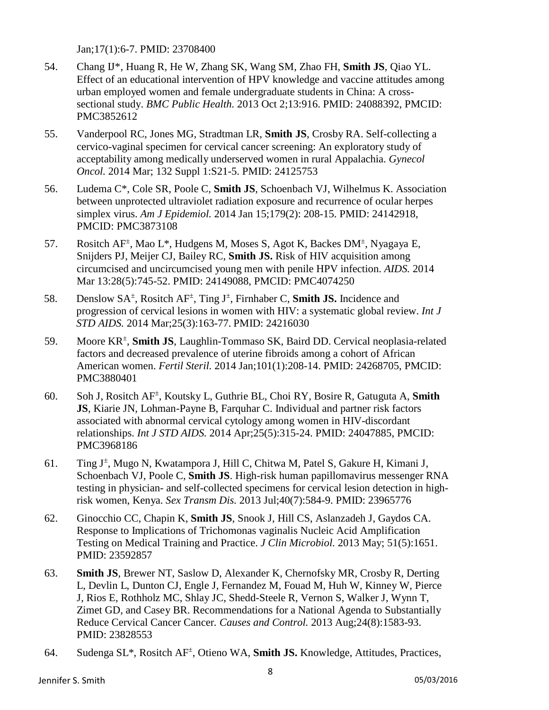Jan;17(1):6-7. PMID: 23708400

- 54. Chang IJ\*, Huang R, He W, Zhang SK, Wang SM, Zhao FH, **Smith JS**, Qiao YL. Effect of an educational intervention of HPV knowledge and vaccine attitudes among urban employed women and female undergraduate students in China: A crosssectional study. *BMC Public Health.* 2013 Oct 2;13:916. PMID: 24088392, PMCID: PMC3852612
- 55. Vanderpool RC, Jones MG, Stradtman LR, **Smith JS**, Crosby RA. Self-collecting a cervico-vaginal specimen for cervical cancer screening: An exploratory study of acceptability among medically underserved women in rural Appalachia. *Gynecol Oncol.* 2014 Mar; 132 Suppl 1:S21-5. PMID: 24125753
- 56. Ludema C\*, Cole SR, Poole C, **Smith JS**, Schoenbach VJ, Wilhelmus K. Association between unprotected ultraviolet radiation exposure and recurrence of ocular herpes simplex virus. *Am J Epidemiol.* 2014 Jan 15;179(2): 208-15. PMID: 24142918, PMCID: PMC3873108
- 57. Rositch AF<sup>±</sup>, Mao L<sup>\*</sup>, Hudgens M, Moses S, Agot K, Backes DM<sup>±</sup>, Nyagaya E, Snijders PJ, Meijer CJ, Bailey RC, **Smith JS.** Risk of HIV acquisition among circumcised and uncircumcised young men with penile HPV infection. *AIDS.* 2014 Mar 13:28(5):745-52. PMID: 24149088, PMCID: PMC4074250
- 58. Denslow SA± , Rositch AF± , Ting J<sup>±</sup> , Firnhaber C, **Smith JS.** Incidence and progression of cervical lesions in women with HIV: a systematic global review. *Int J STD AIDS.* 2014 Mar;25(3):163-77. PMID: 24216030
- 59. Moore KR<sup>±</sup> , **Smith JS**, Laughlin-Tommaso SK, Baird DD. Cervical neoplasia-related factors and decreased prevalence of uterine fibroids among a cohort of African American women. *Fertil Steril.* 2014 Jan;101(1):208-14. PMID: 24268705, PMCID: PMC3880401
- 60. Soh J, Rositch AF± , Koutsky L, Guthrie BL, Choi RY, Bosire R, Gatuguta A, **Smith JS**, Kiarie JN, Lohman-Payne B, Farquhar C. Individual and partner risk factors associated with abnormal cervical cytology among women in HIV-discordant relationships. *Int J STD AIDS.* 2014 Apr;25(5):315-24. PMID: 24047885, PMCID: PMC3968186
- 61. Ting J<sup>±</sup> , Mugo N, Kwatampora J, Hill C, Chitwa M, Patel S, Gakure H, Kimani J, Schoenbach VJ, Poole C, **Smith JS**. High-risk human papillomavirus messenger RNA testing in physician- and self-collected specimens for cervical lesion detection in highrisk women, Kenya. *Sex Transm Dis.* 2013 Jul;40(7):584-9. PMID: 23965776
- 62. Ginocchio CC, Chapin K, **Smith JS**, Snook J, Hill CS, Aslanzadeh J, Gaydos CA. Response to Implications of Trichomonas vaginalis Nucleic Acid Amplification Testing on Medical Training and Practice. *J Clin Microbiol.* 2013 May; 51(5):1651. PMID: 23592857
- 63. **Smith JS**, Brewer NT, Saslow D, Alexander K, Chernofsky MR, Crosby R, Derting L, Devlin L, Dunton CJ, Engle J, Fernandez M, Fouad M, Huh W, Kinney W, Pierce J, Rios E, Rothholz MC, Shlay JC, Shedd-Steele R, Vernon S, Walker J, Wynn T, Zimet GD, and Casey BR. Recommendations for a National Agenda to Substantially Reduce Cervical Cancer Cancer*. Causes and Control.* 2013 Aug;24(8):1583-93. PMID: 23828553
- 64. Sudenga SL\*, Rositch AF± , Otieno WA, **Smith JS.** Knowledge, Attitudes, Practices,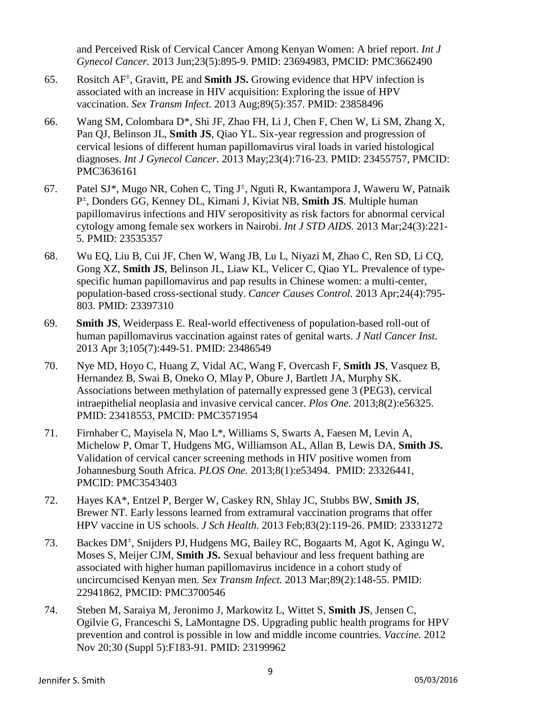and Perceived Risk of Cervical Cancer Among Kenyan Women: A brief report. *Int J Gynecol Cancer.* 2013 Jun;23(5):895-9. PMID: 23694983, PMCID: PMC3662490

- 65. Rositch AF± , Gravitt, PE and **Smith JS.** Growing evidence that HPV infection is associated with an increase in HIV acquisition: Exploring the issue of HPV vaccination. *Sex Transm Infect.* 2013 Aug;89(5):357. PMID: 23858496
- 66. Wang SM, Colombara D\*, Shi JF, Zhao FH, Li J, Chen F, Chen W, Li SM, Zhang X, Pan QJ, Belinson JL, **Smith JS**, Qiao YL. Six-year [regression and progression of](http://www.ncbi.nlm.nih.gov/pubmed/23455757) [cervical](http://www.ncbi.nlm.nih.gov/pubmed/23455757) lesions of [different human papillomavirus viral loads in varied histological](http://www.ncbi.nlm.nih.gov/pubmed/23455757) [diagnoses.](http://www.ncbi.nlm.nih.gov/pubmed/23455757) *Int J Gynecol Cancer.* 2013 May;23(4):716-23. PMID: 23455757, PMCID: PMC3636161
- 67. Patel SJ\*, Mugo NR, Cohen C, Ting J<sup>±</sup>, Nguti R, Kwantampora J, Waweru W, Patnaik P± , Donders GG, Kenney DL, Kimani J, Kiviat NB, **Smith JS**. Multiple human papillomavirus infections and HIV seropositivity as risk factors for abnormal cervical cytology among female sex workers in Nairobi. *Int J STD AIDS.* 2013 Mar;24(3):221- 5. PMID: 23535357
- 68. Wu EQ, Liu B, Cui JF, Chen W, Wang JB, Lu L, Niyazi M, Zhao C, Ren SD, Li CQ, Gong XZ, **Smith JS**, Belinson JL, Liaw KL, Velicer C, Qiao YL. Prevalence of typespecific human papillomavirus and pap results in Chinese women: a multi-center, population-based cross-sectional study. *Cancer Causes Control.* 2013 Apr;24(4):795- 803. PMID: 23397310
- 69. **Smith JS**, Weiderpass E. Real-world effectiveness of population-based roll-out of human papillomavirus vaccination against rates of genital warts. *J Natl Cancer Inst.* 2013 Apr 3;105(7):449-51. PMID: 23486549
- 70. Nye MD, Hoyo C, Huang Z, Vidal AC, Wang F, Overcash F, **Smith JS**, Vasquez B, Hernandez B, Swai B, Oneko O, Mlay P, Obure J, Bartlett JA, Murphy SK. Associations between methylation of paternally expressed gene 3 (PEG3), cervical intraepithelial neoplasia and invasive cervical cancer. *Plos One.* 2013;8(2):e56325. PMID: 23418553, PMCID: PMC3571954
- 71. Firnhaber C, Mayisela N, Mao L\*, Williams S, Swarts A, Faesen M, Levin A, Michelow P, Omar T, Hudgens MG, Williamson AL, Allan B, Lewis DA, **Smith JS.** Validation of cervical cancer screening methods in HIV positive women from Johannesburg South Africa. *PLOS One.* 2013;8(1):e53494. PMID: 23326441, PMCID: PMC3543403
- 72. Hayes KA\*, Entzel P, Berger W, Caskey RN, Shlay JC, Stubbs BW, **Smith JS**, Brewer NT. Early lessons learned from extramural vaccination programs that offer HPV vaccine in US schools. *J Sch Health.* 2013 Feb;83(2):119-26. PMID: 23331272
- 73. Backes DM<sup>+</sup>, Snijders PJ, Hudgens MG, Bailey RC, Bogaarts M, Agot K, Agingu W, Moses S, Meijer CJM, **Smith JS.** Sexual behaviour and less frequent bathing are associated with higher human papillomavirus incidence in a cohort study of uncircumcised Kenyan men. *Sex Transm Infect.* 2013 Mar;89(2):148-55. PMID: 22941862, PMCID: PMC3700546
- 74. Steben M, Saraiya M, Jeronimo J, Markowitz L, Wittet S, **Smith JS**, Jensen C, Ogilvie G, Franceschi S, LaMontagne DS. Upgrading public health programs for HPV prevention and control is possible in low and middle income countries. *Vaccine.* 2012 Nov 20;30 (Suppl 5):F183-91. PMID: 23199962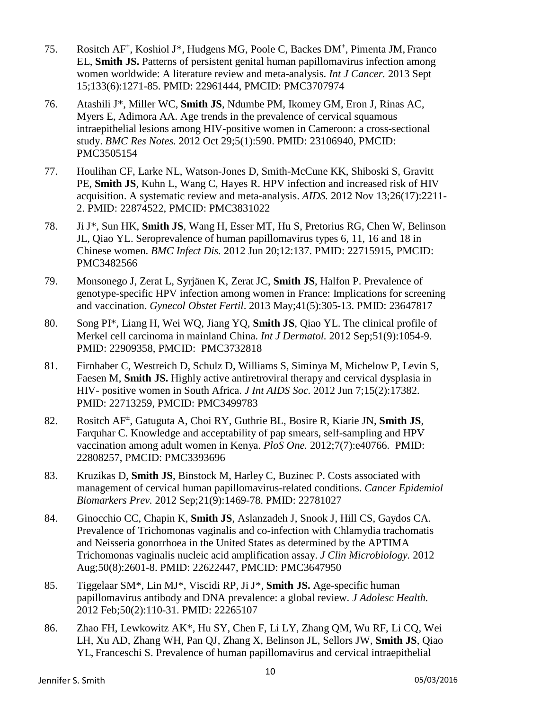- 75. Rositch AF± , Koshiol J\*, Hudgens MG, Poole C, Backes DM<sup>±</sup> , Pimenta JM, Franco EL, **Smith JS.** Patterns of persistent genital human papillomavirus infection among women worldwide: A literature review and meta-analysis. *Int J Cancer.* 2013 Sept 15;133(6):1271-85. PMID: 22961444, PMCID: PMC3707974
- 76. Atashili J\*, Miller WC, **Smith JS**, Ndumbe PM, Ikomey GM, Eron J, Rinas AC, Myers E, Adimora AA. Age trends in the prevalence of cervical squamous intraepithelial lesions among HIV-positive women in Cameroon: a cross-sectional study. *BMC Res Notes.* 2012 Oct 29;5(1):590. PMID: 23106940, PMCID: PMC3505154
- 77. Houlihan CF, Larke NL, Watson-Jones D, Smith-McCune KK, Shiboski S, Gravitt PE, **Smith JS**, Kuhn L, Wang C, Hayes R. HPV infection and increased risk of HIV acquisition. A systematic review and meta-analysis. *AIDS.* 2012 Nov 13;26(17):2211- 2. PMID: 22874522, PMCID: PMC3831022
- 78. Ji J\*, Sun HK, **Smith JS**, Wang H, Esser MT, Hu S, Pretorius RG, Chen W, Belinson JL, Qiao YL. Seroprevalence of human papillomavirus types 6, 11, 16 and 18 in Chinese women. *BMC Infect Dis.* 2012 Jun 20;12:137. PMID: 22715915, PMCID: PMC3482566
- 79. Monsonego J, Zerat L, Syrjänen K, Zerat JC, **Smith JS**, Halfon P. Prevalence of genotype-specific HPV infection among women in France: Implications for screening and vaccination. *Gynecol Obstet Fertil*. 2013 May;41(5):305-13. PMID: 23647817
- 80. Song PI\*, Liang H, Wei WQ, Jiang YQ, **Smith JS**, Qiao YL. The clinical profile of Merkel cell carcinoma in mainland China. *Int J Dermatol.* 2012 Sep;51(9):1054-9. PMID: 22909358, PMCID: PMC3732818
- 81. Firnhaber C, Westreich D, Schulz D, Williams S, Siminya M, Michelow P, Levin S, Faesen M, **Smith JS.** Highly active antiretroviral therapy and cervical dysplasia in HIV- positive women in South Africa. *J Int AIDS Soc.* 2012 Jun 7;15(2):17382. PMID: 22713259, PMCID: PMC3499783
- 82. Rositch AF± , Gatuguta A, Choi RY, Guthrie BL, Bosire R, Kiarie JN, **Smith JS**, Farquhar C. Knowledge and acceptability of pap smears, self-sampling and HPV vaccination among adult women in Kenya. *PloS One.* 2012;7(7):e40766. PMID: 22808257, PMCID: PMC3393696
- 83. Kruzikas D, **Smith JS**, Binstock M, Harley C, Buzinec P. Costs associated with management of cervical human papillomavirus-related conditions. *Cancer Epidemiol Biomarkers Prev.* 2012 Sep;21(9):1469-78. PMID: 22781027
- 84. Ginocchio CC, Chapin K, **Smith JS**, Aslanzadeh J, Snook J, Hill CS, Gaydos CA. Prevalence of Trichomonas vaginalis and co-infection with Chlamydia trachomatis and Neisseria gonorrhoea in the United States as determined by the APTIMA Trichomonas vaginalis nucleic acid amplification assay. *J Clin Microbiology.* 2012 Aug;50(8):2601-8. PMID: 22622447, PMCID: PMC3647950
- 85. Tiggelaar SM\*, Lin MJ\*, Viscidi RP, Ji J\*, **Smith JS.** Age-specific human papillomavirus antibody and DNA prevalence: a global review. *J Adolesc Health.* 2012 Feb;50(2):110-31. PMID: 22265107
- 86. Zhao FH, Lewkowitz AK\*, Hu SY, Chen F, Li LY, Zhang QM, Wu RF, Li CQ, Wei LH, Xu AD, Zhang WH, Pan QJ, Zhang X, Belinson JL, Sellors JW, **Smith JS**, Qiao YL, Franceschi S. Prevalence of human papillomavirus and cervical intraepithelial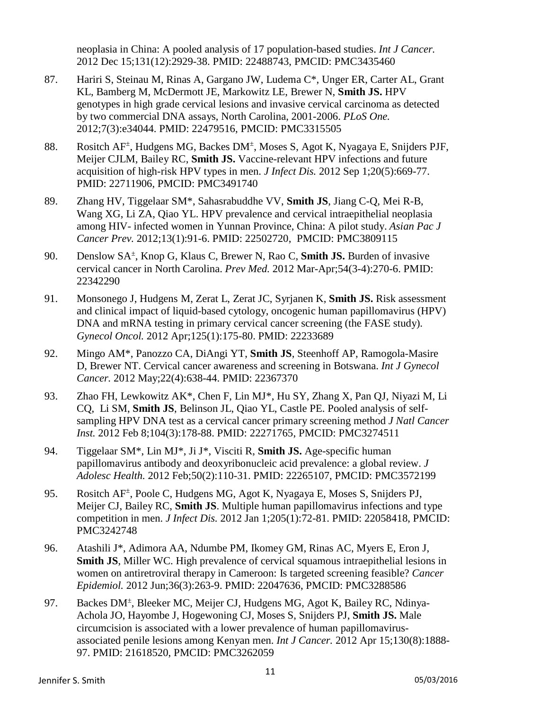neoplasia in China: A pooled analysis of 17 population-based studies. *Int J Cancer.* 2012 Dec 15;131(12):2929-38. PMID: 22488743, PMCID: PMC3435460

- 87. Hariri S, Steinau M, Rinas A, Gargano JW, Ludema C\*, Unger ER, Carter AL, Grant KL, Bamberg M, McDermott JE, Markowitz LE, Brewer N, **Smith JS.** HPV genotypes in high grade cervical lesions and invasive cervical carcinoma as detected by two commercial DNA assays, North Carolina, 2001-2006. *PLoS One.* 2012;7(3):e34044. PMID: 22479516, PMCID: PMC3315505
- 88. Rositch AF<sup>±</sup>, Hudgens MG, Backes DM<sup>±</sup>, Moses S, Agot K, Nyagaya E, Snijders PJF, Meijer CJLM, Bailey RC, **Smith JS.** Vaccine-relevant HPV infections and future acquisition of high-risk HPV types in men. *J Infect Dis.* 2012 Sep 1;20(5):669-77. PMID: 22711906, PMCID: PMC3491740
- 89. Zhang HV, Tiggelaar SM\*, Sahasrabuddhe VV, **Smith JS**, Jiang C-Q, Mei R-B, Wang XG, Li ZA, Qiao YL. HPV prevalence and cervical intraepithelial neoplasia among HIV- infected women in Yunnan Province, China: A pilot study. *Asian Pac J Cancer Prev.* 2012;13(1):91-6. PMID: 22502720, PMCID: PMC3809115
- 90. Denslow SA± , Knop G, Klaus C, Brewer N, Rao C, **Smith JS.** Burden of invasive cervical cancer in North Carolina. *Prev Med.* 2012 Mar-Apr;54(3-4):270-6. PMID: 22342290
- 91. Monsonego J, Hudgens M, Zerat L, Zerat JC, Syrjanen K, **Smith JS.** Risk assessment and clinical impact of liquid-based cytology, oncogenic human papillomavirus (HPV) DNA and mRNA testing in primary cervical cancer screening (the FASE study). *Gynecol Oncol.* 2012 Apr;125(1):175-80. PMID: 22233689
- 92. Mingo AM\*, Panozzo CA, DiAngi YT, **Smith JS**, Steenhoff AP, Ramogola-Masire D, Brewer NT. Cervical cancer awareness and screening in Botswana. *Int J Gynecol Cancer.* 2012 May;22(4):638-44. PMID: 22367370
- 93. Zhao FH, Lewkowitz AK\*, Chen F, Lin MJ\*, Hu SY, Zhang X, Pan QJ, Niyazi M, Li CQ, Li SM, **Smith JS**, Belinson JL, Qiao YL, Castle PE. Pooled analysis of selfsampling HPV DNA test as a cervical cancer primary screening method *J Natl Cancer Inst.* 2012 Feb 8;104(3):178-88. PMID: 22271765, PMCID: PMC3274511
- 94. Tiggelaar SM\*, Lin MJ\*, Ji J\*, Visciti R, **Smith JS.** Age-specific human papillomavirus antibody and deoxyribonucleic acid prevalence: a global review. *J Adolesc Health.* 2012 Feb;50(2):110-31. PMID: 22265107, PMCID: PMC3572199
- 95. Rositch AF<sup>±</sup>, Poole C, Hudgens MG, Agot K, Nyagaya E, Moses S, Snijders PJ, Meijer CJ, Bailey RC, **Smith JS**. Multiple human papillomavirus infections and type competition in men. *J Infect Dis.* 2012 Jan 1;205(1):72-81. PMID: 22058418, PMCID: PMC3242748
- 96. Atashili J\*, Adimora AA, Ndumbe PM, Ikomey GM, Rinas AC, Myers E, Eron J, **Smith JS**, Miller WC. High prevalence of cervical squamous intraepithelial lesions in women on antiretroviral therapy in Cameroon: Is targeted screening feasible? *Cancer Epidemiol.* 2012 Jun;36(3):263-9. PMID: 22047636, PMCID: PMC3288586
- 97. Backes DM<sup>+</sup>, Bleeker MC, Meijer CJ, Hudgens MG, Agot K, Bailey RC, Ndinya-Achola JO, Hayombe J, Hogewoning CJ, Moses S, Snijders PJ, **Smith JS.** Male circumcision is associated with a lower prevalence of human papillomavirusassociated penile lesions among Kenyan men. *Int J Cancer.* 2012 Apr 15;130(8):1888- 97. PMID: 21618520, PMCID: PMC3262059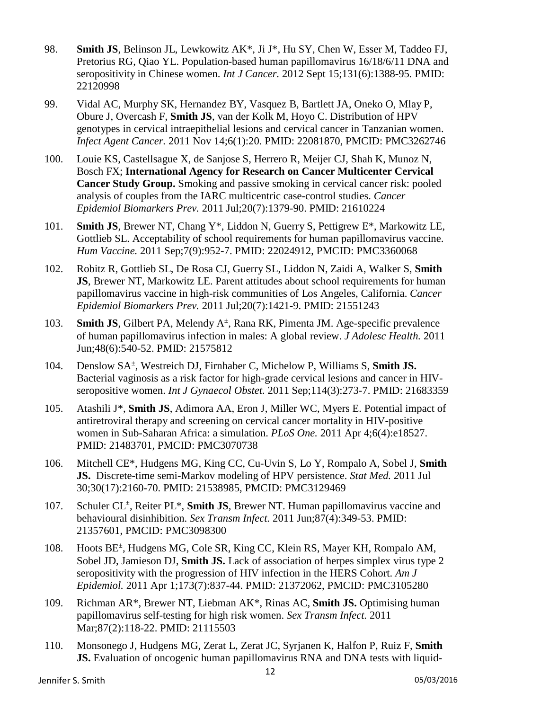- 98. **Smith JS**, Belinson JL, Lewkowitz AK\*, Ji J\*, Hu SY, Chen W, Esser M, Taddeo FJ, Pretorius RG, Qiao YL. Population-based human papillomavirus 16/18/6/11 DNA and seropositivity in Chinese women. *Int J Cancer.* 2012 Sept 15;131(6):1388-95. PMID: 22120998
- 99. Vidal AC, Murphy SK, Hernandez BY, Vasquez B, Bartlett JA, Oneko O, Mlay P, Obure J, Overcash F, **Smith JS**, van der Kolk M, Hoyo C. Distribution of HPV genotypes in cervical intraepithelial lesions and cervical cancer in Tanzanian women. *Infect Agent Cancer.* 2011 Nov 14;6(1):20. PMID: 22081870, PMCID: PMC3262746
- 100. Louie KS, Castellsague X, de Sanjose S, Herrero R, Meijer CJ, Shah K, Munoz N, Bosch FX; **International Agency for Research on Cancer Multicenter Cervical Cancer Study Group.** Smoking and passive smoking in cervical cancer risk: pooled analysis of couples from the IARC multicentric case-control studies. *Cancer Epidemiol Biomarkers Prev.* 2011 Jul;20(7):1379-90. PMID: 21610224
- 101. **Smith JS**, Brewer NT, Chang Y\*, Liddon N, Guerry S, Pettigrew E\*, Markowitz LE, Gottlieb SL. Acceptability of school requirements for human papillomavirus vaccine. *Hum Vaccine.* 2011 Sep;7(9):952-7. PMID: 22024912, PMCID: PMC3360068
- 102. Robitz R, Gottlieb SL, De Rosa CJ, Guerry SL, Liddon N, Zaidi A, Walker S, **Smith JS**, Brewer NT, Markowitz LE. Parent attitudes about school requirements for human papillomavirus vaccine in high-risk communities of Los Angeles, California. *Cancer Epidemiol Biomarkers Prev.* 2011 Jul;20(7):1421-9. PMID: 21551243
- 103. **Smith JS**, Gilbert PA, Melendy A<sup>±</sup>, Rana RK, Pimenta JM. Age-specific prevalence of human papillomavirus infection in males: A global review. *J Adolesc Health.* 2011 Jun;48(6):540-52. PMID: 21575812
- 104. Denslow SA± , Westreich DJ, Firnhaber C, Michelow P, Williams S, **Smith JS.**  Bacterial vaginosis as a risk factor for high-grade cervical lesions and cancer in HIVseropositive women. *Int J Gynaecol Obstet.* 2011 Sep;114(3):273-7. PMID: 21683359
- 105. Atashili J\*, **Smith JS**, Adimora AA, Eron J, Miller WC, Myers E. Potential impact of antiretroviral therapy and screening on cervical cancer mortality in HIV-positive women in Sub-Saharan Africa: a simulation. *PLoS One.* 2011 Apr 4;6(4):e18527. PMID: 21483701, PMCID: PMC3070738
- 106. Mitchell CE\*, Hudgens MG, King CC, Cu-Uvin S, Lo Y, Rompalo A, Sobel J, **Smith JS.** Discrete-time semi-Markov modeling of HPV persistence. *Stat Med. 2*011 Jul 30;30(17):2160-70. PMID: 21538985, PMCID: PMC3129469
- 107. Schuler CL<sup>+</sup>, Reiter PL\*, Smith JS, Brewer NT. Human papillomavirus vaccine and behavioural disinhibition. *Sex Transm Infect.* 2011 Jun;87(4):349-53. PMID: 21357601, PMCID: PMC3098300
- 108. Hoots BE<sup>±</sup>, Hudgens MG, Cole SR, King CC, Klein RS, Mayer KH, Rompalo AM, Sobel JD, Jamieson DJ, **Smith JS.** Lack of association of herpes simplex virus type 2 seropositivity with the progression of HIV infection in the HERS Cohort. *Am J Epidemiol.* 2011 Apr 1;173(7):837-44. PMID: 21372062, PMCID: PMC3105280
- 109. Richman AR\*, Brewer NT, Liebman AK\*, Rinas AC, **Smith JS.** Optimising human papillomavirus self-testing for high risk women. *Sex Transm Infect.* 2011 Mar;87(2):118-22. PMID: 21115503
- 110. Monsonego J, Hudgens MG, Zerat L, Zerat JC, Syrjanen K, Halfon P, Ruiz F, **Smith JS.** Evaluation of oncogenic human papillomavirus RNA and DNA tests with liquid-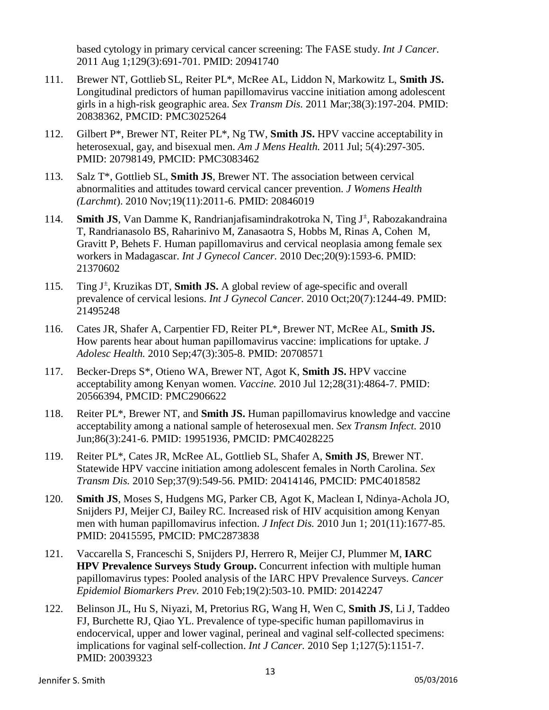based cytology in primary cervical cancer screening: The FASE study. *Int J Cancer.* 2011 Aug 1;129(3):691-701. PMID: 20941740

- 111. Brewer NT, Gottlieb SL, Reiter PL\*, McRee AL, Liddon N, Markowitz L, **Smith JS.** Longitudinal predictors of human papillomavirus vaccine initiation among adolescent girls in a high-risk geographic area. *Sex Transm Dis.* 2011 Mar;38(3):197-204. PMID: 20838362, PMCID: PMC3025264
- 112. Gilbert P\*, Brewer NT, Reiter PL\*, Ng TW, **Smith JS.** HPV vaccine acceptability in heterosexual, gay, and bisexual men. *Am J Mens Health.* 2011 Jul; 5(4):297-305. PMID: 20798149, PMCID: PMC3083462
- 113. Salz T\*, Gottlieb SL, **Smith JS**, Brewer NT. The association between cervical abnormalities and attitudes toward cervical cancer prevention. *J Womens Health (Larchmt*). 2010 Nov;19(11):2011-6. PMID: 20846019
- 114. **Smith JS**, Van Damme K, Randrianjafisamindrakotroka N, Ting J<sup>±</sup>, Rabozakandraina T, Randrianasolo BS, Raharinivo M, Zanasaotra S, Hobbs M, Rinas A, Cohen M, Gravitt P, Behets F. Human papillomavirus and cervical neoplasia among female sex workers in Madagascar. *Int J Gynecol Cancer.* 2010 Dec;20(9):1593-6. PMID: 21370602
- 115. Ting J<sup>±</sup> , Kruzikas DT, **Smith JS.** A global review of age-specific and overall prevalence of cervical lesions. *Int J Gynecol Cancer.* 2010 Oct;20(7):1244-49. PMID: 21495248
- 116. Cates JR, Shafer A, Carpentier FD, Reiter PL\*, Brewer NT, McRee AL, **Smith JS.**  How parents hear about human papillomavirus vaccine: implications for uptake. *J Adolesc Health.* 2010 Sep;47(3):305-8. PMID: 20708571
- 117. Becker-Dreps S\*, Otieno WA, Brewer NT, Agot K, **Smith JS.** HPV vaccine acceptability among Kenyan women. *Vaccine.* 2010 Jul 12;28(31):4864-7. PMID: 20566394, PMCID: PMC2906622
- 118. Reiter PL\*, Brewer NT, and **Smith JS.** Human papillomavirus knowledge and vaccine acceptability among a national sample of heterosexual men. *Sex Transm Infect.* 2010 Jun;86(3):241-6. PMID: 19951936, PMCID: PMC4028225
- 119. Reiter PL\*, Cates JR, McRee AL, Gottlieb SL, Shafer A, **Smith JS**, Brewer NT. Statewide HPV vaccine initiation among adolescent females in North Carolina. *Sex Transm Dis.* 2010 Sep;37(9):549-56. PMID: 20414146, PMCID: PMC4018582
- 120. **Smith JS**, Moses S, Hudgens MG, Parker CB, Agot K, Maclean I, Ndinya-Achola JO, Snijders PJ, Meijer CJ, Bailey RC. Increased risk of HIV acquisition among Kenyan men with human papillomavirus infection. *J Infect Dis.* 2010 Jun 1; 201(11):1677-85. PMID: 20415595, PMCID: PMC2873838
- 121. Vaccarella S, Franceschi S, Snijders PJ, Herrero R, Meijer CJ, Plummer M, **IARC HPV Prevalence Surveys Study Group.** Concurrent infection with multiple human papillomavirus types: Pooled analysis of the IARC HPV Prevalence Surveys. *Cancer Epidemiol Biomarkers Prev.* 2010 Feb;19(2):503-10. PMID: 20142247
- 122. Belinson JL, Hu S, Niyazi, M, Pretorius RG, Wang H, Wen C, **Smith JS**, Li J, Taddeo FJ, Burchette RJ, Qiao YL. Prevalence of type-specific human papillomavirus in endocervical, upper and lower vaginal, perineal and vaginal self-collected specimens: implications for vaginal self-collection. *Int J Cancer.* 2010 Sep 1;127(5):1151-7. PMID: 20039323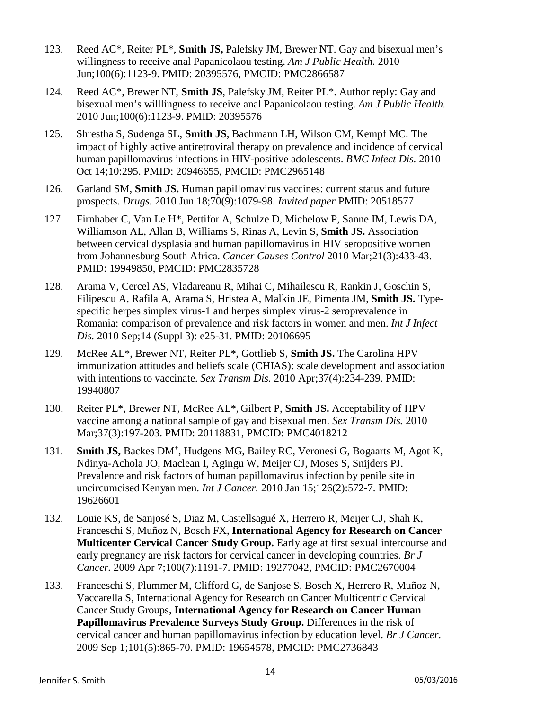- 123. Reed AC\*, Reiter PL\*, **Smith JS,** Palefsky JM, Brewer NT. Gay and bisexual men's willingness to receive anal Papanicolaou testing. *Am J Public Health.* 2010 Jun;100(6):1123-9. PMID: 20395576, PMCID: PMC2866587
- 124. Reed AC\*, Brewer NT, **Smith JS**, Palefsky JM, Reiter PL\*. Author reply: Gay and bisexual men's willlingness to receive anal Papanicolaou testing. *Am J Public Health.* 2010 Jun;100(6):1123-9. PMID: 20395576
- 125. Shrestha S, Sudenga SL, **Smith JS**, Bachmann LH, Wilson CM, Kempf MC. The impact of highly active antiretroviral therapy on prevalence and incidence of cervical human papillomavirus infections in HIV-positive adolescents. *BMC Infect Dis.* 2010 Oct 14;10:295. PMID: 20946655, PMCID: PMC2965148
- 126. Garland SM, **Smith JS.** Human papillomavirus vaccines: current status and future prospects. *Drugs.* 2010 Jun 18;70(9):1079-98. *Invited paper* PMID: 20518577
- 127. Firnhaber C, Van Le H\*, Pettifor A, Schulze D, Michelow P, Sanne IM, Lewis DA, Williamson AL, Allan B, Williams S, Rinas A, Levin S, **Smith JS.** Association between cervical dysplasia and human papillomavirus in HIV seropositive women from Johannesburg South Africa. *Cancer Causes Control* 2010 Mar;21(3):433-43. PMID: 19949850, PMCID: PMC2835728
- 128. Arama V, Cercel AS, Vladareanu R, Mihai C, Mihailescu R, Rankin J, Goschin S, Filipescu A, Rafila A, Arama S, Hristea A, Malkin JE, Pimenta JM, **Smith JS.** Typespecific herpes simplex virus-1 and herpes simplex virus-2 seroprevalence in Romania: comparison of prevalence and risk factors in women and men. *Int J Infect Dis.* 2010 Sep;14 (Suppl 3): e25-31. PMID: 20106695
- 129. McRee AL\*, Brewer NT, Reiter PL\*, Gottlieb S, **Smith JS.** The Carolina HPV immunization attitudes and beliefs scale (CHIAS): scale development and association with intentions to vaccinate. *Sex Transm Dis.* 2010 Apr;37(4):234-239. PMID: 19940807
- 130. Reiter PL\*, Brewer NT, McRee AL\*, Gilbert P, **Smith JS.** Acceptability of HPV vaccine among a national sample of gay and bisexual men. *Sex Transm Dis.* 2010 Mar;37(3):197-203. PMID: 20118831, PMCID: PMC4018212
- 131. **Smith JS, Backes DM<sup>+</sup>, Hudgens MG, Bailey RC, Veronesi G, Bogaarts M, Agot K,** Ndinya-Achola JO, Maclean I, Agingu W, Meijer CJ, Moses S, Snijders PJ. Prevalence and risk factors of human papillomavirus infection by penile site in uncircumcised Kenyan men. *Int J Cancer.* 2010 Jan 15;126(2):572-7. PMID: 19626601
- 132. Louie KS, de Sanjosé S, Diaz M, Castellsagué X, Herrero R, Meijer CJ, Shah K, Franceschi S, Muñoz N, Bosch FX, **International Agency for Research on Cancer Multicenter Cervical Cancer Study Group.** Early age at first sexual intercourse and early pregnancy are risk factors for cervical cancer in developing countries. *Br J Cancer.* 2009 Apr 7;100(7):1191-7. PMID: 19277042, PMCID: PMC2670004
- 133. Franceschi S, Plummer M, Clifford G, de Sanjose S, Bosch X, Herrero R, Muñoz N, Vaccarella S, International Agency for Research on Cancer Multicentric Cervical Cancer Study Groups, **International Agency for Research on Cancer Human Papillomavirus Prevalence Surveys Study Group.** [Differences in the](http://www.ncbi.nlm.nih.gov/pubmed/19654578?itool=EntrezSystem2.PEntrez.Pubmed.Pubmed_ResultsPanel.Pubmed_RVDocSum&ordinalpos=13) risk of [cervical](http://www.ncbi.nlm.nih.gov/pubmed/19654578?itool=EntrezSystem2.PEntrez.Pubmed.Pubmed_ResultsPanel.Pubmed_RVDocSum&ordinalpos=13) cancer [and human papillomavirus infection by](http://www.ncbi.nlm.nih.gov/pubmed/19654578?itool=EntrezSystem2.PEntrez.Pubmed.Pubmed_ResultsPanel.Pubmed_RVDocSum&ordinalpos=13) education level. *Br J Cancer.* 2009 Sep 1;101(5):865-70. PMID: 19654578, PMCID: PMC2736843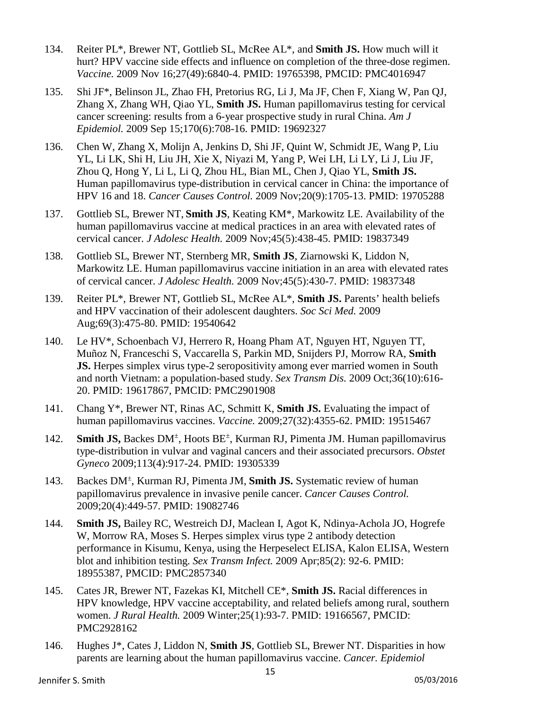- 134. Reiter PL\*, Brewer NT, Gottlieb SL, McRee AL\*, and **Smith JS.** How much will it hurt? HPV vaccine side effects and influence on completion of the three-dose regimen. *Vaccine.* 2009 Nov 16;27(49):6840-4. PMID: 19765398, PMCID: PMC4016947
- 135. Shi JF\*, Belinson JL, Zhao FH, Pretorius RG, Li J, Ma JF, Chen F, Xiang W, Pan QJ, Zhang X, Zhang WH, Qiao YL, **Smith JS.** Human papillomavirus testing for cervical cancer screening: results from a 6-year prospective study in rural China. *Am J Epidemiol.* 2009 Sep 15;170(6):708-16. PMID: 19692327
- 136. Chen W, Zhang X, Molijn A, Jenkins D, Shi JF, Quint W, Schmidt JE, Wang P, Liu YL, Li LK, Shi H, Liu JH, Xie X, Niyazi M, Yang P, Wei LH, Li LY, Li J, Liu JF, Zhou Q, Hong Y, Li L, Li Q, Zhou HL, Bian ML, Chen J, Qiao YL, **Smith JS.** Human papillomavirus type-distribution in cervical cancer in China: the importance of HPV 16 and 18. *Cancer Causes Control.* 2009 Nov;20(9):1705-13. PMID: 19705288
- 137. Gottlieb SL, Brewer NT, **Smith JS**, Keating KM\*, Markowitz LE. Availability of the human papillomavirus vaccine at medical practices in an area with elevated rates of cervical cancer. *J Adolesc Health.* 2009 Nov;45(5):438-45. PMID: 19837349
- 138. Gottlieb SL, Brewer NT, Sternberg MR, **Smith JS**, Ziarnowski K, Liddon N, Markowitz LE. Human papillomavirus vaccine initiation in an area with elevated rates of cervical cancer. *J Adolesc Health.* 2009 Nov;45(5):430-7. PMID: 19837348
- 139. Reiter PL\*, Brewer NT, Gottlieb SL, McRee AL\*, **Smith JS.** Parents' health beliefs and HPV vaccination of their adolescent daughters. *Soc Sci Med.* 2009 Aug;69(3):475-80. PMID: 19540642
- 140. Le HV\*, Schoenbach VJ, Herrero R, Hoang Pham AT, Nguyen HT, Nguyen TT, Muñoz N, Franceschi S, Vaccarella S, Parkin MD, Snijders PJ, Morrow RA, **Smith JS.** Herpes simplex virus type-2 seropositivity among ever married women in South and north Vietnam: a population-based study. *Sex Transm Dis.* 2009 Oct;36(10):616- 20. PMID: 19617867, PMCID: PMC2901908
- 141. Chang Y\*, Brewer NT, Rinas AC, Schmitt K, **Smith JS.** Evaluating the impact of human papillomavirus vaccines. *Vaccine.* 2009;27(32):4355-62. PMID: 19515467
- 142. **Smith JS, Backes DM<sup>+</sup>, Hoots BE<sup>+</sup>, Kurman RJ, Pimenta JM. Human papillomavirus** type-distribution in vulvar and vaginal cancers and their associated precursors. *Obstet Gyneco* 2009;113(4):917-24. PMID: 19305339
- 143. Backes DM<sup>±</sup> , Kurman RJ, Pimenta JM, **Smith JS.** Systematic review of human papillomavirus prevalence in invasive penile cancer. *Cancer Causes Control.* 2009;20(4):449-57. PMID: 19082746
- 144. **Smith JS,** Bailey RC, Westreich DJ, Maclean I, Agot K, Ndinya-Achola JO, Hogrefe W, Morrow RA, Moses S. Herpes simplex virus type 2 antibody detection performance in Kisumu, Kenya, using the Herpeselect ELISA, Kalon ELISA, Western blot and inhibition testing. *Sex Transm Infect.* 2009 Apr;85(2): 92-6. PMID: 18955387, PMCID: PMC2857340
- 145. Cates JR, Brewer NT, Fazekas KI, Mitchell CE\*, **Smith JS.** Racial differences in HPV knowledge, HPV vaccine acceptability, and related beliefs among rural, southern women. *J Rural Health.* 2009 Winter;25(1):93-7. PMID: 19166567, PMCID: PMC2928162
- 146. Hughes J\*, Cates J, Liddon N, **Smith JS**, Gottlieb SL, Brewer NT. Disparities in how parents are learning about the human papillomavirus vaccine. *Cancer. Epidemiol*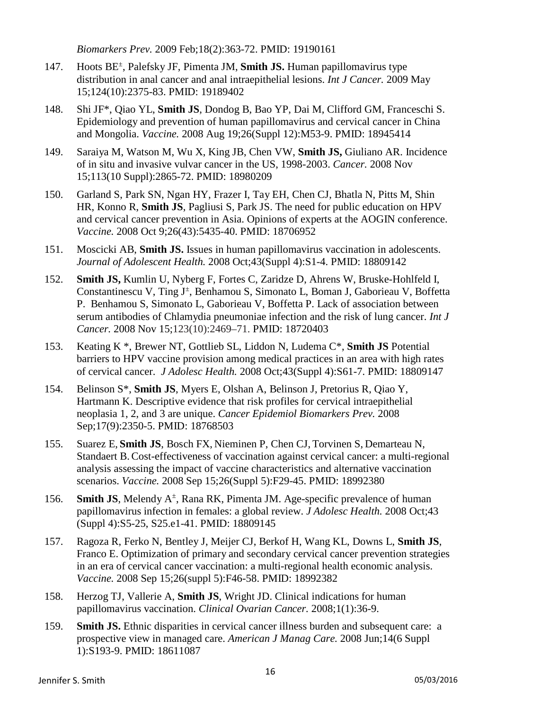*Biomarkers Prev.* 2009 Feb;18(2):363-72. PMID: 19190161

- 147. Hoots BE± , Palefsky JF, Pimenta JM, **Smith JS.** Human papillomavirus type distribution in anal cancer and anal intraepithelial lesions. *Int J Cancer.* 2009 May 15;124(10):2375-83. PMID: 19189402
- 148. Shi JF\*, Qiao YL, **Smith JS**, Dondog B, Bao YP, Dai M, Clifford GM, Franceschi S. Epidemiology and prevention of human papillomavirus and cervical cancer in China and Mongolia. *Vaccine.* 2008 Aug 19;26(Suppl 12):M53-9. PMID: 18945414
- 149. Saraiya M, Watson M, Wu X, King JB, Chen VW, **Smith JS,** Giuliano AR. Incidence of in situ and invasive vulvar cancer in the US, 1998-2003. *Cancer.* 2008 Nov 15;113(10 Suppl):2865-72. PMID: 18980209
- 150. Garland S, Park SN, Ngan HY, Frazer I, Tay EH, Chen CJ, Bhatla N, Pitts M, Shin HR, Konno R, **Smith JS**, Pagliusi S, Park JS. The need for public education on HPV and cervical cancer prevention in Asia. Opinions of experts at the AOGIN conference. *Vaccine.* 2008 Oct 9;26(43):5435-40. PMID: 18706952
- 151. Moscicki AB, **Smith JS.** Issues in human papillomavirus vaccination in adolescents. *Journal of Adolescent Health.* 2008 Oct;43(Suppl 4):S1-4. PMID: 18809142
- 152. **Smith JS,** Kumlin U, Nyberg F, Fortes C, Zaridze D, Ahrens W, Bruske-Hohlfeld I, Constantinescu V, Ting J<sup>±</sup>, Benhamou S, Simonato L, Boman J, Gaborieau V, Boffetta P. Benhamou S, Simonato L, Gaborieau V, Boffetta P. Lack of association between serum antibodies of Chlamydia pneumoniae infection and the risk of lung cancer. *Int J Cancer.* 2008 Nov 15;123(10):2469–71. PMID: 18720403
- 153. Keating K \*, Brewer NT, Gottlieb SL, Liddon N, Ludema C\*, **Smith JS** Potential barriers to HPV vaccine provision among medical practices in an area with high rates of cervical cancer. *J Adolesc Health.* 2008 Oct;43(Suppl 4):S61-7. PMID: 18809147
- 154. Belinson S\*, **Smith JS**, Myers E, Olshan A, Belinson J, Pretorius R, Qiao Y, Hartmann K. Descriptive evidence that risk profiles for cervical intraepithelial neoplasia 1, 2, and 3 are unique. *Cancer Epidemiol Biomarkers Prev.* 2008 Sep;17(9):2350-5. PMID: 18768503
- 155. Suarez E, **Smith JS**, Bosch FX, Nieminen P, Chen CJ, Torvinen S, Demarteau N, Standaert B.Cost-effectiveness of vaccination against cervical cancer: a multi-regional analysis assessing the impact of vaccine characteristics and alternative vaccination scenarios. *Vaccine.* 2008 Sep 15;26(Suppl 5):F29-45. PMID: 18992380
- 156. **Smith JS**, Melendy A<sup>±</sup>, Rana RK, Pimenta JM. Age-specific prevalence of human papillomavirus infection in females: a global review. *J Adolesc Health.* 2008 Oct;43 (Suppl 4):S5-25, S25.e1-41. PMID: 18809145
- 157. Ragoza R, Ferko N, Bentley J, Meijer CJ, Berkof H, Wang KL, Downs L, **Smith JS**, Franco E. Optimization of primary and secondary cervical cancer prevention strategies in an era of cervical cancer vaccination: a multi-regional health economic analysis. *Vaccine.* 2008 Sep 15;26(suppl 5):F46-58. PMID: 18992382
- 158. Herzog TJ, Vallerie A, **Smith JS**, Wright JD. Clinical indications for human papillomavirus vaccination. *Clinical Ovarian Cancer.* 2008;1(1):36-9.
- 159. **Smith JS.** Ethnic disparities in cervical cancer illness burden and subsequent care: a prospective view in managed care. *American J Manag Care.* 2008 Jun;14(6 Suppl 1):S193-9. PMID: 18611087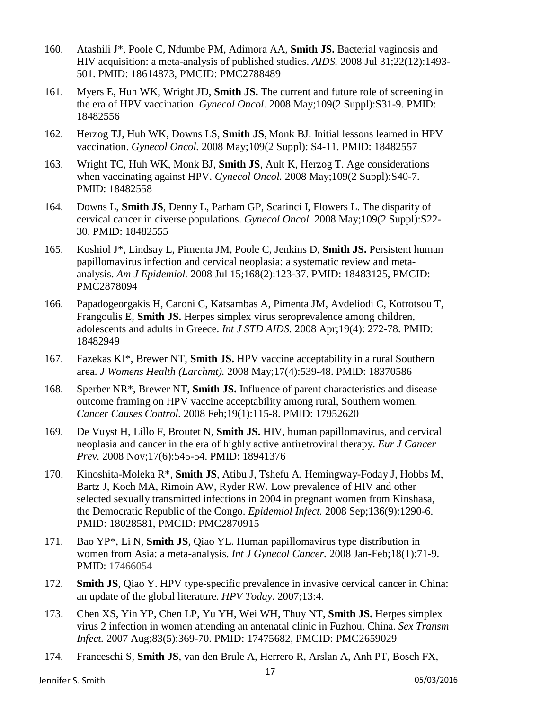- 160. Atashili J\*, Poole C, Ndumbe PM, Adimora AA, **Smith JS.** Bacterial vaginosis and HIV acquisition: a meta-analysis of published studies. *AIDS.* 2008 Jul 31;22(12):1493- 501. PMID: 18614873, PMCID: PMC2788489
- 161. Myers E, Huh WK, Wright JD, **Smith JS.** The current and future role of screening in the era of HPV vaccination. *Gynecol Oncol.* 2008 May;109(2 Suppl):S31-9. PMID: 18482556
- 162. Herzog TJ, Huh WK, Downs LS, **Smith JS**, Monk BJ. Initial lessons learned in HPV vaccination. *Gynecol Oncol.* 2008 May;109(2 Suppl): S4-11. PMID: 18482557
- 163. Wright TC, Huh WK, Monk BJ, **Smith JS**, Ault K, Herzog T. Age considerations when vaccinating against HPV. *Gynecol Oncol.* 2008 May;109(2 Suppl):S40-7. PMID: 18482558
- 164. Downs L, **Smith JS**, Denny L, Parham GP, Scarinci I, Flowers L. The disparity of cervical cancer in diverse populations. *Gynecol Oncol.* 2008 May;109(2 Suppl):S22- 30. PMID: 18482555
- 165. Koshiol J\*, Lindsay L, Pimenta JM, Poole C, Jenkins D, **Smith JS.** Persistent human papillomavirus infection and cervical neoplasia: a systematic review and metaanalysis. *Am J Epidemiol.* 2008 Jul 15;168(2):123-37. PMID: 18483125, PMCID: PMC2878094
- 166. Papadogeorgakis H, Caroni C, Katsambas A, Pimenta JM, Avdeliodi C, Kotrotsou T, Frangoulis E, **Smith JS.** Herpes simplex virus seroprevalence among children, adolescents and adults in Greece. *Int J STD AIDS.* 2008 Apr;19(4): 272-78. PMID: 18482949
- 167. Fazekas KI\*, Brewer NT, **Smith JS.** HPV vaccine acceptability in a rural Southern area. *J Womens Health (Larchmt).* 2008 May;17(4):539-48. PMID: 18370586
- 168. Sperber NR\*, Brewer NT, **Smith JS.** Influence of parent characteristics and disease outcome framing on HPV vaccine acceptability among rural, Southern women. *Cancer Causes Control.* 2008 Feb;19(1):115-8. PMID: 17952620
- 169. De Vuyst H, Lillo F, Broutet N, **Smith JS.** HIV, human papillomavirus, and cervical neoplasia and cancer in the era of highly active antiretroviral therapy. *Eur J Cancer Prev.* 2008 Nov;17(6):545-54. PMID: 18941376
- 170. Kinoshita-Moleka R\*, **Smith JS**, Atibu J, Tshefu A, Hemingway-Foday J, Hobbs M, Bartz J, Koch MA, Rimoin AW, Ryder RW. Low prevalence of HIV and other selected sexually transmitted infections in 2004 in pregnant women from Kinshasa, the Democratic Republic of the Congo. *Epidemiol Infect.* 2008 Sep;136(9):1290-6. PMID: 18028581, PMCID: PMC2870915
- 171. Bao YP\*, Li N, **Smith JS**, Qiao YL. Human papillomavirus type distribution in women from Asia: a meta-analysis. *Int J Gynecol Cancer.* 2008 Jan-Feb;18(1):71-9. PMID: 17466054
- 172. **Smith JS**, Qiao Y. HPV type-specific prevalence in invasive cervical cancer in China: an update of the global literature. *HPV Today.* 2007;13:4.
- 173. Chen XS, Yin YP, Chen LP, Yu YH, Wei WH, Thuy NT, **Smith JS.** Herpes simplex virus 2 infection in women attending an antenatal clinic in Fuzhou, China. *Sex Transm Infect.* 2007 Aug;83(5):369-70. PMID: 17475682, PMCID: PMC2659029
- 174. Franceschi S, **Smith JS**, van den Brule A, Herrero R, Arslan A, Anh PT, Bosch FX,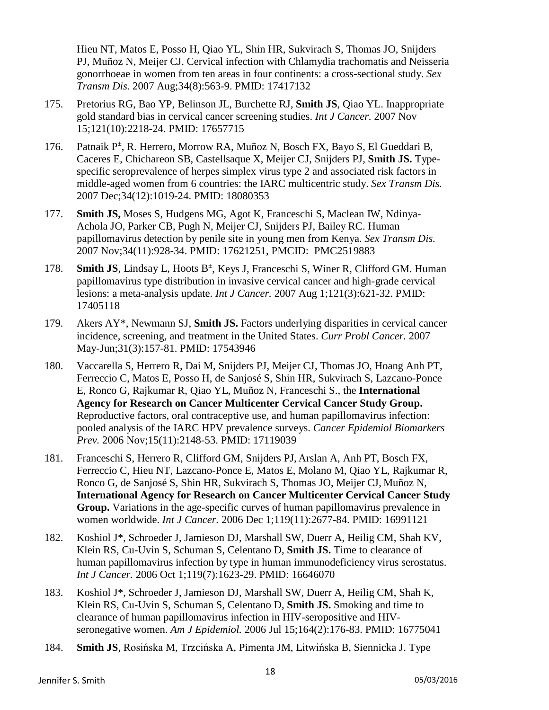Hieu NT, Matos E, Posso H, Qiao YL, Shin HR, Sukvirach S, Thomas JO, Snijders PJ, Muñoz N, Meijer CJ. Cervical infection with Chlamydia trachomatis and Neisseria gonorrhoeae in women from ten areas in four continents: a cross-sectional study. *Sex Transm Dis.* 2007 Aug;34(8):563-9. PMID: 17417132

- 175. Pretorius RG, Bao YP, Belinson JL, Burchette RJ, **Smith JS**, Qiao YL. Inappropriate gold standard bias in cervical cancer screening studies. *Int J Cancer.* 2007 Nov 15;121(10):2218-24. PMID: 17657715
- 176. Patnaik P<sup>±</sup> , R. Herrero, Morrow RA, Muñoz N, Bosch FX, Bayo S, El Gueddari B, Caceres E, Chichareon SB, Castellsaque X, Meijer CJ, Snijders PJ, **Smith JS.** Typespecific seroprevalence of herpes simplex virus type 2 and associated risk factors in middle-aged women from 6 countries: the IARC multicentric study. *Sex Transm Dis.* 2007 Dec;34(12):1019-24. PMID: 18080353
- 177. **Smith JS,** Moses S, Hudgens MG, Agot K, Franceschi S, Maclean IW, Ndinya-Achola JO, Parker CB, Pugh N, Meijer CJ, Snijders PJ, Bailey RC. Human papillomavirus detection by penile site in young men from Kenya. *Sex Transm Dis.* 2007 Nov;34(11):928-34. PMID: 17621251, PMCID: PMC2519883
- 178. **Smith JS**, Lindsay L, Hoots B<sup>±</sup>, Keys J, Franceschi S, Winer R, Clifford GM. Human papillomavirus type distribution in invasive cervical cancer and high-grade cervical lesions: a meta-analysis update. *Int J Cancer.* 2007 Aug 1;121(3):621-32. PMID: 17405118
- 179. Akers AY\*, Newmann SJ, **Smith JS.** Factors underlying disparities in cervical cancer incidence, screening, and treatment in the United States. *Curr Probl Cancer.* 2007 May-Jun;31(3):157-81. PMID: 17543946
- 180. Vaccarella S, Herrero R, Dai M, Snijders PJ, Meijer CJ, Thomas JO, Hoang Anh PT, Ferreccio C, Matos E, Posso H, de Sanjosé S, Shin HR, Sukvirach S, Lazcano-Ponce E, Ronco G, Rajkumar R, Qiao YL, Muñoz N, Franceschi S., the **International Agency for Research on Cancer Multicenter Cervical Cancer Study Group.** Reproductive factors, oral contraceptive use, and human papillomavirus infection: pooled analysis of the IARC HPV prevalence surveys. *Cancer Epidemiol Biomarkers Prev.* 2006 Nov;15(11):2148-53. PMID: 17119039
- 181. Franceschi S, Herrero R, Clifford GM, Snijders PJ, Arslan A, Anh PT, Bosch FX, Ferreccio C, Hieu NT, Lazcano-Ponce E, Matos E, Molano M, Qiao YL, Rajkumar R, Ronco G, de Sanjosé S, Shin HR, Sukvirach S, Thomas JO, Meijer CJ, Muñoz N, **International Agency for Research on Cancer Multicenter Cervical Cancer Study Group.** Variations in the age-specific curves of human papillomavirus prevalence in women worldwide. *Int J Cancer.* 2006 Dec 1;119(11):2677-84. PMID: 16991121
- 182. Koshiol J\*, Schroeder J, Jamieson DJ, Marshall SW, Duerr A, Heilig CM, Shah KV, Klein RS, Cu-Uvin S, Schuman S, Celentano D, **Smith JS.** Time to clearance of human papillomavirus infection by type in human immunodeficiency virus serostatus. *Int J Cancer.* 2006 Oct 1;119(7):1623-29. PMID: 16646070
- 183. Koshiol J\*, Schroeder J, Jamieson DJ, Marshall SW, Duerr A, Heilig CM, Shah K, Klein RS, Cu-Uvin S, Schuman S, Celentano D, **Smith JS.** Smoking and time to clearance of human papillomavirus infection in HIV-seropositive and HIVseronegative women. *Am J Epidemiol.* 2006 Jul 15;164(2):176-83. PMID: 16775041
- 184. **Smith JS**, Rosińska M, Trzcińska A, Pimenta JM, Litwińska B, Siennicka J. Type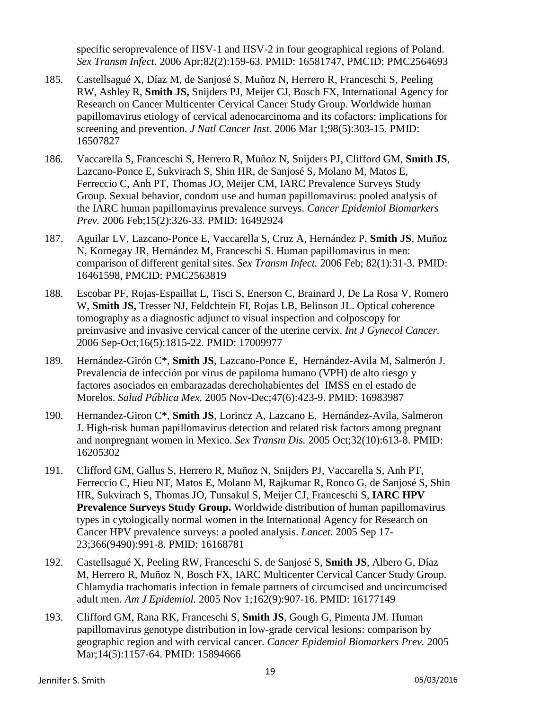specific seroprevalence of HSV-1 and HSV-2 in four geographical regions of Poland. *Sex Transm Infect.* 2006 Apr;82(2):159-63. PMID: 16581747, PMCID: PMC2564693

- 185. Castellsagué X, Díaz M, de Sanjosé S, Muñoz N, Herrero R, Franceschi S, Peeling RW, Ashley R, **Smith JS,** Snijders PJ, Meijer CJ, Bosch FX, International Agency for Research on Cancer Multicenter Cervical Cancer Study Group. Worldwide human papillomavirus etiology of cervical adenocarcinoma and its cofactors: implications for screening and prevention. *J Natl Cancer Inst.* 2006 Mar 1;98(5):303-15. PMID: 16507827
- 186. Vaccarella S, Franceschi S, Herrero R, Muñoz N, Snijders PJ, Clifford GM, **Smith JS**, Lazcano-Ponce E, Sukvirach S, Shin HR, de Sanjosé S, Molano M, Matos E, Ferreccio C, Anh PT, Thomas JO, Meijer CM, IARC Prevalence Surveys Study Group. Sexual behavior, condom use and human papillomavirus: pooled analysis of the IARC human papillomavirus prevalence surveys. *Cancer Epidemiol Biomarkers Prev.* 2006 Feb;15(2):326-33. PMID: 16492924
- 187. Aguilar LV, Lazcano-Ponce E, Vaccarella S, Cruz A, Hernández P, **Smith JS**, Muñoz N, Kornegay JR, Hernández M, Franceschi S. Human papillomavirus in men: comparison of different genital sites. *Sex Transm Infect.* 2006 Feb; 82(1):31-3. PMID: 16461598, PMCID: PMC2563819
- 188. Escobar PF, Rojas-Espaillat L, Tisci S, Enerson C, Brainard J, De La Rosa V, Romero W, **Smith JS,** Tresser NJ, Feldchtein FI, Rojas LB, Belinson JL. Optical coherence tomography as a diagnostic adjunct to visual inspection and colposcopy for preinvasive and invasive cervical cancer of the uterine cervix. *Int J Gynecol Cancer.* 2006 Sep-Oct;16(5):1815-22. PMID: 17009977
- 189. Hernández-Girón C\*, **Smith JS**, Lazcano-Ponce E, Hernández-Avila M, Salmerón J. Prevalencia de infección por virus de papiloma humano (VPH) de alto riesgo y factores asociados en embarazadas derechohabientes del IMSS en el estado de Morelos. *Salud Pública Mex.* 2005 Nov-Dec;47(6):423-9. PMID: 16983987
- 190. Hernandez-Giron C\*, **Smith JS**, Lorincz A, Lazcano E, Hernández-Avila, Salmeron J. High-risk human papillomavirus detection and related risk factors among pregnant and nonpregnant women in Mexico. *Sex Transm Dis.* 2005 Oct;32(10):613-8. PMID: 16205302
- 191. Clifford GM, Gallus S, Herrero R, Muñoz N, Snijders PJ, Vaccarella S, Anh PT, Ferreccio C, Hieu NT, Matos E, Molano M, Rajkumar R, Ronco G, de Sanjosé S, Shin HR, Sukvirach S, Thomas JO, Tunsakul S, Meijer CJ, Franceschi S, **IARC HPV Prevalence Surveys Study Group.** Worldwide distribution of human papillomavirus types in cytologically normal women in the International Agency for Research on Cancer HPV prevalence surveys: a pooled analysis. *Lancet.* 2005 Sep 17- 23;366(9490):991-8. PMID: 16168781
- 192. Castellsagué X, Peeling RW, Franceschi S, de Sanjosé S, **Smith JS**, Albero G, Díaz M, Herrero R, Muñoz N, Bosch FX, IARC Multicenter Cervical Cancer Study Group. Chlamydia trachomatis infection in female partners of circumcised and uncircumcised adult men. *Am J Epidemiol.* 2005 Nov 1;162(9):907-16. PMID: 16177149
- 193. Clifford GM, Rana RK, Franceschi S, **Smith JS**, Gough G, Pimenta JM. Human papillomavirus genotype distribution in low-grade cervical lesions: comparison by geographic region and with cervical cancer. *Cancer Epidemiol Biomarkers Prev.* 2005 Mar;14(5):1157-64. PMID: 15894666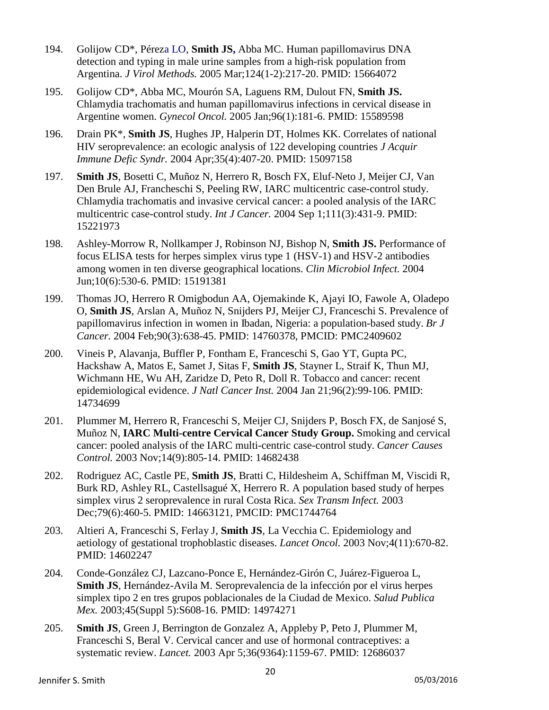- 194. Golijow CD\*, Péreza LO, **Smith JS,** Abba MC. Human papillomavirus DNA detection and typing in male urine samples from a high-risk population from Argentina. *J Virol Methods.* 2005 Mar;124(1-2):217-20. PMID: 15664072
- 195. Golijow CD\*, Abba MC, Mourón SA, Laguens RM, Dulout FN, **Smith JS.** Chlamydia trachomatis and human papillomavirus infections in cervical disease in Argentine women. *Gynecol Oncol.* 2005 Jan;96(1):181-6. PMID: 15589598
- 196. Drain PK\*, **Smith JS**, Hughes JP, Halperin DT, Holmes KK. Correlates of national HIV seroprevalence: an ecologic analysis of 122 developing countries *J Acquir Immune Defic Syndr.* 2004 Apr;35(4):407-20. PMID: 15097158
- 197. **Smith JS**, Bosetti C, Muñoz N, Herrero R, Bosch FX, Eluf-Neto J, Meijer CJ, Van Den Brule AJ, Francheschi S, Peeling RW, IARC multicentric case-control study. Chlamydia trachomatis and invasive cervical cancer: a pooled analysis of the IARC multicentric case-control study. *Int J Cancer.* 2004 Sep 1;111(3):431-9. PMID: 15221973
- 198. Ashley-Morrow R, Nollkamper J, Robinson NJ, Bishop N, **Smith JS.** Performance of focus ELISA tests for herpes simplex virus type 1 (HSV-1) and HSV-2 antibodies among women in ten diverse geographical locations. *Clin Microbiol Infect.* 2004 Jun;10(6):530-6. PMID: 15191381
- 199. Thomas JO, Herrero R Omigbodun AA, Ojemakinde K, Ajayi IO, Fawole A, Oladepo O, **Smith JS**, Arslan A, Muñoz N, Snijders PJ, Meijer CJ, Franceschi S. Prevalence of papillomavirus infection in women in Ibadan, Nigeria: a population-based study. *Br J Cancer.* 2004 Feb;90(3):638-45. PMID: 14760378, PMCID: PMC2409602
- 200. Vineis P, Alavanja, Buffler P, Fontham E, Franceschi S, Gao YT, Gupta PC, Hackshaw A, Matos E, Samet J, Sitas F, **Smith JS**, Stayner L, Straif K, Thun MJ, Wichmann HE, Wu AH, Zaridze D, Peto R, Doll R. Tobacco and cancer: recent epidemiological evidence. *J Natl Cancer Inst.* 2004 Jan 21;96(2):99-106. PMID: 14734699
- 201. Plummer M, Herrero R, Franceschi S, Meijer CJ, Snijders P, Bosch FX, de Sanjosé S, Muñoz N, **IARC Multi-centre Cervical Cancer Study Group.** Smoking and cervical cancer: pooled analysis of the IARC multi-centric case-control study. *Cancer Causes Control.* 2003 Nov;14(9):805-14. PMID: 14682438
- 202. Rodriguez AC, Castle PE, **Smith JS**, Bratti C, Hildesheim A, Schiffman M, Viscidi R, Burk RD, Ashley RL, Castellsagué X, Herrero R. A population based study of herpes simplex virus 2 seroprevalence in rural Costa Rica. *Sex Transm Infect.* 2003 Dec;79(6):460-5. PMID: 14663121, PMCID: PMC1744764
- 203. Altieri A, Franceschi S, Ferlay J, **Smith JS**, La Vecchia C. Epidemiology and aetiology of gestational trophoblastic diseases. *Lancet Oncol.* 2003 Nov;4(11):670-82. PMID: 14602247
- 204. Conde-González CJ, Lazcano-Ponce E, Hernández-Girón C, Juárez-Figueroa L, **Smith JS**, Hernández-Avila M. Seroprevalencia de la infección por el virus herpes simplex tipo 2 en tres grupos poblacionales de la Ciudad de Mexico. *Salud Publica Mex.* 2003;45(Suppl 5):S608-16. PMID: 14974271
- 205. **Smith JS**, Green J, Berrington de Gonzalez A, Appleby P, Peto J, Plummer M, Franceschi S, Beral V. Cervical cancer and use of hormonal contraceptives: a systematic review. *Lancet.* 2003 Apr 5;36(9364):1159-67. PMID: 12686037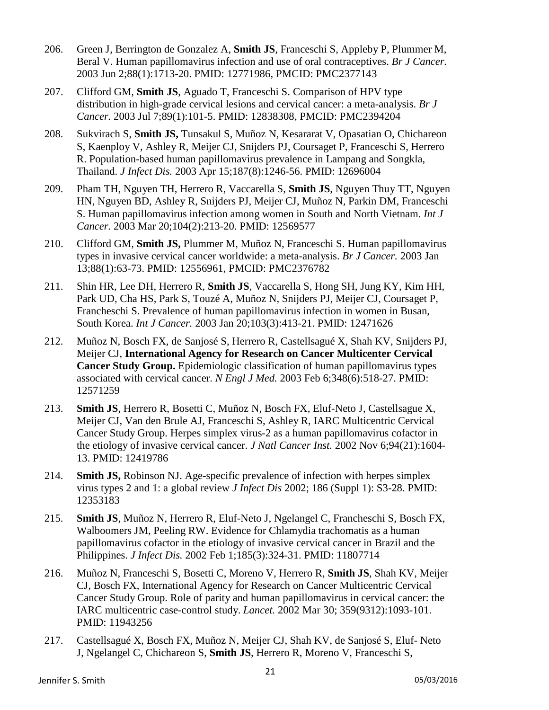- 206. Green J, Berrington de Gonzalez A, **Smith JS**, Franceschi S, Appleby P, Plummer M, Beral V. Human papillomavirus infection and use of oral contraceptives. *Br J Cancer.* 2003 Jun 2;88(1):1713-20. PMID: 12771986, PMCID: PMC2377143
- 207. Clifford GM, **Smith JS**, Aguado T, Franceschi S. Comparison of HPV type distribution in high-grade cervical lesions and cervical cancer: a meta-analysis. *Br J Cancer.* 2003 Jul 7;89(1):101-5. PMID: 12838308, PMCID: PMC2394204
- 208. Sukvirach S, **Smith JS,** Tunsakul S, Muñoz N, Kesararat V, Opasatian O, Chichareon S, Kaenploy V, Ashley R, Meijer CJ, Snijders PJ, Coursaget P, Franceschi S, Herrero R. Population-based human papillomavirus prevalence in Lampang and Songkla, Thailand. *J Infect Dis.* 2003 Apr 15;187(8):1246-56. PMID: 12696004
- 209. Pham TH, Nguyen TH, Herrero R, Vaccarella S, **Smith JS**, Nguyen Thuy TT, Nguyen HN, Nguyen BD, Ashley R, Snijders PJ, Meijer CJ, Muñoz N, Parkin DM, Franceschi S. Human papillomavirus infection among women in South and North Vietnam. *Int J Cancer.* 2003 Mar 20;104(2):213-20. PMID: 12569577
- 210. Clifford GM, **Smith JS,** Plummer M, Muñoz N, Franceschi S. Human papillomavirus types in invasive cervical cancer worldwide: a meta-analysis. *Br J Cancer.* 2003 Jan 13;88(1):63-73. PMID: 12556961, PMCID: PMC2376782
- 211. Shin HR, Lee DH, Herrero R, **Smith JS**, Vaccarella S, Hong SH, Jung KY, Kim HH, Park UD, Cha HS, Park S, Touzé A, Muñoz N, Snijders PJ, Meijer CJ, Coursaget P, Francheschi S. Prevalence of human papillomavirus infection in women in Busan, South Korea. *Int J Cancer.* 2003 Jan 20;103(3):413-21. PMID: 12471626
- 212. Muñoz N, Bosch FX, de Sanjosé S, Herrero R, Castellsagué X, Shah KV, Snijders PJ, Meijer CJ, **International Agency for Research on Cancer Multicenter Cervical Cancer Study Group.** Epidemiologic classification of human papillomavirus types associated with cervical cancer. *N Engl J Med.* 2003 Feb 6;348(6):518-27. PMID: 12571259
- 213. **Smith JS**, Herrero R, Bosetti C, Muñoz N, Bosch FX, Eluf-Neto J, Castellsague X, Meijer CJ, Van den Brule AJ, Franceschi S, Ashley R, IARC Multicentric Cervical Cancer Study Group. Herpes simplex virus-2 as a human papillomavirus cofactor in the etiology of invasive cervical cancer. *J Natl Cancer Inst.* 2002 Nov 6;94(21):1604- 13. PMID: 12419786
- 214. **Smith JS,** Robinson NJ. Age-specific prevalence of infection with herpes simplex virus types 2 and 1: a global review *J Infect Dis* 2002; 186 (Suppl 1): S3-28. PMID: 12353183
- 215. **Smith JS**, Muñoz N, Herrero R, Eluf-Neto J, Ngelangel C, Francheschi S, Bosch FX, Walboomers JM, Peeling RW. Evidence for Chlamydia trachomatis as a human papillomavirus cofactor in the etiology of invasive cervical cancer in Brazil and the Philippines. *J Infect Dis.* 2002 Feb 1;185(3):324-31. PMID: 11807714
- 216. Muñoz N, Franceschi S, Bosetti C, Moreno V, Herrero R, **Smith JS**, Shah KV, Meijer CJ, Bosch FX, International Agency for Research on Cancer Multicentric Cervical Cancer Study Group. Role of parity and human papillomavirus in cervical cancer: the IARC multicentric case-control study. *Lancet.* 2002 Mar 30; 359(9312):1093-101. PMID: 11943256
- 217. Castellsagué X, Bosch FX, Muñoz N, Meijer CJ, Shah KV, de Sanjosé S, Eluf- Neto J, Ngelangel C, Chichareon S, **Smith JS**, Herrero R, Moreno V, Franceschi S,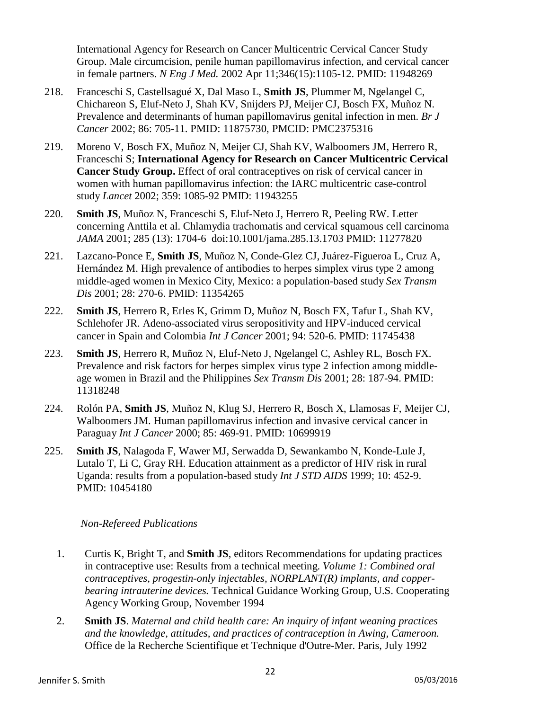International Agency for Research on Cancer Multicentric Cervical Cancer Study Group. Male circumcision, penile human papillomavirus infection, and cervical cancer in female partners. *N Eng J Med.* 2002 Apr 11;346(15):1105-12. PMID: 11948269

- 218. Franceschi S, Castellsagué X, Dal Maso L, **Smith JS**, Plummer M, Ngelangel C, Chichareon S, Eluf-Neto J, Shah KV, Snijders PJ, Meijer CJ, Bosch FX, Muñoz N. Prevalence and determinants of human papillomavirus genital infection in men. *Br J Cancer* 2002; 86: 705-11. PMID: 11875730, PMCID: PMC2375316
- 219. Moreno V, Bosch FX, Muñoz N, Meijer CJ, Shah KV, Walboomers JM, Herrero R, Franceschi S; **International Agency for Research on Cancer Multicentric Cervical Cancer Study Group.** Effect of oral contraceptives on risk of cervical cancer in women with human papillomavirus infection: the IARC multicentric case-control study *Lancet* 2002; 359: 1085-92 PMID: 11943255
- 220. **Smith JS**, Muñoz N, Franceschi S, Eluf-Neto J, Herrero R, Peeling RW. Letter concerning Anttila et al. Chlamydia trachomatis and cervical squamous cell carcinoma *JAMA* 2001; 285 (13): 1704-6 doi:10.1001/jama.285.13.1703 PMID: 11277820
- 221. Lazcano-Ponce E, **Smith JS**, Muñoz N, Conde-Glez CJ, Juárez-Figueroa L, Cruz A, Hernández M. High prevalence of antibodies to herpes simplex virus type 2 among middle-aged women in Mexico City, Mexico: a population-based study *Sex Transm Dis* 2001; 28: 270-6. PMID: 11354265
- 222. **Smith JS**, Herrero R, Erles K, Grimm D, Muñoz N, Bosch FX, Tafur L, Shah KV, Schlehofer JR. Adeno-associated virus seropositivity and HPV-induced cervical cancer in Spain and Colombia *Int J Cancer* 2001; 94: 520-6. PMID: 11745438
- 223. **Smith JS**, Herrero R, Muñoz N, Eluf-Neto J, Ngelangel C, Ashley RL, Bosch FX. Prevalence and risk factors for herpes simplex virus type 2 infection among middleage women in Brazil and the Philippines *Sex Transm Dis* 2001; 28: 187-94. PMID: 11318248
- 224. Rolón PA, **Smith JS**, Muñoz N, Klug SJ, Herrero R, Bosch X, Llamosas F, Meijer CJ, Walboomers JM. Human papillomavirus infection and invasive cervical cancer in Paraguay *Int J Cancer* 2000; 85: 469-91. PMID: 10699919
- 225. **Smith JS**, Nalagoda F, Wawer MJ, Serwadda D, Sewankambo N, Konde-Lule J, Lutalo T, Li C, Gray RH. Education attainment as a predictor of HIV risk in rural Uganda: results from a population-based study *Int J STD AIDS* 1999; 10: 452-9. PMID: 10454180

## *Non-Refereed Publications*

- 1. Curtis K, Bright T, and **Smith JS**, editors Recommendations for updating practices in contraceptive use: Results from a technical meeting. *Volume 1: Combined oral contraceptives, progestin-only injectables, NORPLANT(R) implants, and copperbearing intrauterine devices.* Technical Guidance Working Group, U.S. Cooperating Agency Working Group, November 1994
- 2. **Smith JS**. *Maternal and child health care: An inquiry of infant weaning practices and the knowledge, attitudes, and practices of contraception in Awing, Cameroon.*  Office de la Recherche Scientifique et Technique d'Outre-Mer. Paris, July 1992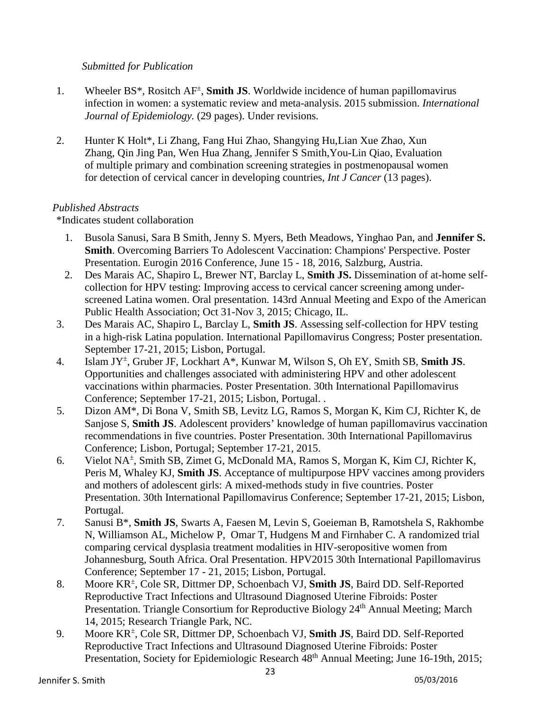## *Submitted for Publication*

- 1. Wheeler BS<sup>\*</sup>, Rositch AF<sup>±</sup>, **Smith JS**. Worldwide incidence of human papillomavirus infection in women: a systematic review and meta-analysis. 2015 submission. *International Journal of Epidemiology.* (29 pages). Under revisions.
- 2. Hunter K Holt\*, Li Zhang, Fang Hui Zhao, Shangying Hu,Lian Xue Zhao, Xun Zhang, Qin Jing Pan, Wen Hua Zhang, Jennifer S Smith,You-Lin Qiao, Evaluation of multiple primary and combination screening strategies in postmenopausal women for detection of cervical cancer in developing countries, *Int J Cancer* (13 pages).

## *Published Abstracts*

\*Indicates student collaboration

- 1. Busola Sanusi, Sara B Smith, Jenny S. Myers, Beth Meadows, Yinghao Pan, and **Jennifer S. Smith**. Overcoming Barriers To Adolescent Vaccination: Champions' Perspective. Poster Presentation. Eurogin 2016 Conference, June 15 - 18, 2016, Salzburg, Austria.
- 2. Des Marais AC, Shapiro L, Brewer NT, Barclay L, **Smith JS.** Dissemination of at-home selfcollection for HPV testing: Improving access to cervical cancer screening among underscreened Latina women. Oral presentation. 143rd Annual Meeting and Expo of the American Public Health Association; Oct 31-Nov 3, 2015; Chicago, IL.
- 3. Des Marais AC, Shapiro L, Barclay L, **Smith JS**. Assessing self-collection for HPV testing in a high-risk Latina population. International Papillomavirus Congress; Poster presentation. September 17-21, 2015; Lisbon, Portugal.
- 4. Islam JY± , Gruber JF, Lockhart A\*, Kunwar M, Wilson S, Oh EY, Smith SB, **Smith JS**. Opportunities and challenges associated with administering HPV and other adolescent vaccinations within pharmacies. Poster Presentation. 30th International Papillomavirus Conference; September 17-21, 2015; Lisbon, Portugal. .
- 5. Dizon AM\*, Di Bona V, Smith SB, Levitz LG, Ramos S, Morgan K, Kim CJ, Richter K, de Sanjose S, **Smith JS**. Adolescent providers' knowledge of human papillomavirus vaccination recommendations in five countries. Poster Presentation. 30th International Papillomavirus Conference; Lisbon, Portugal; September 17-21, 2015.
- 6. Vielot NA± , Smith SB, Zimet G, McDonald MA, Ramos S, Morgan K, Kim CJ, Richter K, Peris M, Whaley KJ, **Smith JS**. Acceptance of multipurpose HPV vaccines among providers and mothers of adolescent girls: A mixed-methods study in five countries. Poster Presentation. 30th International Papillomavirus Conference; September 17-21, 2015; Lisbon, Portugal.
- 7. Sanusi B\*, **Smith JS**, Swarts A, Faesen M, Levin S, Goeieman B, Ramotshela S, Rakhombe N, Williamson AL, Michelow P, Omar T, Hudgens M and Firnhaber C. A randomized trial comparing cervical dysplasia treatment modalities in HIV-seropositive women from Johannesburg, South Africa. Oral Presentation. HPV2015 30th International Papillomavirus Conference; September 17 - 21, 2015; Lisbon, Portugal.
- 8. Moore KR<sup>±</sup> , Cole SR, Dittmer DP, Schoenbach VJ, **Smith JS**, Baird DD. Self-Reported Reproductive Tract Infections and Ultrasound Diagnosed Uterine Fibroids: Poster Presentation. Triangle Consortium for Reproductive Biology 24<sup>th</sup> Annual Meeting; March 14, 2015; Research Triangle Park, NC.
- 9. Moore KR<sup>±</sup> , Cole SR, Dittmer DP, Schoenbach VJ, **Smith JS**, Baird DD. Self-Reported Reproductive Tract Infections and Ultrasound Diagnosed Uterine Fibroids: Poster Presentation, Society for Epidemiologic Research  $48<sup>th</sup>$  Annual Meeting; June 16-19th, 2015;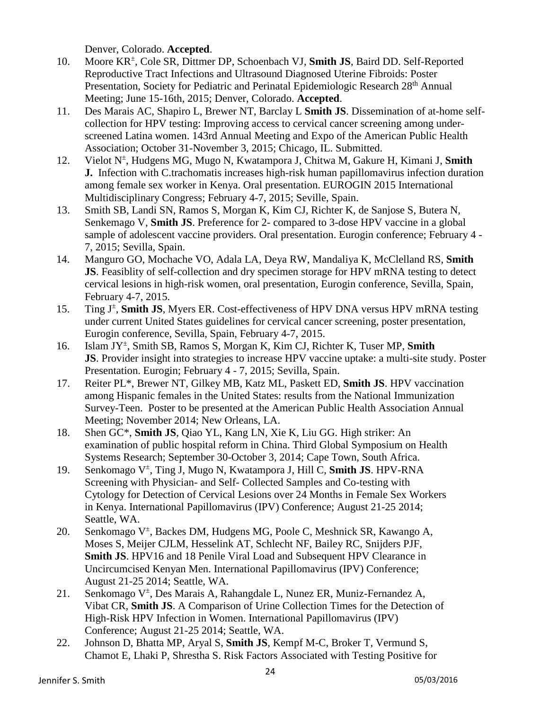Denver, Colorado. **Accepted**.

- 10. Moore KR<sup>±</sup> , Cole SR, Dittmer DP, Schoenbach VJ, **Smith JS**, Baird DD. Self-Reported Reproductive Tract Infections and Ultrasound Diagnosed Uterine Fibroids: Poster Presentation, Society for Pediatric and Perinatal Epidemiologic Research 28<sup>th</sup> Annual Meeting; June 15-16th, 2015; Denver, Colorado. **Accepted**.
- 11. Des Marais AC, Shapiro L, Brewer NT, Barclay L **Smith JS**. Dissemination of at-home selfcollection for HPV testing: Improving access to cervical cancer screening among underscreened Latina women. 143rd Annual Meeting and Expo of the American Public Health Association; October 31-November 3, 2015; Chicago, IL. Submitted.
- 12. Vielot N± , Hudgens MG, Mugo N, Kwatampora J, Chitwa M, Gakure H, Kimani J, **Smith J.** Infection with C.trachomatis increases high-risk human papillomavirus infection duration among female sex worker in Kenya. Oral presentation. EUROGIN 2015 International Multidisciplinary Congress; February 4-7, 2015; Seville, Spain.
- 13. Smith SB, Landi SN, Ramos S, Morgan K, Kim CJ, Richter K, de Sanjose S, Butera N, Senkemago V, **Smith JS**. Preference for 2- compared to 3-dose HPV vaccine in a global sample of adolescent vaccine providers. Oral presentation. Eurogin conference; February 4 - 7, 2015; Sevilla, Spain.
- 14. Manguro GO, Mochache VO, Adala LA, Deya RW, Mandaliya K, McClelland RS, **Smith JS**. Feasiblity of self-collection and dry specimen storage for HPV mRNA testing to detect cervical lesions in high-risk women, oral presentation, Eurogin conference, Sevilla, Spain, February 4-7, 2015.
- 15. Ting J<sup>±</sup>, **Smith JS**, Myers ER. Cost-effectiveness of HPV DNA versus HPV mRNA testing under current United States guidelines for cervical cancer screening, poster presentation, Eurogin conference, Sevilla, Spain, February 4-7, 2015.
- 16. Islam JY± , Smith SB, Ramos S, Morgan K, Kim CJ, Richter K, Tuser MP, **Smith JS**. Provider insight into strategies to increase HPV vaccine uptake: a multi-site study. Poster Presentation. Eurogin; February 4 - 7, 2015; Sevilla, Spain.
- 17. Reiter PL\*, Brewer NT, Gilkey MB, Katz ML, Paskett ED, **Smith JS**. HPV vaccination among Hispanic females in the United States: results from the National Immunization Survey-Teen. Poster to be presented at the American Public Health Association Annual Meeting; November 2014; New Orleans, LA.
- 18. Shen GC\*, **Smith JS**, Qiao YL, Kang LN, Xie K, Liu GG. High striker: An examination of public hospital reform in China. Third Global Symposium on Health Systems Research; September 30-October 3, 2014; Cape Town, South Africa.
- 19. Senkomago V± , Ting J, Mugo N, Kwatampora J, Hill C, **Smith JS**. HPV-RNA Screening with Physician- and Self- Collected Samples and Co-testing with Cytology for Detection of Cervical Lesions over 24 Months in Female Sex Workers in Kenya. International Papillomavirus (IPV) Conference; August 21-25 2014; Seattle, WA.
- 20. Senkomago V<sup>±</sup>, Backes DM, Hudgens MG, Poole C, Meshnick SR, Kawango A, Moses S, Meijer CJLM, Hesselink AT, Schlecht NF, Bailey RC, Snijders PJF, **Smith JS**. HPV16 and 18 Penile Viral Load and Subsequent HPV Clearance in Uncircumcised Kenyan Men. International Papillomavirus (IPV) Conference; August 21-25 2014; Seattle, WA.
- 21. Senkomago V<sup>±</sup>, Des Marais A, Rahangdale L, Nunez ER, Muniz-Fernandez A, Vibat CR, **Smith JS**. A Comparison of Urine Collection Times for the Detection of High-Risk HPV Infection in Women. International Papillomavirus (IPV) Conference; August 21-25 2014; Seattle, WA.
- 22. Johnson D, Bhatta MP, Aryal S, **Smith JS**, Kempf M-C, Broker T, Vermund S, Chamot E, Lhaki P, Shrestha S. Risk Factors Associated with Testing Positive for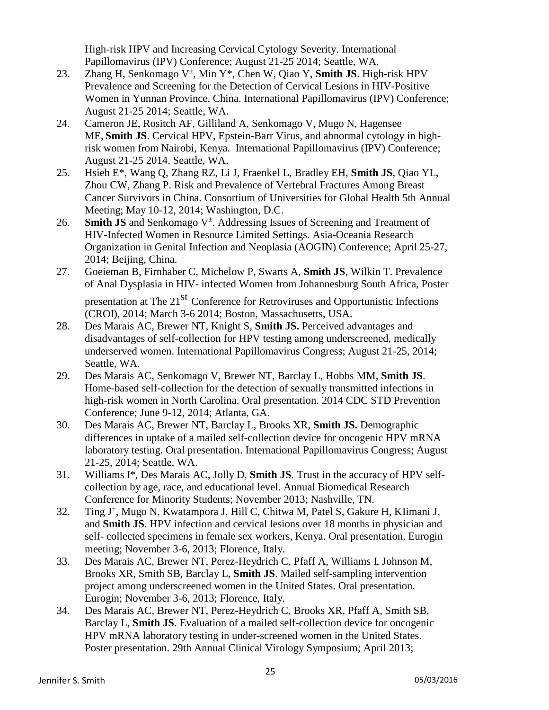High-risk HPV and Increasing Cervical Cytology Severity. International Papillomavirus (IPV) Conference; August 21-25 2014; Seattle, WA.

- 23. Zhang H, Senkomago V<sup>±</sup>, Min Y<sup>\*</sup>, Chen W, Qiao Y, Smith JS. High-risk HPV Prevalence and Screening for the Detection of Cervical Lesions in HIV-Positive Women in Yunnan Province, China. International Papillomavirus (IPV) Conference; August 21-25 2014; Seattle, WA.
- 24. Cameron JE, Rositch AF, Gilliland A, Senkomago V, Mugo N, Hagensee ME, **Smith JS**. Cervical HPV, Epstein-Barr Virus, and abnormal cytology in highrisk women from Nairobi, Kenya. International Papillomavirus (IPV) Conference; August 21-25 2014. Seattle, WA.
- 25. Hsieh E\*, Wang Q, Zhang RZ, Li J, Fraenkel L, Bradley EH, **Smith JS**, Qiao YL, Zhou CW, Zhang P. Risk and Prevalence of Vertebral Fractures Among Breast Cancer Survivors in China. Consortium of Universities for Global Health 5th Annual Meeting; May 10-12, 2014; Washington, D.C.
- 26. **Smith JS** and Senkomago V<sup>±</sup>. Addressing Issues of Screening and Treatment of HIV-Infected Women in Resource Limited Settings. Asia-Oceania Research Organization in Genital Infection and Neoplasia (AOGIN) Conference; April 25-27, 2014; Beijing, China.
- 27. Goeieman B, Firnhaber C, Michelow P, Swarts A, **Smith JS**, Wilkin T. Prevalence of Anal Dysplasia in HIV- infected Women from Johannesburg South Africa, Poster

presentation at The 21<sup>st</sup> Conference for Retroviruses and Opportunistic Infections (CROI), 2014; March 3-6 2014; Boston, Massachusetts, USA.

- 28. Des Marais AC, Brewer NT, Knight S, **Smith JS.** Perceived advantages and disadvantages of self-collection for HPV testing among underscreened, medically underserved women. International Papillomavirus Congress; August 21-25, 2014; Seattle, WA.
- 29. Des Marais AC, Senkomago V, Brewer NT, Barclay L, Hobbs MM, **Smith JS**. Home-based self-collection for the detection of sexually transmitted infections in high-risk women in North Carolina. Oral presentation. 2014 CDC STD Prevention Conference; June 9-12, 2014; Atlanta, GA.
- 30. Des Marais AC, Brewer NT, Barclay L, Brooks XR, **Smith JS.** Demographic differences in uptake of a mailed self-collection device for oncogenic HPV mRNA laboratory testing. Oral presentation. International Papillomavirus Congress; August 21-25, 2014; Seattle, WA.
- 31. Williams I\*, Des Marais AC, Jolly D, **Smith JS**. Trust in the accuracy of HPV selfcollection by age, race, and educational level. Annual Biomedical Research Conference for Minority Students; November 2013; Nashville, TN.
- 32. Ting J<sup>±</sup>, Mugo N, Kwatampora J, Hill C, Chitwa M, Patel S, Gakure H, KIimani J, and **Smith JS**. HPV infection and cervical lesions over 18 months in physician and self- collected specimens in female sex workers, Kenya. Oral presentation. Eurogin meeting; November 3-6, 2013; Florence, Italy.
- 33. Des Marais AC, Brewer NT, Perez-Heydrich C, Pfaff A, Williams I, Johnson M, Brooks XR, Smith SB, Barclay L, **Smith JS**. Mailed self-sampling intervention project among underscreened women in the United States. Oral presentation. Eurogin; November 3-6, 2013; Florence, Italy.
- 34. Des Marais AC, Brewer NT, Perez-Heydrich C, Brooks XR, Pfaff A, Smith SB, Barclay L, **Smith JS**. Evaluation of a mailed self-collection device for oncogenic HPV mRNA laboratory testing in under-screened women in the United States. Poster presentation. 29th Annual Clinical Virology Symposium; April 2013;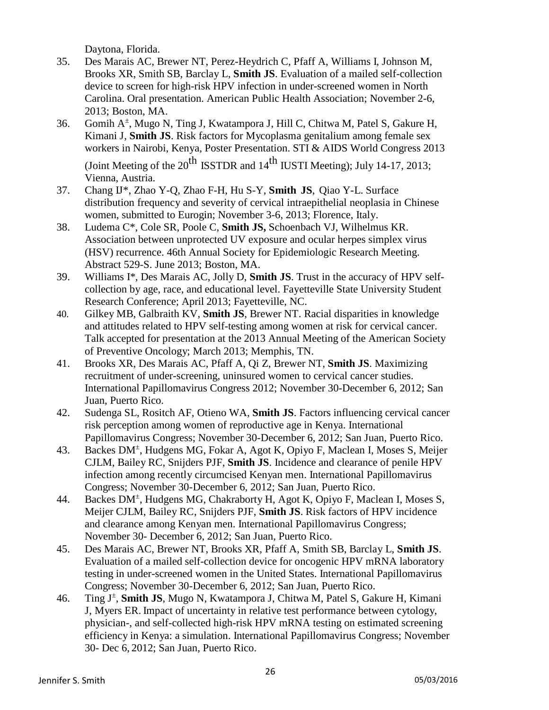Daytona, Florida.

- 35. Des Marais AC, Brewer NT, Perez-Heydrich C, Pfaff A, Williams I, Johnson M, Brooks XR, Smith SB, Barclay L, **Smith JS**. Evaluation of a mailed self-collection device to screen for high-risk HPV infection in under-screened women in North Carolina. Oral presentation. American Public Health Association; November 2-6, 2013; Boston, MA.
- 36. Gomih A<sup>±</sup>, Mugo N, Ting J, Kwatampora J, Hill C, Chitwa M, Patel S, Gakure H, Kimani J, **Smith JS**. Risk factors for Mycoplasma genitalium among female sex workers in Nairobi, Kenya, Poster Presentation. STI & AIDS World Congress 2013 (Joint Meeting of the  $20^{th}$  ISSTDR and  $14^{th}$  IUSTI Meeting); July 14-17, 2013;

Vienna, Austria.

- 37. Chang IJ\*, Zhao Y-Q, Zhao F-H, Hu S-Y, **Smith JS**, Qiao Y-L. Surface distribution frequency and severity of cervical intraepithelial neoplasia in Chinese women, submitted to Eurogin; November 3-6, 2013; Florence, Italy.
- 38. Ludema C\*, Cole SR, Poole C, **Smith JS,** Schoenbach VJ, Wilhelmus KR. Association between unprotected UV exposure and ocular herpes simplex virus (HSV) recurrence. 46th Annual Society for Epidemiologic Research Meeting. Abstract 529-S. June 2013; Boston, MA.
- 39. Williams I\*, Des Marais AC, Jolly D, **Smith JS**. Trust in the accuracy of HPV selfcollection by age, race, and educational level. Fayetteville State University Student Research Conference; April 2013; Fayetteville, NC.
- 40. Gilkey MB, Galbraith KV, **Smith JS**, Brewer NT. Racial disparities in knowledge and attitudes related to HPV self-testing among women at risk for cervical cancer. Talk accepted for presentation at the 2013 Annual Meeting of the American Society of Preventive Oncology; March 2013; Memphis, TN.
- 41. Brooks XR, Des Marais AC, Pfaff A, Qi Z, Brewer NT, **Smith JS**. Maximizing recruitment of under-screening, uninsured women to cervical cancer studies. International Papillomavirus Congress 2012; November 30-December 6, 2012; San Juan, Puerto Rico.
- 42. Sudenga SL, Rositch AF, Otieno WA, **Smith JS**. Factors influencing cervical cancer risk perception among women of reproductive age in Kenya. International Papillomavirus Congress; November 30-December 6, 2012; San Juan, Puerto Rico.
- 43. Backes DM<sup>+</sup>, Hudgens MG, Fokar A, Agot K, Opiyo F, Maclean I, Moses S, Meijer CJLM, Bailey RC, Snijders PJF, **Smith JS**. Incidence and clearance of penile HPV infection among recently circumcised Kenyan men. International Papillomavirus Congress; November 30-December 6, 2012; San Juan, Puerto Rico.
- 44. Backes DM<sup>+</sup>, Hudgens MG, Chakraborty H, Agot K, Opiyo F, Maclean I, Moses S, Meijer CJLM, Bailey RC, Snijders PJF, **Smith JS**. Risk factors of HPV incidence and clearance among Kenyan men. International Papillomavirus Congress; November 30- December 6, 2012; San Juan, Puerto Rico.
- 45. Des Marais AC, Brewer NT, Brooks XR, Pfaff A, Smith SB, Barclay L, **Smith JS**. Evaluation of a mailed self-collection device for oncogenic HPV mRNA laboratory testing in under-screened women in the United States. International Papillomavirus Congress; November 30-December 6, 2012; San Juan, Puerto Rico.
- 46. Ting J<sup>±</sup> , **Smith JS**, Mugo N, Kwatampora J, Chitwa M, Patel S, Gakure H, Kimani J, Myers ER. Impact of uncertainty in relative test performance between cytology, physician-, and self-collected high-risk HPV mRNA testing on estimated screening efficiency in Kenya: a simulation. International Papillomavirus Congress; November 30- Dec 6, 2012; San Juan, Puerto Rico.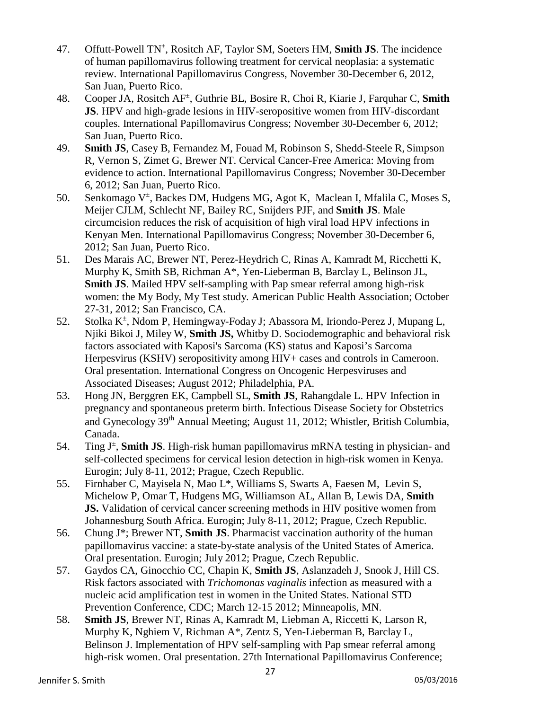- 47. Offutt-Powell TN± , Rositch AF, Taylor SM, Soeters HM, **Smith JS**. The incidence of human papillomavirus following treatment for cervical neoplasia: a systematic review. International Papillomavirus Congress, November 30-December 6, 2012, San Juan, Puerto Rico.
- 48. Cooper JA, Rositch AF± , Guthrie BL, Bosire R, Choi R, Kiarie J, Farquhar C, **Smith JS**. HPV and high-grade lesions in HIV-seropositive women from HIV-discordant couples. International Papillomavirus Congress; November 30-December 6, 2012; San Juan, Puerto Rico.
- 49. **Smith JS**, Casey B, Fernandez M, Fouad M, Robinson S, Shedd-Steele R, Simpson R, Vernon S, Zimet G, Brewer NT. Cervical Cancer-Free America: Moving from evidence to action. International Papillomavirus Congress; November 30-December 6, 2012; San Juan, Puerto Rico.
- 50. Senkomago V<sup>±</sup>, Backes DM, Hudgens MG, Agot K, Maclean I, Mfalila C, Moses S, Meijer CJLM, Schlecht NF, Bailey RC, Snijders PJF, and **Smith JS**. Male circumcision reduces the risk of acquisition of high viral load HPV infections in Kenyan Men. International Papillomavirus Congress; November 30-December 6, 2012; San Juan, Puerto Rico.
- 51. Des Marais AC, Brewer NT, Perez-Heydrich C, Rinas A, Kamradt M, Ricchetti K, Murphy K, Smith SB, Richman A\*, Yen-Lieberman B, Barclay L, Belinson JL, **Smith JS**. Mailed HPV self-sampling with Pap smear referral among high-risk women: the My Body, My Test study. American Public Health Association; October 27-31, 2012; San Francisco, CA.
- 52. Stolka K<sup>±</sup>, Ndom P, Hemingway-Foday J; Abassora M, Iriondo-Perez J, Mupang L, Njiki Bikoi J, Miley W, **Smith JS,** Whitby D. Sociodemographic and behavioral risk factors associated with Kaposi's Sarcoma (KS) status and Kaposi's Sarcoma Herpesvirus (KSHV) seropositivity among HIV+ cases and controls in Cameroon. Oral presentation. International Congress on Oncogenic Herpesviruses and Associated Diseases; August 2012; Philadelphia, PA.
- 53. Hong JN, Berggren EK, Campbell SL, **Smith JS**, Rahangdale L. HPV Infection in pregnancy and spontaneous preterm birth. Infectious Disease Society for Obstetrics and Gynecology 39<sup>th</sup> Annual Meeting; August 11, 2012; Whistler, British Columbia, Canada.
- 54. Ting J<sup>±</sup>, **Smith JS**. High-risk human papillomavirus mRNA testing in physician- and self-collected specimens for cervical lesion detection in high-risk women in Kenya. Eurogin; July 8-11, 2012; Prague, Czech Republic.
- 55. Firnhaber C, Mayisela N, Mao L\*, Williams S, Swarts A, Faesen M, Levin S, Michelow P, Omar T, Hudgens MG, Williamson AL, Allan B, Lewis DA, **Smith JS.** Validation of cervical cancer screening methods in HIV positive women from Johannesburg South Africa. Eurogin; July 8-11, 2012; Prague, Czech Republic.
- 56. Chung J\*; Brewer NT, **Smith JS**. Pharmacist vaccination authority of the human papillomavirus vaccine: a state-by-state analysis of the United States of America. Oral presentation. Eurogin; July 2012; Prague, Czech Republic.
- 57. Gaydos CA, Ginocchio CC, Chapin K, **Smith JS**, Aslanzadeh J, Snook J, Hill CS. Risk factors associated with *Trichomonas vaginalis* infection as measured with a nucleic acid amplification test in women in the United States. National STD Prevention Conference, CDC; March 12-15 2012; Minneapolis, MN.
- 58. **Smith JS**, Brewer NT, Rinas A, Kamradt M, Liebman A, Riccetti K, Larson R, Murphy K, Nghiem V, Richman A\*, Zentz S, Yen-Lieberman B, Barclay L, Belinson J. Implementation of HPV self-sampling with Pap smear referral among high-risk women. Oral presentation. 27th International Papillomavirus Conference;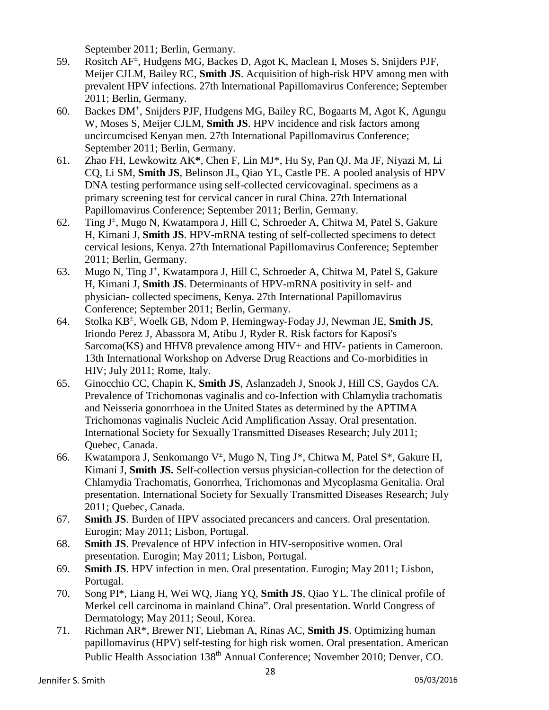September 2011; Berlin, Germany.

- 59. Rositch AF± , Hudgens MG, Backes D, Agot K, Maclean I, Moses S, Snijders PJF, Meijer CJLM, Bailey RC, **Smith JS**. Acquisition of high-risk HPV among men with prevalent HPV infections. 27th International Papillomavirus Conference; September 2011; Berlin, Germany.
- 60. Backes DM<sup>±</sup> , Snijders PJF, Hudgens MG, Bailey RC, Bogaarts M, Agot K, Agungu W, Moses S, Meijer CJLM, **Smith JS**. HPV incidence and risk factors among uncircumcised Kenyan men. 27th International Papillomavirus Conference; September 2011; Berlin, Germany.
- 61. Zhao FH, Lewkowitz AK**\***, Chen F, Lin MJ\*, Hu Sy, Pan QJ, Ma JF, Niyazi M, Li CQ, Li SM, **Smith JS**, Belinson JL, Qiao YL, Castle PE. A pooled analysis of HPV DNA testing performance using self-collected cervicovaginal. specimens as a primary screening test for cervical cancer in rural China. 27th International Papillomavirus Conference; September 2011; Berlin, Germany.
- 62. Ting J<sup>±</sup> , Mugo N, Kwatampora J, Hill C, Schroeder A, Chitwa M, Patel S, Gakure H, Kimani J, **Smith JS**. HPV-mRNA testing of self-collected specimens to detect cervical lesions, Kenya. 27th International Papillomavirus Conference; September 2011; Berlin, Germany.
- 63. Mugo N, Ting J<sup>±</sup>, Kwatampora J, Hill C, Schroeder A, Chitwa M, Patel S, Gakure H, Kimani J, **Smith JS**. Determinants of HPV-mRNA positivity in self- and physician- collected specimens, Kenya. 27th International Papillomavirus Conference; September 2011; Berlin, Germany.
- 64. Stolka KB± , Woelk GB, Ndom P, Hemingway-Foday JJ, Newman JE, **Smith JS**, Iriondo Perez J, Abassora M, Atibu J, Ryder R. Risk factors for Kaposi's Sarcoma(KS) and HHV8 prevalence among HIV+ and HIV- patients in Cameroon. 13th International Workshop on Adverse Drug Reactions and Co-morbidities in HIV; July 2011; Rome, Italy.
- 65. Ginocchio CC, Chapin K, **Smith JS**, Aslanzadeh J, Snook J, Hill CS, Gaydos CA. Prevalence of Trichomonas vaginalis and co-Infection with Chlamydia trachomatis and Neisseria gonorrhoea in the United States as determined by the APTIMA Trichomonas vaginalis Nucleic Acid Amplification Assay. Oral presentation. International Society for Sexually Transmitted Diseases Research; July 2011; Quebec, Canada.
- 66. Kwatampora J, Senkomango V<sup>±</sup>, Mugo N, Ting J<sup>\*</sup>, Chitwa M, Patel S<sup>\*</sup>, Gakure H, Kimani J, **Smith JS.** Self-collection versus physician-collection for the detection of Chlamydia Trachomatis, Gonorrhea, Trichomonas and Mycoplasma Genitalia. Oral presentation. International Society for Sexually Transmitted Diseases Research; July 2011; Quebec, Canada.
- 67. **Smith JS**. Burden of HPV associated precancers and cancers. Oral presentation. Eurogin; May 2011; Lisbon, Portugal.
- 68. **Smith JS**. Prevalence of HPV infection in HIV-seropositive women. Oral presentation. Eurogin; May 2011; Lisbon, Portugal.
- 69. **Smith JS**. HPV infection in men. Oral presentation. Eurogin; May 2011; Lisbon, Portugal.
- 70. Song PI\*, Liang H, Wei WQ, Jiang YQ, **Smith JS**, Qiao YL. The clinical profile of Merkel cell carcinoma in mainland China". Oral presentation. World Congress of Dermatology; May 2011; Seoul, Korea.
- 71. Richman AR\*, Brewer NT, Liebman A, Rinas AC, **Smith JS**. Optimizing human papillomavirus (HPV) self-testing for high risk women. Oral presentation. American Public Health Association 138<sup>th</sup> Annual Conference: November 2010; Denver, CO.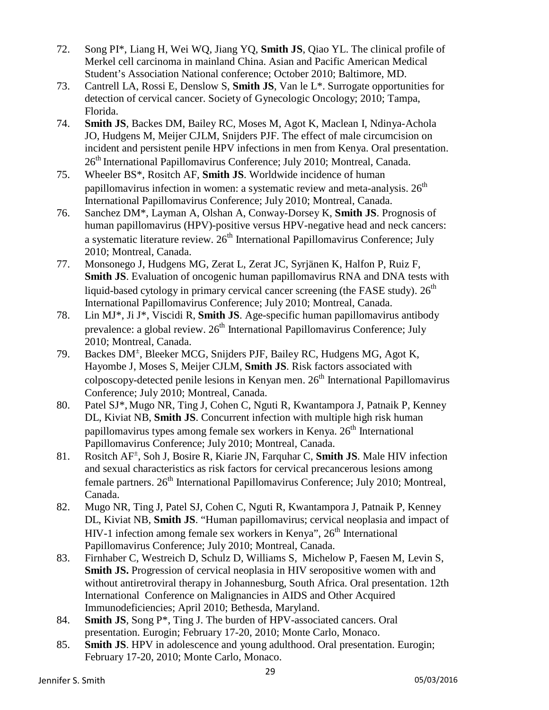- 72. Song PI\*, Liang H, Wei WQ, Jiang YQ, **Smith JS**, Qiao YL. The clinical profile of Merkel cell carcinoma in mainland China. Asian and Pacific American Medical Student's Association National conference; October 2010; Baltimore, MD.
- 73. Cantrell LA, Rossi E, Denslow S, **Smith JS**, Van le L\*. Surrogate opportunities for detection of cervical cancer. Society of Gynecologic Oncology; 2010; Tampa, Florida.
- 74. **Smith JS**, Backes DM, Bailey RC, Moses M, Agot K, Maclean I, Ndinya-Achola JO, Hudgens M, Meijer CJLM, Snijders PJF. The effect of male circumcision on incident and persistent penile HPV infections in men from Kenya. Oral presentation. 26<sup>th</sup> International Papillomavirus Conference; July 2010; Montreal, Canada.
- 75. Wheeler BS\*, Rositch AF, **Smith JS**. Worldwide incidence of human papillomavirus infection in women: a systematic review and meta-analysis.  $26<sup>th</sup>$ International Papillomavirus Conference; July 2010; Montreal, Canada.
- 76. Sanchez DM\*, Layman A, Olshan A, Conway-Dorsey K, **Smith JS**. Prognosis of human papillomavirus (HPV)-positive versus HPV-negative head and neck cancers: a systematic literature review.  $26<sup>th</sup>$  International Papillomavirus Conference: July 2010; Montreal, Canada.
- 77. Monsonego J, Hudgens MG, Zerat L, Zerat JC, Syrjänen K, Halfon P, Ruiz F, **Smith JS**. Evaluation of oncogenic human papillomavirus RNA and DNA tests with liquid-based cytology in primary cervical cancer screening (the FASE study).  $26<sup>th</sup>$ International Papillomavirus Conference; July 2010; Montreal, Canada.
- 78. Lin MJ\*, Ji J\*, Viscidi R, **Smith JS**. Age-specific human papillomavirus antibody prevalence: a global review.  $26<sup>th</sup>$  International Papillomavirus Conference: July 2010; Montreal, Canada.
- 79. Backes DM<sup>+</sup>, Bleeker MCG, Snijders PJF, Bailey RC, Hudgens MG, Agot K, Hayombe J, Moses S, Meijer CJLM, **Smith JS**. Risk factors associated with colposcopy-detected penile lesions in Kenyan men.  $26<sup>th</sup>$  International Papillomavirus Conference; July 2010; Montreal, Canada.
- 80. Patel SJ\*, Mugo NR, Ting J, Cohen C, Nguti R, Kwantampora J, Patnaik P, Kenney DL, Kiviat NB, **Smith JS**. Concurrent infection with multiple high risk human papillomavirus types among female sex workers in Kenya. 26<sup>th</sup> International Papillomavirus Conference; July 2010; Montreal, Canada.
- 81. Rositch AF± , Soh J, Bosire R, Kiarie JN, Farquhar C, **Smith JS**. Male HIV infection and sexual characteristics as risk factors for cervical precancerous lesions among female partners. 26<sup>th</sup> International Papillomavirus Conference; July 2010; Montreal, Canada.
- 82. Mugo NR, Ting J, Patel SJ, Cohen C, Nguti R, Kwantampora J, Patnaik P, Kenney DL, Kiviat NB, **Smith JS**. "Human papillomavirus; cervical neoplasia and impact of HIV-1 infection among female sex workers in Kenya",  $26<sup>th</sup>$  International Papillomavirus Conference; July 2010; Montreal, Canada.
- 83. Firnhaber C, Westreich D, Schulz D, Williams S, Michelow P, Faesen M, Levin S, **Smith JS.** Progression of cervical neoplasia in HIV seropositive women with and without antiretroviral therapy in Johannesburg, South Africa. Oral presentation. 12th International Conference on Malignancies in AIDS and Other Acquired Immunodeficiencies; April 2010; Bethesda, Maryland.
- 84. **Smith JS**, Song P\*, Ting J. The burden of HPV-associated cancers. Oral presentation. Eurogin; February 17-20, 2010; Monte Carlo, Monaco.
- 85. **Smith JS**. HPV in adolescence and young adulthood. Oral presentation. Eurogin; February 17-20, 2010; Monte Carlo, Monaco.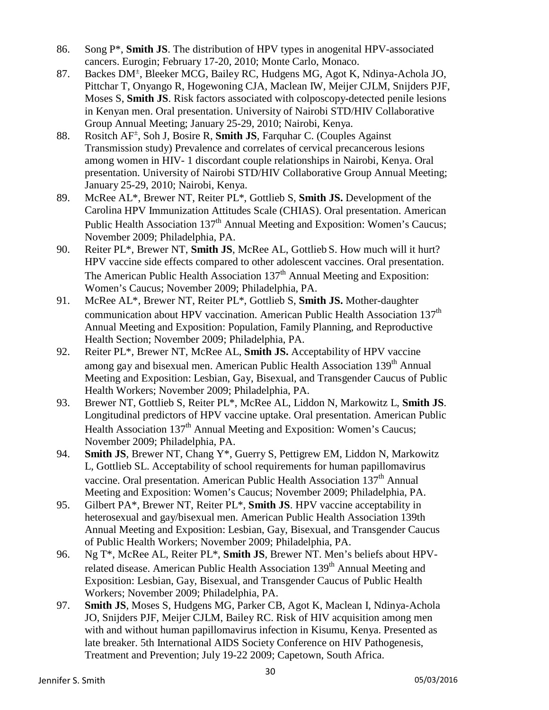- 86. Song P\*, **Smith JS**. The distribution of HPV types in anogenital HPV-associated cancers. Eurogin; February 17-20, 2010; Monte Carlo, Monaco.
- 87. Backes DM<sup>+</sup>, Bleeker MCG, Bailey RC, Hudgens MG, Agot K, Ndinya-Achola JO, Pittchar T, Onyango R, Hogewoning CJA, Maclean IW, Meijer CJLM, Snijders PJF, Moses S, **Smith JS**. Risk factors associated with colposcopy-detected penile lesions in Kenyan men. Oral presentation. University of Nairobi STD/HIV Collaborative Group Annual Meeting; January 25-29, 2010; Nairobi, Kenya.
- 88. Rositch AF± , Soh J, Bosire R, **Smith JS**, Farquhar C. (Couples Against Transmission study) Prevalence and correlates of cervical precancerous lesions among women in HIV- 1 discordant couple relationships in Nairobi, Kenya. Oral presentation. University of Nairobi STD/HIV Collaborative Group Annual Meeting; January 25-29, 2010; Nairobi, Kenya.
- 89. McRee AL\*, Brewer NT, Reiter PL\*, Gottlieb S, **Smith JS.** Development of the Carolina HPV Immunization Attitudes Scale (CHIAS). Oral presentation. American Public Health Association 137<sup>th</sup> Annual Meeting and Exposition: Women's Caucus: November 2009; Philadelphia, PA.
- 90. Reiter PL\*, Brewer NT, **Smith JS**, McRee AL, Gottlieb S. How much will it hurt? HPV vaccine side effects compared to other adolescent vaccines. Oral presentation. The American Public Health Association 137<sup>th</sup> Annual Meeting and Exposition: Women's Caucus; November 2009; Philadelphia, PA.
- 91. McRee AL\*, Brewer NT, Reiter PL\*, Gottlieb S, **Smith JS.** Mother-daughter communication about HPV vaccination. American Public Health Association 137<sup>th</sup> Annual Meeting and Exposition: Population, Family Planning, and Reproductive Health Section; November 2009; Philadelphia, PA.
- 92. Reiter PL\*, Brewer NT, McRee AL, **Smith JS.** Acceptability of HPV vaccine among gay and bisexual men. American Public Health Association 139<sup>th</sup> Annual Meeting and Exposition: Lesbian, Gay, Bisexual, and Transgender Caucus of Public Health Workers; November 2009; Philadelphia, PA.
- 93. Brewer NT, Gottlieb S, Reiter PL\*, McRee AL, Liddon N, Markowitz L, **Smith JS**. Longitudinal predictors of HPV vaccine uptake. Oral presentation. American Public Health Association 137<sup>th</sup> Annual Meeting and Exposition: Women's Caucus; November 2009; Philadelphia, PA.
- 94. **Smith JS**, Brewer NT, Chang Y\*, Guerry S, Pettigrew EM, Liddon N, Markowitz L, Gottlieb SL. Acceptability of school requirements for human papillomavirus vaccine. Oral presentation. American Public Health Association 137<sup>th</sup> Annual Meeting and Exposition: Women's Caucus; November 2009; Philadelphia, PA.
- 95. Gilbert PA\*, Brewer NT, Reiter PL\*, **Smith JS**. HPV vaccine acceptability in heterosexual and gay/bisexual men. American Public Health Association 139th Annual Meeting and Exposition: Lesbian, Gay, Bisexual, and Transgender Caucus of Public Health Workers; November 2009; Philadelphia, PA.
- 96. Ng T\*, McRee AL, Reiter PL\*, **Smith JS**, Brewer NT. Men's beliefs about HPVrelated disease. American Public Health Association 139<sup>th</sup> Annual Meeting and Exposition: Lesbian, Gay, Bisexual, and Transgender Caucus of Public Health Workers; November 2009; Philadelphia, PA.
- 97. **Smith JS**, Moses S, Hudgens MG, Parker CB, Agot K, Maclean I, Ndinya-Achola JO, Snijders PJF, Meijer CJLM, Bailey RC. Risk of HIV acquisition among men with and without human papillomavirus infection in Kisumu, Kenya. Presented as late breaker. 5th International AIDS Society Conference on HIV Pathogenesis, Treatment and Prevention; July 19-22 2009; Capetown, South Africa.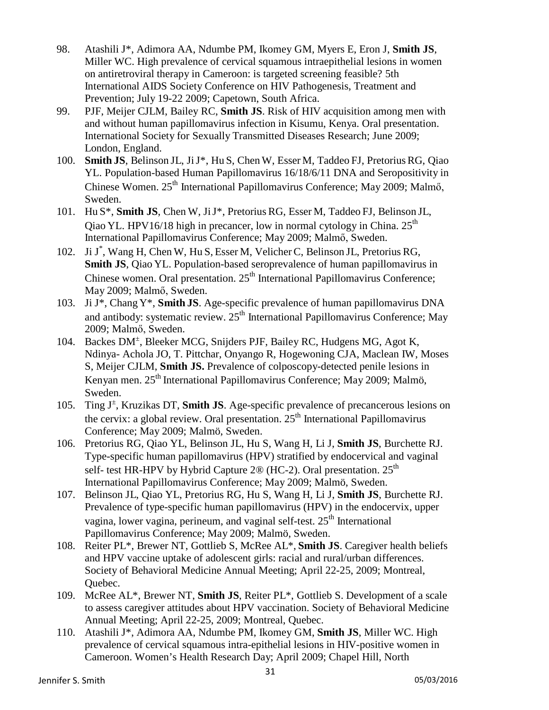- 98. Atashili J\*, Adimora AA, Ndumbe PM, Ikomey GM, Myers E, Eron J, **Smith JS**, Miller WC. High prevalence of cervical squamous intraepithelial lesions in women on antiretroviral therapy in Cameroon: is targeted screening feasible? 5th International AIDS Society Conference on HIV Pathogenesis, Treatment and Prevention; July 19-22 2009; Capetown, South Africa.
- 99. PJF, Meijer CJLM, Bailey RC, **Smith JS**. Risk of HIV acquisition among men with and without human papillomavirus infection in Kisumu, Kenya. Oral presentation. International Society for Sexually Transmitted Diseases Research; June 2009; London, England.
- 100. **Smith JS**, Belinson JL, JiJ\*, Hu S, Chen W, Esser M, Taddeo FJ, PretoriusRG, Qiao YL. Population-based Human Papillomavirus 16/18/6/11 DNA and Seropositivity in Chinese Women. 25<sup>th</sup> International Papillomavirus Conference; May 2009; Malmő, Sweden.
- 101. Hu S\*, **Smith JS**, Chen W, JiJ\*, Pretorius RG, Esser M, Taddeo FJ, Belinson JL, Qiao YL. HPV16/18 high in precancer, low in normal cytology in China.  $25<sup>th</sup>$ International Papillomavirus Conference; May 2009; Malmő, Sweden.
- 102. Ji J \* , Wang H, Chen W, Hu S, Esser M, Velicher C, Belinson JL, Pretorius RG, **Smith JS**, Qiao YL. Population-based seroprevalence of human papillomavirus in Chinese women. Oral presentation.  $25<sup>th</sup>$  International Papillomavirus Conference; May 2009; Malmő, Sweden.
- 103. Ji J\*, Chang Y\*, **Smith JS**. Age-specific prevalence of human papillomavirus DNA and antibody: systematic review. 25<sup>th</sup> International Papillomavirus Conference; May 2009; Malmő, Sweden.
- 104. Backes DM<sup>+</sup>, Bleeker MCG, Snijders PJF, Bailey RC, Hudgens MG, Agot K, Ndinya- Achola JO, T. Pittchar, Onyango R, Hogewoning CJA, Maclean IW, Moses S, Meijer CJLM, **Smith JS.** Prevalence of colposcopy-detected penile lesions in Kenyan men. 25<sup>th</sup> International Papillomavirus Conference; May 2009; Malmö, Sweden.
- 105. Ting J<sup>±</sup> , Kruzikas DT, **Smith JS**. Age-specific prevalence of precancerous lesions on the cervix: a global review. Oral presentation.  $25<sup>th</sup>$  International Papillomavirus Conference; May 2009; Malmö, Sweden.
- 106. Pretorius RG, Qiao YL, Belinson JL, Hu S, Wang H, Li J, **Smith JS**, Burchette RJ. Type-specific human papillomavirus (HPV) stratified by endocervical and vaginal self- test HR-HPV by Hybrid Capture 2<sup>®</sup> (HC-2). Oral presentation.  $25<sup>th</sup>$ International Papillomavirus Conference; May 2009; Malmö, Sweden.
- 107. Belinson JL, Qiao YL, Pretorius RG, Hu S, Wang H, Li J, **Smith JS**, Burchette RJ. Prevalence of type-specific human papillomavirus (HPV) in the endocervix, upper vagina, lower vagina, perineum, and vaginal self-test.  $25<sup>th</sup>$  International Papillomavirus Conference; May 2009; Malmö, Sweden.
- 108. Reiter PL\*, Brewer NT, Gottlieb S, McRee AL\*, **Smith JS**. Caregiver health beliefs and HPV vaccine uptake of adolescent girls: racial and rural/urban differences. Society of Behavioral Medicine Annual Meeting; April 22-25, 2009; Montreal, Quebec.
- 109. McRee AL\*, Brewer NT, **Smith JS**, Reiter PL\*, Gottlieb S. Development of a scale to assess caregiver attitudes about HPV vaccination. Society of Behavioral Medicine Annual Meeting; April 22-25, 2009; Montreal, Quebec.
- 110. Atashili J\*, Adimora AA, Ndumbe PM, Ikomey GM, **Smith JS**, Miller WC. High prevalence of cervical squamous intra-epithelial lesions in HIV-positive women in Cameroon. Women's Health Research Day; April 2009; Chapel Hill, North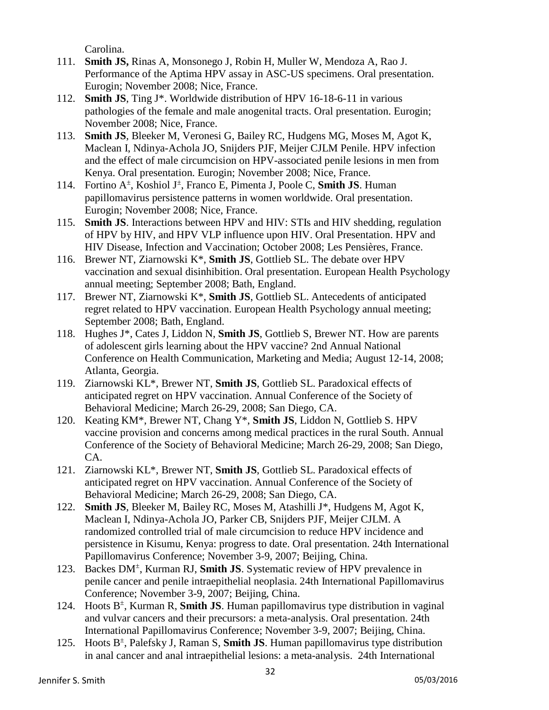Carolina.

- 111. **Smith JS,** Rinas A, Monsonego J, Robin H, Muller W, Mendoza A, Rao J. Performance of the Aptima HPV assay in ASC-US specimens. Oral presentation. Eurogin; November 2008; Nice, France.
- 112. **Smith JS**, Ting J\*. Worldwide distribution of HPV 16-18-6-11 in various pathologies of the female and male anogenital tracts. Oral presentation. Eurogin; November 2008; Nice, France.
- 113. **Smith JS**, Bleeker M, Veronesi G, Bailey RC, Hudgens MG, Moses M, Agot K, Maclean I, Ndinya-Achola JO, Snijders PJF, Meijer CJLM Penile. HPV infection and the effect of male circumcision on HPV-associated penile lesions in men from Kenya. Oral presentation. Eurogin; November 2008; Nice, France.
- 114. Fortino A± , Koshiol J<sup>±</sup> , Franco E, Pimenta J, Poole C, **Smith JS**. Human papillomavirus persistence patterns in women worldwide. Oral presentation. Eurogin; November 2008; Nice, France.
- 115. **Smith JS**. Interactions between HPV and HIV: STIs and HIV shedding, regulation of HPV by HIV, and HPV VLP influence upon HIV. Oral Presentation. HPV and HIV Disease, Infection and Vaccination; October 2008; Les Pensières, France.
- 116. Brewer NT, Ziarnowski K\*, **Smith JS**, Gottlieb SL. The debate over HPV vaccination and sexual disinhibition. Oral presentation. European Health Psychology annual meeting; September 2008; Bath, England.
- 117. Brewer NT, Ziarnowski K\*, **Smith JS**, Gottlieb SL. Antecedents of anticipated regret related to HPV vaccination. European Health Psychology annual meeting; September 2008; Bath, England.
- 118. Hughes J\*, Cates J, Liddon N, **Smith JS**, Gottlieb S, Brewer NT. How are parents of adolescent girls learning about the HPV vaccine? 2nd Annual National Conference on Health Communication, Marketing and Media; August 12-14, 2008; Atlanta, Georgia.
- 119. Ziarnowski KL\*, Brewer NT, **Smith JS**, Gottlieb SL. Paradoxical effects of anticipated regret on HPV vaccination. Annual Conference of the Society of Behavioral Medicine; March 26-29, 2008; San Diego, CA.
- 120. Keating KM\*, Brewer NT, Chang Y\*, **Smith JS**, Liddon N, Gottlieb S. HPV vaccine provision and concerns among medical practices in the rural South. Annual Conference of the Society of Behavioral Medicine; March 26-29, 2008; San Diego, CA.
- 121. Ziarnowski KL\*, Brewer NT, **Smith JS**, Gottlieb SL. Paradoxical effects of anticipated regret on HPV vaccination. Annual Conference of the Society of Behavioral Medicine; March 26-29, 2008; San Diego, CA.
- 122. **Smith JS**, Bleeker M, Bailey RC, Moses M, Atashilli J\*, Hudgens M, Agot K, Maclean I, Ndinya-Achola JO, Parker CB, Snijders PJF, Meijer CJLM. A randomized controlled trial of male circumcision to reduce HPV incidence and persistence in Kisumu, Kenya: progress to date. Oral presentation. 24th International Papillomavirus Conference; November 3-9, 2007; Beijing, China.
- 123. Backes DM<sup>+</sup>, Kurman RJ, Smith JS. Systematic review of HPV prevalence in penile cancer and penile intraepithelial neoplasia. 24th International Papillomavirus Conference; November 3-9, 2007; Beijing, China.
- 124. Hoots B± , Kurman R, **Smith JS**. Human papillomavirus type distribution in vaginal and vulvar cancers and their precursors: a meta-analysis. Oral presentation. 24th International Papillomavirus Conference; November 3-9, 2007; Beijing, China.
- 125. Hoots B± , Palefsky J, Raman S, **Smith JS**. Human papillomavirus type distribution in anal cancer and anal intraepithelial lesions: a meta-analysis. 24th International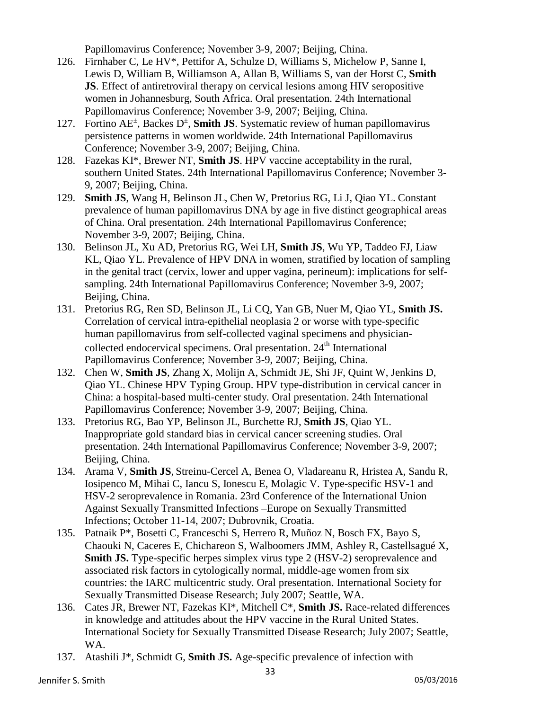Papillomavirus Conference; November 3-9, 2007; Beijing, China.

- 126. Firnhaber C, Le HV\*, Pettifor A, Schulze D, Williams S, Michelow P, Sanne I, Lewis D, William B, Williamson A, Allan B, Williams S, van der Horst C, **Smith JS**. Effect of antiretroviral therapy on cervical lesions among HIV seropositive women in Johannesburg, South Africa. Oral presentation. 24th International Papillomavirus Conference; November 3-9, 2007; Beijing, China.
- 127. Fortino AE<sup>±</sup>, Backes D<sup>±</sup>, **Smith JS**. Systematic review of human papillomavirus persistence patterns in women worldwide. 24th International Papillomavirus Conference; November 3-9, 2007; Beijing, China.
- 128. Fazekas KI\*, Brewer NT, **Smith JS**. HPV vaccine acceptability in the rural, southern United States. 24th International Papillomavirus Conference; November 3- 9, 2007; Beijing, China.
- 129. **Smith JS**, Wang H, Belinson JL, Chen W, Pretorius RG, Li J, Qiao YL. Constant prevalence of human papillomavirus DNA by age in five distinct geographical areas of China. Oral presentation. 24th International Papillomavirus Conference; November 3-9, 2007; Beijing, China.
- 130. Belinson JL, Xu AD, Pretorius RG, Wei LH, **Smith JS**, Wu YP, Taddeo FJ, Liaw KL, Qiao YL. Prevalence of HPV DNA in women, stratified by location of sampling in the genital tract (cervix, lower and upper vagina, perineum): implications for selfsampling. 24th International Papillomavirus Conference; November 3-9, 2007; Beijing, China.
- 131. Pretorius RG, Ren SD, Belinson JL, Li CQ, Yan GB, Nuer M, Qiao YL, **Smith JS.** Correlation of cervical intra-epithelial neoplasia 2 or worse with type-specific human papillomavirus from self-collected vaginal specimens and physiciancollected endocervical specimens. Oral presentation. 24<sup>th</sup> International Papillomavirus Conference; November 3-9, 2007; Beijing, China.
- 132. Chen W, **Smith JS**, Zhang X, Molijn A, Schmidt JE, Shi JF, Quint W, Jenkins D, Qiao YL. Chinese HPV Typing Group. HPV type-distribution in cervical cancer in China: a hospital-based multi-center study. Oral presentation. 24th International Papillomavirus Conference; November 3-9, 2007; Beijing, China.
- 133. Pretorius RG, Bao YP, Belinson JL, Burchette RJ, **Smith JS**, Qiao YL. Inappropriate gold standard bias in cervical cancer screening studies. Oral presentation. 24th International Papillomavirus Conference; November 3-9, 2007; Beijing, China.
- 134. Arama V, **Smith JS**, Streinu-Cercel A, Benea O, Vladareanu R, Hristea A, Sandu R, Iosipenco M, Mihai C, Iancu S, Ionescu E, Molagic V. Type-specific HSV-1 and HSV-2 seroprevalence in Romania. 23rd Conference of the International Union Against Sexually Transmitted Infections –Europe on Sexually Transmitted Infections; October 11-14, 2007; Dubrovnik, Croatia.
- 135. Patnaik P\*, Bosetti C, Franceschi S, Herrero R, Muñoz N, Bosch FX, Bayo S, Chaouki N, Caceres E, Chichareon S, Walboomers JMM, Ashley R, Castellsagué X, **Smith JS.** Type-specific herpes simplex virus type 2 (HSV-2) seroprevalence and associated risk factors in cytologically normal, middle-age women from six countries: the IARC multicentric study. Oral presentation. International Society for Sexually Transmitted Disease Research; July 2007; Seattle, WA.
- 136. Cates JR, Brewer NT, Fazekas KI\*, Mitchell C\*, **Smith JS.** Race-related differences in knowledge and attitudes about the HPV vaccine in the Rural United States. International Society for Sexually Transmitted Disease Research; July 2007; Seattle, WA.
- 137. Atashili J\*, Schmidt G, **Smith JS.** Age-specific prevalence of infection with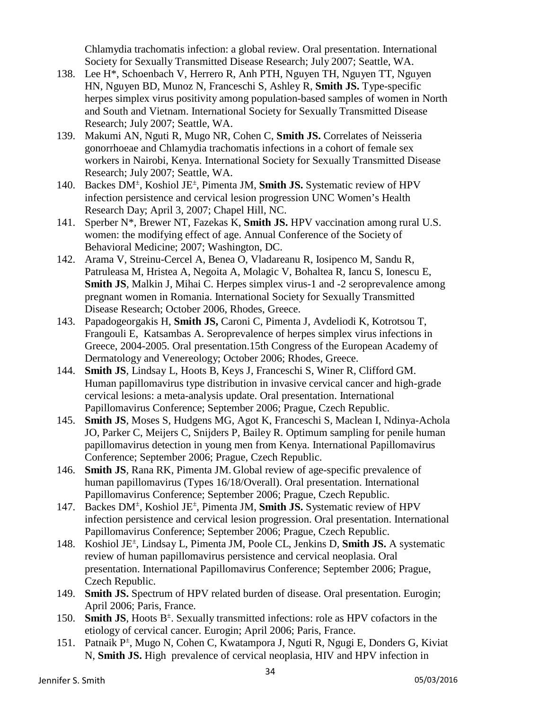Chlamydia trachomatis infection: a global review. Oral presentation. International Society for Sexually Transmitted Disease Research; July 2007; Seattle, WA.

- 138. Lee H\*, Schoenbach V, Herrero R, Anh PTH, Nguyen TH, Nguyen TT, Nguyen HN, Nguyen BD, Munoz N, Franceschi S, Ashley R, **Smith JS.** Type-specific herpes simplex virus positivity among population-based samples of women in North and South and Vietnam. International Society for Sexually Transmitted Disease Research; July 2007; Seattle, WA.
- 139. Makumi AN, Nguti R, Mugo NR, Cohen C, **Smith JS.** Correlates of Neisseria gonorrhoeae and Chlamydia trachomatis infections in a cohort of female sex workers in Nairobi, Kenya. International Society for Sexually Transmitted Disease Research; July 2007; Seattle, WA.
- 140. Backes DM<sup>±</sup> , Koshiol JE± , Pimenta JM, **Smith JS.** Systematic review of HPV infection persistence and cervical lesion progression UNC Women's Health Research Day; April 3, 2007; Chapel Hill, NC.
- 141. Sperber N\*, Brewer NT, Fazekas K, **Smith JS.** HPV vaccination among rural U.S. women: the modifying effect of age. Annual Conference of the Society of Behavioral Medicine; 2007; Washington, DC.
- 142. Arama V, Streinu-Cercel A, Benea O, Vladareanu R, Iosipenco M, Sandu R, Patruleasa M, Hristea A, Negoita A, Molagic V, Bohaltea R, Iancu S, Ionescu E, **Smith JS**, Malkin J, Mihai C. Herpes simplex virus-1 and -2 seroprevalence among pregnant women in Romania. International Society for Sexually Transmitted Disease Research; October 2006, Rhodes, Greece.
- 143. Papadogeorgakis H, **Smith JS,** Caroni C, Pimenta J, Avdeliodi K, Kotrotsou T, Frangouli E, Katsambas A. Seroprevalence of herpes simplex virus infections in Greece, 2004-2005. Oral presentation.15th Congress of the European Academy of Dermatology and Venereology; October 2006; Rhodes, Greece.
- 144. **Smith JS**, Lindsay L, Hoots B, Keys J, Franceschi S, Winer R, Clifford GM. Human papillomavirus type distribution in invasive cervical cancer and high-grade cervical lesions: a meta-analysis update. Oral presentation. International Papillomavirus Conference; September 2006; Prague, Czech Republic.
- 145. **Smith JS**, Moses S, Hudgens MG, Agot K, Franceschi S, Maclean I, Ndinya-Achola JO, Parker C, Meijers C, Snijders P, Bailey R. Optimum sampling for penile human papillomavirus detection in young men from Kenya. International Papillomavirus Conference; September 2006; Prague, Czech Republic.
- 146. **Smith JS**, Rana RK, Pimenta JM. Global review of age-specific prevalence of human papillomavirus (Types 16/18/Overall). Oral presentation. International Papillomavirus Conference; September 2006; Prague, Czech Republic.
- 147. Backes DM<sup>±</sup> , Koshiol JE± , Pimenta JM, **Smith JS.** Systematic review of HPV infection persistence and cervical lesion progression. Oral presentation. International Papillomavirus Conference; September 2006; Prague, Czech Republic.
- 148. Koshiol JE± , Lindsay L, Pimenta JM, Poole CL, Jenkins D, **Smith JS.** A systematic review of human papillomavirus persistence and cervical neoplasia. Oral presentation. International Papillomavirus Conference; September 2006; Prague, Czech Republic.
- 149. **Smith JS.** Spectrum of HPV related burden of disease. Oral presentation. Eurogin; April 2006; Paris, France.
- 150. **Smith JS**, Hoots B<sup>±</sup>. Sexually transmitted infections: role as HPV cofactors in the etiology of cervical cancer. Eurogin; April 2006; Paris, France.
- 151. Patnaik P<sup>±</sup>, Mugo N, Cohen C, Kwatampora J, Nguti R, Ngugi E, Donders G, Kiviat N, **Smith JS.** High prevalence of cervical neoplasia, HIV and HPV infection in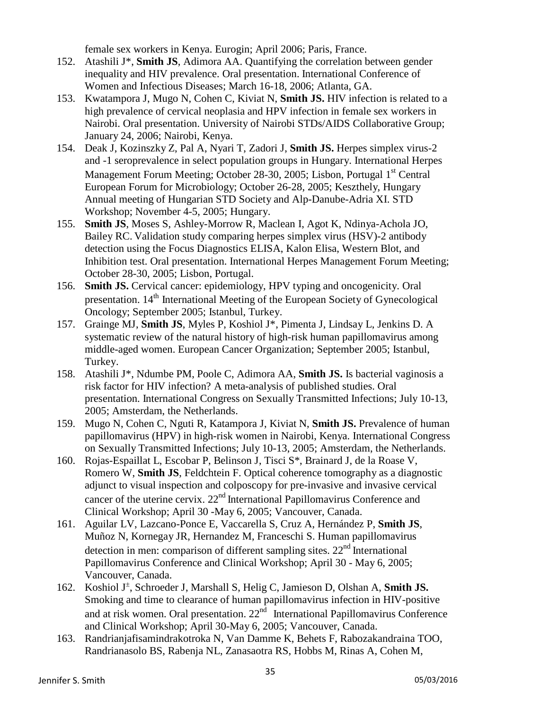female sex workers in Kenya. Eurogin; April 2006; Paris, France.

- 152. Atashili J\*, **Smith JS**, Adimora AA. Quantifying the correlation between gender inequality and HIV prevalence. Oral presentation. International Conference of Women and Infectious Diseases; March 16-18, 2006; Atlanta, GA.
- 153. Kwatampora J, Mugo N, Cohen C, Kiviat N, **Smith JS.** HIV infection is related to a high prevalence of cervical neoplasia and HPV infection in female sex workers in Nairobi. Oral presentation. University of Nairobi STDs/AIDS Collaborative Group; January 24, 2006; Nairobi, Kenya.
- 154. Deak J, Kozinszky Z, Pal A, Nyari T, Zadori J, **Smith JS.** Herpes simplex virus-2 and -1 seroprevalence in select population groups in Hungary. International Herpes Management Forum Meeting: October 28-30, 2005; Lisbon, Portugal 1<sup>st</sup> Central European Forum for Microbiology; October 26-28, 2005; Keszthely, Hungary Annual meeting of Hungarian STD Society and Alp-Danube-Adria XI. STD Workshop; November 4-5, 2005; Hungary.
- 155. **Smith JS**, Moses S, Ashley-Morrow R, Maclean I, Agot K, Ndinya-Achola JO, Bailey RC. Validation study comparing herpes simplex virus (HSV)-2 antibody detection using the Focus Diagnostics ELISA, Kalon Elisa, Western Blot, and Inhibition test. Oral presentation. International Herpes Management Forum Meeting; October 28-30, 2005; Lisbon, Portugal.
- 156. **Smith JS.** Cervical cancer: epidemiology, HPV typing and oncogenicity. Oral presentation. 14<sup>th</sup> International Meeting of the European Society of Gynecological Oncology; September 2005; Istanbul, Turkey.
- 157. Grainge MJ, **Smith JS**, Myles P, Koshiol J\*, Pimenta J, Lindsay L, Jenkins D. A systematic review of the natural history of high-risk human papillomavirus among middle-aged women. European Cancer Organization; September 2005; Istanbul, Turkey.
- 158. Atashili J\*, Ndumbe PM, Poole C, Adimora AA, **Smith JS.** Is bacterial vaginosis a risk factor for HIV infection? A meta-analysis of published studies. Oral presentation. International Congress on Sexually Transmitted Infections; July 10-13, 2005; Amsterdam, the Netherlands.
- 159. Mugo N, Cohen C, Nguti R, Katampora J, Kiviat N, **Smith JS.** Prevalence of human papillomavirus (HPV) in high-risk women in Nairobi, Kenya. International Congress on Sexually Transmitted Infections; July 10-13, 2005; Amsterdam, the Netherlands.
- 160. Rojas-Espaillat L, Escobar P, Belinson J, Tisci S\*, Brainard J, de la Roase V, Romero W, **Smith JS**, Feldchtein F. Optical coherence tomography as a diagnostic adjunct to visual inspection and colposcopy for pre-invasive and invasive cervical cancer of the uterine cervix.  $22<sup>nd</sup>$  International Papillomavirus Conference and Clinical Workshop; April 30 -May 6, 2005; Vancouver, Canada.
- 161. Aguilar LV, Lazcano-Ponce E, Vaccarella S, Cruz A, Hernández P, **Smith JS**, Muñoz N, Kornegay JR, Hernandez M, Franceschi S. Human papillomavirus detection in men: comparison of different sampling sites.  $22<sup>nd</sup>$  International Papillomavirus Conference and Clinical Workshop; April 30 - May 6, 2005; Vancouver, Canada.
- 162. Koshiol J<sup>±</sup> , Schroeder J, Marshall S, Helig C, Jamieson D, Olshan A, **Smith JS.** Smoking and time to clearance of human papillomavirus infection in HIV-positive and at risk women. Oral presentation.  $22<sup>nd</sup>$  International Papillomavirus Conference and Clinical Workshop; April 30-May 6, 2005; Vancouver, Canada.
- 163. Randrianjafisamindrakotroka N, Van Damme K, Behets F, Rabozakandraina TOO, Randrianasolo BS, Rabenja NL, Zanasaotra RS, Hobbs M, Rinas A, Cohen M,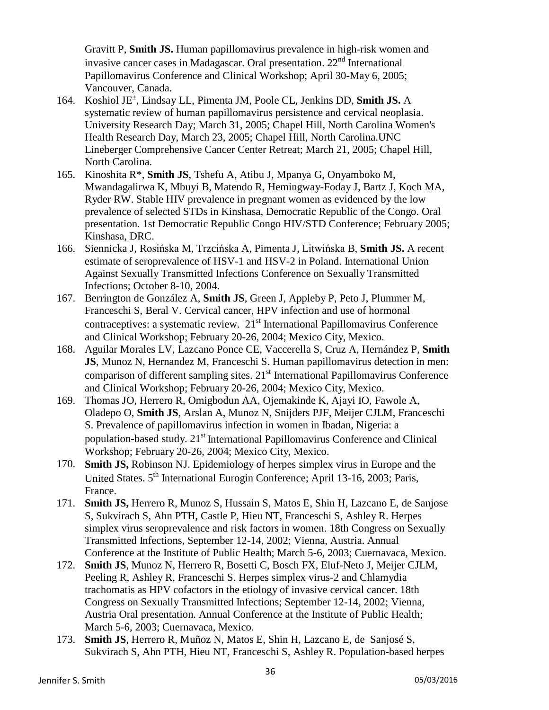Gravitt P, **Smith JS.** Human papillomavirus prevalence in high-risk women and invasive cancer cases in Madagascar. Oral presentation.  $22<sup>nd</sup>$  International Papillomavirus Conference and Clinical Workshop; April 30-May 6, 2005; Vancouver, Canada.

- 164. Koshiol JE± , Lindsay LL, Pimenta JM, Poole CL, Jenkins DD, **Smith JS.** A systematic review of human papillomavirus persistence and cervical neoplasia. University Research Day; March 31, 2005; Chapel Hill, North Carolina Women's Health Research Day, March 23, 2005; Chapel Hill, North Carolina.UNC Lineberger Comprehensive Cancer Center Retreat; March 21, 2005; Chapel Hill, North Carolina.
- 165. Kinoshita R\*, **Smith JS**, Tshefu A, Atibu J, Mpanya G, Onyamboko M, Mwandagalirwa K, Mbuyi B, Matendo R, Hemingway-Foday J, Bartz J, Koch MA, Ryder RW. Stable HIV prevalence in pregnant women as evidenced by the low prevalence of selected STDs in Kinshasa, Democratic Republic of the Congo. Oral presentation. 1st Democratic Republic Congo HIV/STD Conference; February 2005; Kinshasa, DRC.
- 166. Siennicka J, Rosińska M, Trzcińska A, Pimenta J, Litwińska B, **Smith JS.** A recent estimate of seroprevalence of HSV-1 and HSV-2 in Poland. International Union Against Sexually Transmitted Infections Conference on Sexually Transmitted Infections; October 8-10, 2004.
- 167. Berrington de González A, **Smith JS**, Green J, Appleby P, Peto J, Plummer M, Franceschi S, Beral V. Cervical cancer, HPV infection and use of hormonal contraceptives: a systematic review.  $21<sup>st</sup>$  International Papillomavirus Conference and Clinical Workshop; February 20-26, 2004; Mexico City, Mexico.
- 168. Aguilar Morales LV, Lazcano Ponce CE, Vaccerella S, Cruz A, Hernández P, **Smith JS**, Munoz N, Hernandez M, Franceschi S. Human papillomavirus detection in men: comparison of different sampling sites.  $21<sup>st</sup>$  International Papillomavirus Conference and Clinical Workshop; February 20-26, 2004; Mexico City, Mexico.
- 169. Thomas JO, Herrero R, Omigbodun AA, Ojemakinde K, Ajayi IO, Fawole A, Oladepo O, **Smith JS**, Arslan A, Munoz N, Snijders PJF, Meijer CJLM, Franceschi S. Prevalence of papillomavirus infection in women in Ibadan, Nigeria: a population-based study.  $21<sup>st</sup>$  International Papillomavirus Conference and Clinical Workshop; February 20-26, 2004; Mexico City, Mexico.
- 170. **Smith JS,** Robinson NJ. Epidemiology of herpes simplex virus in Europe and the United States. 5<sup>th</sup> International Eurogin Conference; April 13-16, 2003; Paris, France.
- 171. **Smith JS,** Herrero R, Munoz S, Hussain S, Matos E, Shin H, Lazcano E, de Sanjose S, Sukvirach S, Ahn PTH, Castle P, Hieu NT, Franceschi S, Ashley R. Herpes simplex virus seroprevalence and risk factors in women. 18th Congress on Sexually Transmitted Infections, September 12-14, 2002; Vienna, Austria. Annual Conference at the Institute of Public Health; March 5-6, 2003; Cuernavaca, Mexico.
- 172. **Smith JS**, Munoz N, Herrero R, Bosetti C, Bosch FX, Eluf-Neto J, Meijer CJLM, Peeling R, Ashley R, Franceschi S. Herpes simplex virus-2 and Chlamydia trachomatis as HPV cofactors in the etiology of invasive cervical cancer. 18th Congress on Sexually Transmitted Infections; September 12-14, 2002; Vienna, Austria Oral presentation. Annual Conference at the Institute of Public Health; March 5-6, 2003; Cuernavaca, Mexico.
- 173. **Smith JS**, Herrero R, Muñoz N, Matos E, Shin H, Lazcano E, de Sanjosé S, Sukvirach S, Ahn PTH, Hieu NT, Franceschi S, Ashley R. Population-based herpes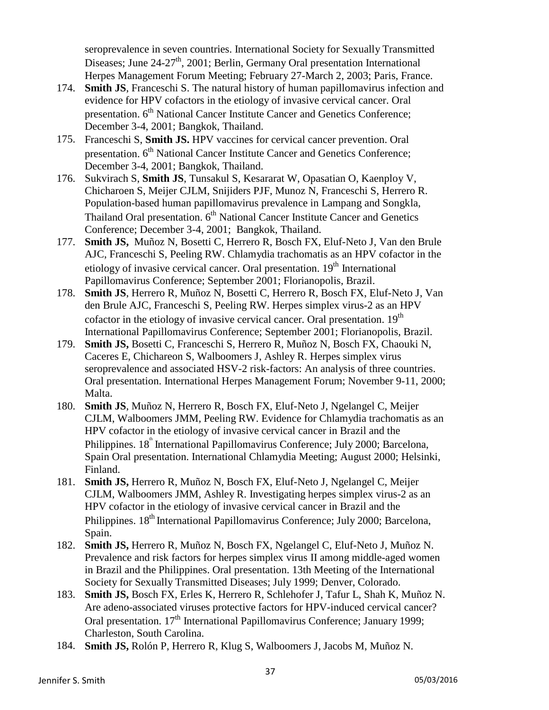seroprevalence in seven countries. International Society for Sexually Transmitted Diseases; June 24-27<sup>th</sup>, 2001; Berlin, Germany Oral presentation International Herpes Management Forum Meeting; February 27-March 2, 2003; Paris, France.

- 174. **Smith JS**, Franceschi S. The natural history of human papillomavirus infection and evidence for HPV cofactors in the etiology of invasive cervical cancer. Oral presentation. 6<sup>th</sup> National Cancer Institute Cancer and Genetics Conference; December 3-4, 2001; Bangkok, Thailand.
- 175. Franceschi S, **Smith JS.** HPV vaccines for cervical cancer prevention. Oral presentation. 6<sup>th</sup> National Cancer Institute Cancer and Genetics Conference; December 3-4, 2001; Bangkok, Thailand.
- 176. Sukvirach S, **Smith JS**, Tunsakul S, Kesararat W, Opasatian O, Kaenploy V, Chicharoen S, Meijer CJLM, Snijiders PJF, Munoz N, Franceschi S, Herrero R. Population-based human papillomavirus prevalence in Lampang and Songkla, Thailand Oral presentation.  $6<sup>th</sup>$  National Cancer Institute Cancer and Genetics Conference; December 3-4, 2001; Bangkok, Thailand.
- 177. **Smith JS,** Muñoz N, Bosetti C, Herrero R, Bosch FX, Eluf-Neto J, Van den Brule AJC, Franceschi S, Peeling RW. Chlamydia trachomatis as an HPV cofactor in the etiology of invasive cervical cancer. Oral presentation.  $19<sup>th</sup>$  International Papillomavirus Conference; September 2001; Florianopolis, Brazil.
- 178. **Smith JS**, Herrero R, Muñoz N, Bosetti C, Herrero R, Bosch FX, Eluf-Neto J, Van den Brule AJC, Franceschi S, Peeling RW. Herpes simplex virus-2 as an HPV cofactor in the etiology of invasive cervical cancer. Oral presentation.  $19<sup>th</sup>$ International Papillomavirus Conference; September 2001; Florianopolis, Brazil.
- 179. **Smith JS,** Bosetti C, Franceschi S, Herrero R, Muñoz N, Bosch FX, Chaouki N, Caceres E, Chichareon S, Walboomers J, Ashley R. Herpes simplex virus seroprevalence and associated HSV-2 risk-factors: An analysis of three countries. Oral presentation. International Herpes Management Forum; November 9-11, 2000; Malta.
- 180. **Smith JS**, Muñoz N, Herrero R, Bosch FX, Eluf-Neto J, Ngelangel C, Meijer CJLM, Walboomers JMM, Peeling RW. Evidence for Chlamydia trachomatis as an HPV cofactor in the etiology of invasive cervical cancer in Brazil and the Philippines. 18<sup>th</sup> International Papillomavirus Conference; July 2000; Barcelona, Spain Oral presentation. International Chlamydia Meeting; August 2000; Helsinki, Finland.
- 181. **Smith JS,** Herrero R, Muñoz N, Bosch FX, Eluf-Neto J, Ngelangel C, Meijer CJLM, Walboomers JMM, Ashley R. Investigating herpes simplex virus-2 as an HPV cofactor in the etiology of invasive cervical cancer in Brazil and the Philippines. 18<sup>th</sup> International Papillomavirus Conference: July 2000: Barcelona, Spain.
- 182. **Smith JS,** Herrero R, Muñoz N, Bosch FX, Ngelangel C, Eluf-Neto J, Muñoz N. Prevalence and risk factors for herpes simplex virus II among middle-aged women in Brazil and the Philippines. Oral presentation. 13th Meeting of the International Society for Sexually Transmitted Diseases; July 1999; Denver, Colorado.
- 183. **Smith JS,** Bosch FX, Erles K, Herrero R, Schlehofer J, Tafur L, Shah K, Muñoz N. Are adeno-associated viruses protective factors for HPV-induced cervical cancer? Oral presentation.  $17<sup>th</sup>$  International Papillomavirus Conference; January 1999; Charleston, South Carolina.
- 184. **Smith JS,** Rolón P, Herrero R, Klug S, Walboomers J, Jacobs M, Muñoz N.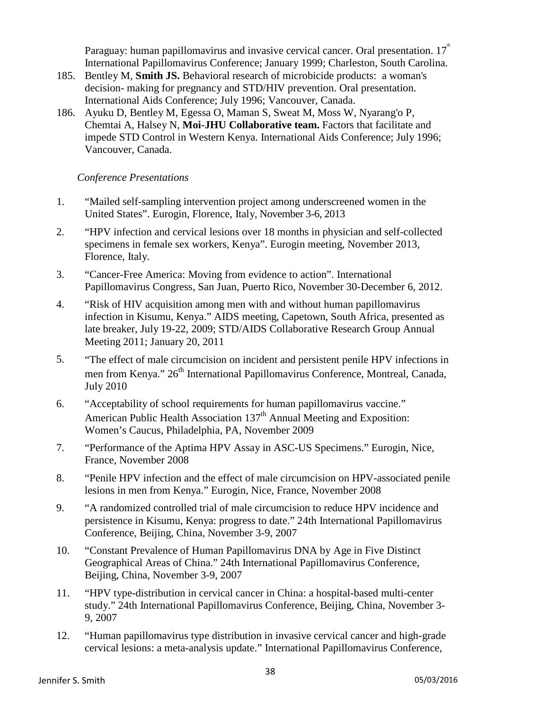Paraguay: human papillomavirus and invasive cervical cancer. Oral presentation.  $17^{\degree}$ International Papillomavirus Conference; January 1999; Charleston, South Carolina.

- 185. Bentley M, **Smith JS.** Behavioral research of microbicide products: a woman's decision- making for pregnancy and STD/HIV prevention. Oral presentation. International Aids Conference; July 1996; Vancouver, Canada.
- 186. Ayuku D, Bentley M, Egessa O, Maman S, Sweat M, Moss W, Nyarang'o P, Chemtai A, Halsey N, **Moi-JHU Collaborative team.** Factors that facilitate and impede STD Control in Western Kenya. International Aids Conference; July 1996; Vancouver, Canada.

## *Conference Presentations*

- 1. "Mailed self-sampling intervention project among underscreened women in the United States". Eurogin, Florence, Italy, November 3-6, 2013
- 2. "HPV infection and cervical lesions over 18 months in physician and self-collected specimens in female sex workers, Kenya". Eurogin meeting, November 2013, Florence, Italy.
- 3. "Cancer-Free America: Moving from evidence to action". International Papillomavirus Congress, San Juan, Puerto Rico, November 30-December 6, 2012.
- 4. "Risk of HIV acquisition among men with and without human papillomavirus infection in Kisumu, Kenya." AIDS meeting, Capetown, South Africa, presented as late breaker, July 19-22, 2009; STD/AIDS Collaborative Research Group Annual Meeting 2011; January 20, 2011
- 5. "The effect of male circumcision on incident and persistent penile HPV infections in men from Kenya." 26<sup>th</sup> International Papillomavirus Conference, Montreal, Canada, July 2010
- 6. "Acceptability of school requirements for human papillomavirus vaccine." American Public Health Association 137<sup>th</sup> Annual Meeting and Exposition: Women's Caucus, Philadelphia, PA, November 2009
- 7. "Performance of the Aptima HPV Assay in ASC-US Specimens." Eurogin, Nice, France, November 2008
- 8. "Penile HPV infection and the effect of male circumcision on HPV-associated penile lesions in men from Kenya." Eurogin, Nice, France, November 2008
- 9. "A randomized controlled trial of male circumcision to reduce HPV incidence and persistence in Kisumu, Kenya: progress to date." 24th International Papillomavirus Conference, Beijing, China, November 3-9, 2007
- 10. "Constant Prevalence of Human Papillomavirus DNA by Age in Five Distinct Geographical Areas of China." 24th International Papillomavirus Conference, Beijing, China, November 3-9, 2007
- 11. "HPV type-distribution in cervical cancer in China: a hospital-based multi-center study." 24th International Papillomavirus Conference, Beijing, China, November 3- 9, 2007
- 12. "Human papillomavirus type distribution in invasive cervical cancer and high-grade cervical lesions: a meta-analysis update." International Papillomavirus Conference,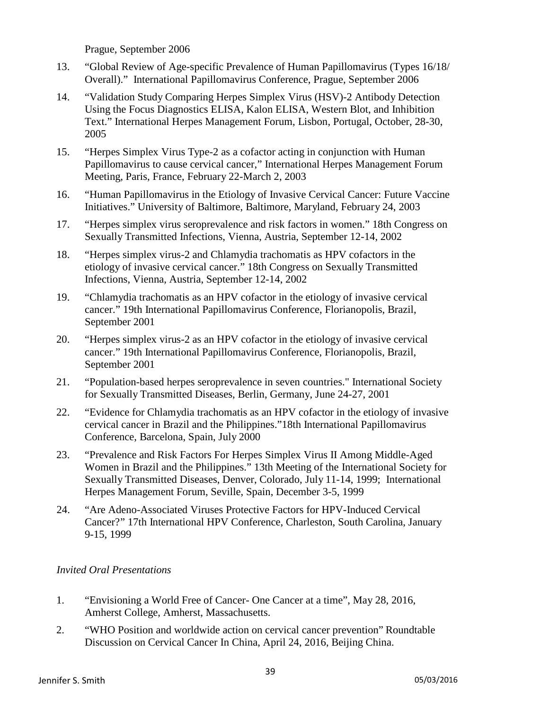Prague, September 2006

- 13. "Global Review of Age-specific Prevalence of Human Papillomavirus (Types 16/18/ Overall)." International Papillomavirus Conference, Prague, September 2006
- 14. "Validation Study Comparing Herpes Simplex Virus (HSV)-2 Antibody Detection Using the Focus Diagnostics ELISA, Kalon ELISA, Western Blot, and Inhibition Text." International Herpes Management Forum, Lisbon, Portugal, October, 28-30, 2005
- 15. "Herpes Simplex Virus Type-2 as a cofactor acting in conjunction with Human Papillomavirus to cause cervical cancer," International Herpes Management Forum Meeting, Paris, France, February 22-March 2, 2003
- 16. "Human Papillomavirus in the Etiology of Invasive Cervical Cancer: Future Vaccine Initiatives." University of Baltimore, Baltimore, Maryland, February 24, 2003
- 17. "Herpes simplex virus seroprevalence and risk factors in women." 18th Congress on Sexually Transmitted Infections, Vienna, Austria, September 12-14, 2002
- 18. "Herpes simplex virus-2 and Chlamydia trachomatis as HPV cofactors in the etiology of invasive cervical cancer." 18th Congress on Sexually Transmitted Infections, Vienna, Austria, September 12-14, 2002
- 19. "Chlamydia trachomatis as an HPV cofactor in the etiology of invasive cervical cancer." 19th International Papillomavirus Conference, Florianopolis, Brazil, September 2001
- 20. "Herpes simplex virus-2 as an HPV cofactor in the etiology of invasive cervical cancer." 19th International Papillomavirus Conference, Florianopolis, Brazil, September 2001
- 21. "Population-based herpes seroprevalence in seven countries." International Society for Sexually Transmitted Diseases, Berlin, Germany, June 24-27, 2001
- 22. "Evidence for Chlamydia trachomatis as an HPV cofactor in the etiology of invasive cervical cancer in Brazil and the Philippines."18th International Papillomavirus Conference, Barcelona, Spain, July 2000
- 23. "Prevalence and Risk Factors For Herpes Simplex Virus II Among Middle-Aged Women in Brazil and the Philippines." 13th Meeting of the International Society for Sexually Transmitted Diseases, Denver, Colorado, July 11-14, 1999; International Herpes Management Forum, Seville, Spain, December 3-5, 1999
- 24. "Are Adeno-Associated Viruses Protective Factors for HPV-Induced Cervical Cancer?" 17th International HPV Conference, Charleston, South Carolina, January 9-15, 1999

#### *Invited Oral Presentations*

- 1. "Envisioning a World Free of Cancer- One Cancer at a time", May 28, 2016, Amherst College, Amherst, Massachusetts.
- 2. "WHO Position and worldwide action on cervical cancer prevention" Roundtable Discussion on Cervical Cancer In China, April 24, 2016, Beijing China.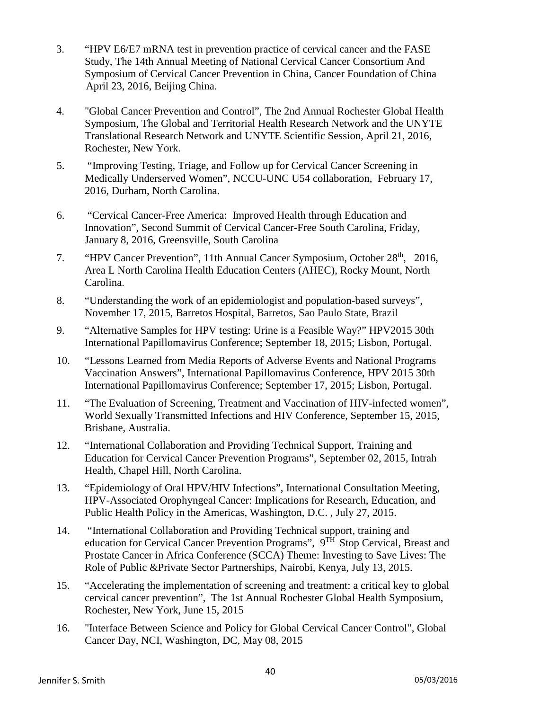- 3. "HPV E6/E7 mRNA test in prevention practice of cervical cancer and the FASE Study, The 14th Annual Meeting of National Cervical Cancer Consortium And Symposium of Cervical Cancer Prevention in China, Cancer Foundation of China April 23, 2016, Beijing China.
- 4. "Global Cancer Prevention and Control", The 2nd Annual Rochester Global Health Symposium, The Global and Territorial Health Research Network and the UNYTE Translational Research Network and UNYTE Scientific Session, April 21, 2016, Rochester, New York.
- 5. "Improving Testing, Triage, and Follow up for Cervical Cancer Screening in Medically Underserved Women", NCCU-UNC U54 collaboration, February 17, 2016, Durham, North Carolina.
- 6. "Cervical Cancer-Free America: Improved Health through Education and Innovation", Second Summit of Cervical Cancer-Free South Carolina, Friday, January 8, 2016, Greensville, South Carolina
- 7. "HPV Cancer Prevention", 11th Annual Cancer Symposium, October 28<sup>th</sup>, 2016, Area L North Carolina Health Education Centers (AHEC), Rocky Mount, North Carolina.
- 8. "Understanding the work of an epidemiologist and population-based surveys", November 17, 2015, Barretos Hospital, Barretos, Sao Paulo State, Brazil
- 9. "Alternative Samples for HPV testing: Urine is a Feasible Way?" HPV2015 30th International Papillomavirus Conference; September 18, 2015; Lisbon, Portugal.
- 10. "Lessons Learned from Media Reports of Adverse Events and National Programs Vaccination Answers", International Papillomavirus Conference, HPV 2015 30th International Papillomavirus Conference; September 17, 2015; Lisbon, Portugal.
- 11. "The Evaluation of Screening, Treatment and Vaccination of HIV-infected women", World Sexually Transmitted Infections and HIV Conference, September 15, 2015, Brisbane, Australia.
- 12. "International Collaboration and Providing Technical Support, Training and Education for Cervical Cancer Prevention Programs", September 02, 2015, Intrah Health, Chapel Hill, North Carolina.
- 13. "Epidemiology of Oral HPV/HIV Infections", International Consultation Meeting, HPV-Associated Orophyngeal Cancer: Implications for Research, Education, and Public Health Policy in the Americas, Washington, D.C. , July 27, 2015.
- 14. "International Collaboration and Providing Technical support, training and education for Cervical Cancer Prevention Programs",  $9^{TH}$  Stop Cervical, Breast and Prostate Cancer in Africa Conference (SCCA) Theme: Investing to Save Lives: The Role of Public &Private Sector Partnerships, Nairobi, Kenya, July 13, 2015.
- 15. "Accelerating the implementation of screening and treatment: a critical key to global cervical cancer prevention", The 1st Annual Rochester Global Health Symposium, Rochester, New York, June 15, 2015
- 16. "Interface Between Science and Policy for Global Cervical Cancer Control", Global Cancer Day, NCI, Washington, DC, May 08, 2015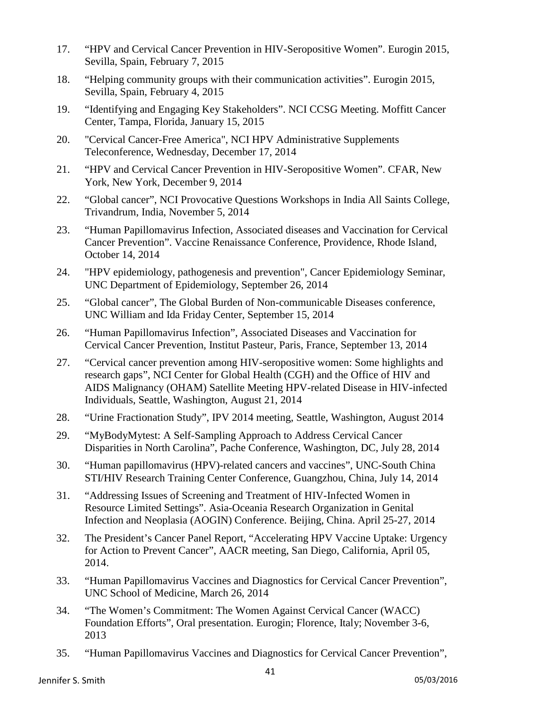- 17. "HPV and Cervical Cancer Prevention in HIV-Seropositive Women". Eurogin 2015, Sevilla, Spain, February 7, 2015
- 18. "Helping community groups with their communication activities". Eurogin 2015, Sevilla, Spain, February 4, 2015
- 19. "Identifying and Engaging Key Stakeholders". NCI CCSG Meeting. Moffitt Cancer Center, Tampa, Florida, January 15, 2015
- 20. "Cervical Cancer-Free America", NCI HPV Administrative Supplements Teleconference, Wednesday, December 17, 2014
- 21. "HPV and Cervical Cancer Prevention in HIV-Seropositive Women". CFAR, New York, New York, December 9, 2014
- 22. "Global cancer", NCI Provocative Questions Workshops in India All Saints College, Trivandrum, India, November 5, 2014
- 23. "Human Papillomavirus Infection, Associated diseases and Vaccination for Cervical Cancer Prevention". Vaccine Renaissance Conference, Providence, Rhode Island, October 14, 2014
- 24. "HPV epidemiology, pathogenesis and prevention", Cancer Epidemiology Seminar, UNC Department of Epidemiology, September 26, 2014
- 25. "Global cancer", The Global Burden of Non-communicable Diseases conference, UNC William and Ida Friday Center, September 15, 2014
- 26. "Human Papillomavirus Infection", Associated Diseases and Vaccination for Cervical Cancer Prevention, Institut Pasteur, Paris, France, September 13, 2014
- 27. "Cervical cancer prevention among HIV-seropositive women: Some highlights and research gaps", NCI Center for Global Health (CGH) and the Office of HIV and AIDS Malignancy (OHAM) Satellite Meeting HPV-related Disease in HIV-infected Individuals, Seattle, Washington, August 21, 2014
- 28. "Urine Fractionation Study", IPV 2014 meeting, Seattle, Washington, August 2014
- 29. "MyBodyMytest: A Self-Sampling Approach to Address Cervical Cancer Disparities in North Carolina", Pache Conference, Washington, DC, July 28, 2014
- 30. "Human papillomavirus (HPV)-related cancers and vaccines", UNC-South China STI/HIV Research Training Center Conference, Guangzhou, China, July 14, 2014
- 31. "Addressing Issues of Screening and Treatment of HIV-Infected Women in Resource Limited Settings". Asia-Oceania Research Organization in Genital Infection and Neoplasia (AOGIN) Conference. Beijing, China. April 25-27, 2014
- 32. The President's Cancer Panel Report, "Accelerating HPV Vaccine Uptake: Urgency for Action to Prevent Cancer", AACR meeting, San Diego, California, April 05, 2014.
- 33. "Human Papillomavirus Vaccines and Diagnostics for Cervical Cancer Prevention", UNC School of Medicine, March 26, 2014
- 34. "The Women's Commitment: The Women Against Cervical Cancer (WACC) Foundation Efforts", Oral presentation. Eurogin; Florence, Italy; November 3-6, 2013
- 35. "Human Papillomavirus Vaccines and Diagnostics for Cervical Cancer Prevention",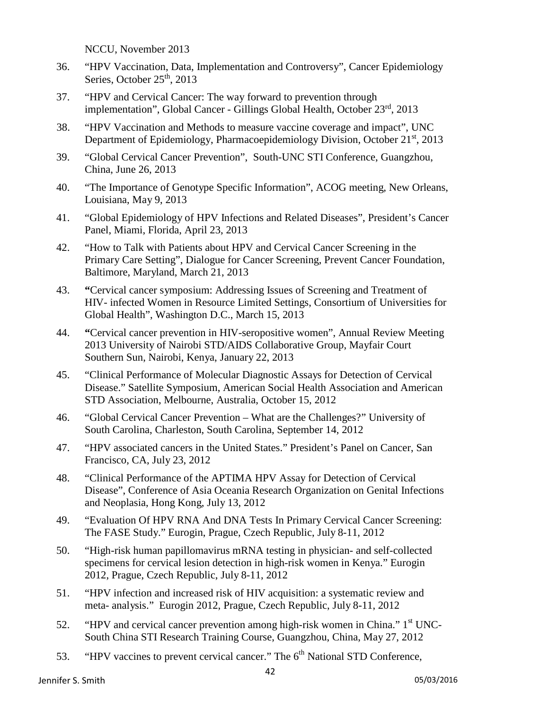NCCU, November 2013

- 36. "HPV Vaccination, Data, Implementation and Controversy", Cancer Epidemiology Series, October  $25<sup>th</sup>$ , 2013
- 37. "HPV and Cervical Cancer: The way forward to prevention through implementation", Global Cancer - Gillings Global Health, October 23<sup>rd</sup>, 2013
- 38. "HPV Vaccination and Methods to measure vaccine coverage and impact", UNC Department of Epidemiology, Pharmacoepidemiology Division, October 21<sup>st</sup>, 2013
- 39. "Global Cervical Cancer Prevention", South-UNC STI Conference, Guangzhou, China, June 26, 2013
- 40. "The Importance of Genotype Specific Information", ACOG meeting, New Orleans, Louisiana, May 9, 2013
- 41. "Global Epidemiology of HPV Infections and Related Diseases", President's Cancer Panel, Miami, Florida, April 23, 2013
- 42. "How to Talk with Patients about HPV and Cervical Cancer Screening in the Primary Care Setting", Dialogue for Cancer Screening, Prevent Cancer Foundation, Baltimore, Maryland, March 21, 2013
- 43. **"**Cervical cancer symposium: Addressing Issues of Screening and Treatment of HIV- infected Women in Resource Limited Settings, Consortium of Universities for Global Health", Washington D.C., March 15, 2013
- 44. **"**Cervical cancer prevention in HIV-seropositive women", Annual Review Meeting 2013 University of Nairobi STD/AIDS Collaborative Group, Mayfair Court Southern Sun, Nairobi, Kenya, January 22, 2013
- 45. "Clinical Performance of Molecular Diagnostic Assays for Detection of Cervical Disease." Satellite Symposium, American Social Health Association and American STD Association, Melbourne, Australia, October 15, 2012
- 46. "Global Cervical Cancer Prevention What are the Challenges?" University of South Carolina, Charleston, South Carolina, September 14, 2012
- 47. "HPV associated cancers in the United States." President's Panel on Cancer, San Francisco, CA, July 23, 2012
- 48. "Clinical Performance of the APTIMA HPV Assay for Detection of Cervical Disease", Conference of Asia Oceania Research Organization on Genital Infections and Neoplasia, Hong Kong, July 13, 2012
- 49. "Evaluation Of HPV RNA And DNA Tests In Primary Cervical Cancer Screening: The FASE Study." Eurogin, Prague, Czech Republic, July 8-11, 2012
- 50. "High-risk human papillomavirus mRNA testing in physician- and self-collected specimens for cervical lesion detection in high-risk women in Kenya." Eurogin 2012, Prague, Czech Republic, July 8-11, 2012
- 51. "HPV infection and increased risk of HIV acquisition: a systematic review and meta- analysis." Eurogin 2012, Prague, Czech Republic, July 8-11, 2012
- 52. "HPV and cervical cancer prevention among high-risk women in China."  $1<sup>st</sup>$  UNC-South China STI Research Training Course, Guangzhou, China, May 27, 2012
- 53. "HPV vaccines to prevent cervical cancer." The 6<sup>th</sup> National STD Conference,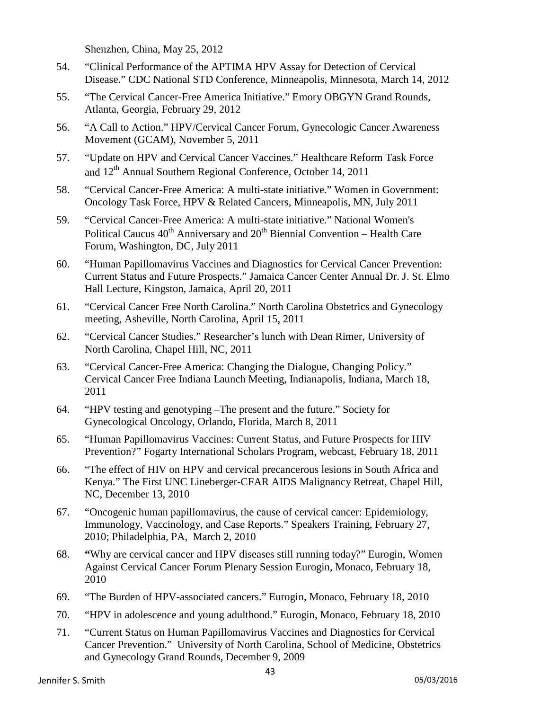Shenzhen, China, May 25, 2012

- 54. "Clinical Performance of the APTIMA HPV Assay for Detection of Cervical Disease." CDC National STD Conference, Minneapolis, Minnesota, March 14, 2012
- 55. "The Cervical Cancer-Free America Initiative." Emory OBGYN Grand Rounds, Atlanta, Georgia, February 29, 2012
- 56. "A Call to Action." HPV/Cervical Cancer Forum, Gynecologic Cancer Awareness Movement (GCAM), November 5, 2011
- 57. "Update on HPV and Cervical Cancer Vaccines." Healthcare Reform Task Force and 12<sup>th</sup> Annual Southern Regional Conference, October 14, 2011
- 58. "Cervical Cancer-Free America: A multi-state initiative." Women in Government: Oncology Task Force, HPV & Related Cancers, Minneapolis, MN, July 2011
- 59. "Cervical Cancer-Free America: A multi-state initiative." National Women's Political Caucus  $40^{th}$  Anniversary and  $20^{th}$  Biennial Convention – Health Care Forum, Washington, DC, July 2011
- 60. "Human Papillomavirus Vaccines and Diagnostics for Cervical Cancer Prevention: Current Status and Future Prospects." Jamaica Cancer Center Annual Dr. J. St. Elmo Hall Lecture, Kingston, Jamaica, April 20, 2011
- 61. "Cervical Cancer Free North Carolina." North Carolina Obstetrics and Gynecology meeting, Asheville, North Carolina, April 15, 2011
- 62. "Cervical Cancer Studies." Researcher's lunch with Dean Rimer, University of North Carolina, Chapel Hill, NC, 2011
- 63. "Cervical Cancer-Free America: Changing the Dialogue, Changing Policy." Cervical Cancer Free Indiana Launch Meeting, Indianapolis, Indiana, March 18, 2011
- 64. "HPV testing and genotyping –The present and the future." Society for Gynecological Oncology, Orlando, Florida, March 8, 2011
- 65. "Human Papillomavirus Vaccines: Current Status, and Future Prospects for HIV Prevention?" Fogarty International Scholars Program, webcast, February 18, 2011
- 66. "The effect of HIV on HPV and cervical precancerous lesions in South Africa and Kenya." The First UNC Lineberger-CFAR AIDS Malignancy Retreat, Chapel Hill, NC, December 13, 2010
- 67. "Oncogenic human papillomavirus, the cause of cervical cancer: Epidemiology, Immunology, Vaccinology, and Case Reports." Speakers Training, February 27, 2010; Philadelphia, PA, March 2, 2010
- 68. **"**Why are cervical cancer and HPV diseases still running today?" Eurogin, Women Against Cervical Cancer Forum Plenary Session Eurogin, Monaco, February 18, 2010
- 69. "The Burden of HPV-associated cancers." Eurogin, Monaco, February 18, 2010
- 70. "HPV in adolescence and young adulthood." Eurogin, Monaco, February 18, 2010
- 71. "Current Status on Human Papillomavirus Vaccines and Diagnostics for Cervical Cancer Prevention." University of North Carolina, School of Medicine, Obstetrics and Gynecology Grand Rounds, December 9, 2009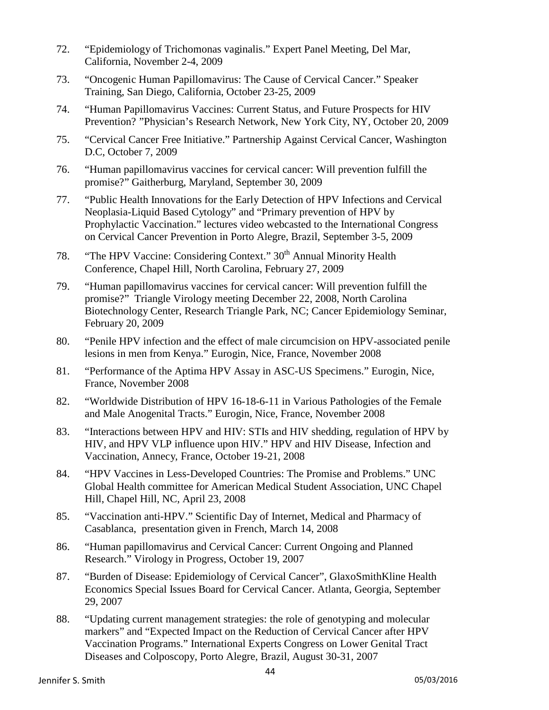- 72. "Epidemiology of Trichomonas vaginalis." Expert Panel Meeting, Del Mar, California, November 2-4, 2009
- 73. "Oncogenic Human Papillomavirus: The Cause of Cervical Cancer." Speaker Training, San Diego, California, October 23-25, 2009
- 74. "Human Papillomavirus Vaccines: Current Status, and Future Prospects for HIV Prevention? "Physician's Research Network, New York City, NY, October 20, 2009
- 75. "Cervical Cancer Free Initiative." Partnership Against Cervical Cancer, Washington D.C, October 7, 2009
- 76. "Human papillomavirus vaccines for cervical cancer: Will prevention fulfill the promise?" Gaitherburg, Maryland, September 30, 2009
- 77. "Public Health Innovations for the Early Detection of HPV Infections and Cervical Neoplasia-Liquid Based Cytology" and "Primary prevention of HPV by Prophylactic Vaccination." lectures video webcasted to the International Congress on Cervical Cancer Prevention in Porto Alegre, Brazil, September 3-5, 2009
- 78. "The HPV Vaccine: Considering Context." 30<sup>th</sup> Annual Minority Health Conference, Chapel Hill, North Carolina, February 27, 2009
- 79. "Human papillomavirus vaccines for cervical cancer: Will prevention fulfill the promise?" Triangle Virology meeting December 22, 2008, North Carolina Biotechnology Center, Research Triangle Park, NC; Cancer Epidemiology Seminar, February 20, 2009
- 80. "Penile HPV infection and the effect of male circumcision on HPV-associated penile lesions in men from Kenya." Eurogin, Nice, France, November 2008
- 81. "Performance of the Aptima HPV Assay in ASC-US Specimens." Eurogin, Nice, France, November 2008
- 82. "Worldwide Distribution of HPV 16-18-6-11 in Various Pathologies of the Female and Male Anogenital Tracts." Eurogin, Nice, France, November 2008
- 83. "Interactions between HPV and HIV: STIs and HIV shedding, regulation of HPV by HIV, and HPV VLP influence upon HIV." HPV and HIV Disease, Infection and Vaccination, Annecy, France, October 19-21, 2008
- 84. "HPV Vaccines in Less-Developed Countries: The Promise and Problems." UNC Global Health committee for American Medical Student Association, UNC Chapel Hill, Chapel Hill, NC, April 23, 2008
- 85. "Vaccination anti-HPV." Scientific Day of Internet, Medical and Pharmacy of Casablanca, presentation given in French, March 14, 2008
- 86. "Human papillomavirus and Cervical Cancer: Current Ongoing and Planned Research." Virology in Progress, October 19, 2007
- 87. "Burden of Disease: Epidemiology of Cervical Cancer", GlaxoSmithKline Health Economics Special Issues Board for Cervical Cancer. Atlanta, Georgia, September 29, 2007
- 88. "Updating current management strategies: the role of genotyping and molecular markers" and "Expected Impact on the Reduction of Cervical Cancer after HPV Vaccination Programs." International Experts Congress on Lower Genital Tract Diseases and Colposcopy, Porto Alegre, Brazil, August 30-31, 2007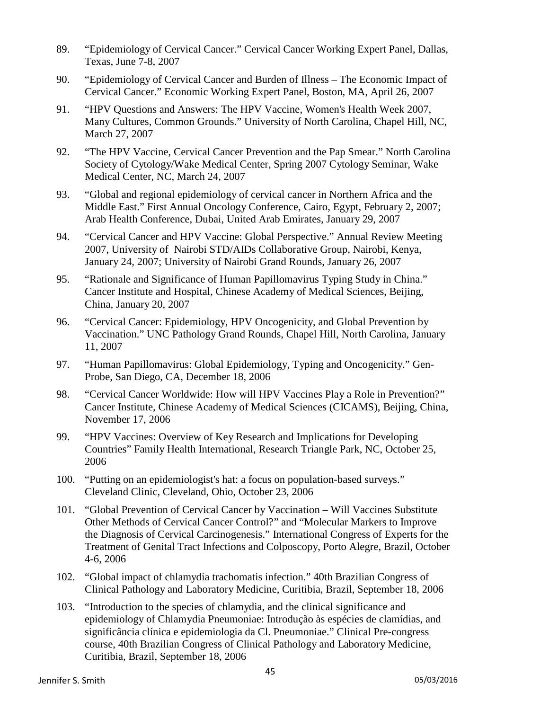- 89. "Epidemiology of Cervical Cancer." Cervical Cancer Working Expert Panel, Dallas, Texas, June 7-8, 2007
- 90. "Epidemiology of Cervical Cancer and Burden of Illness The Economic Impact of Cervical Cancer." Economic Working Expert Panel, Boston, MA, April 26, 2007
- 91. "HPV Questions and Answers: The HPV Vaccine, Women's Health Week 2007, Many Cultures, Common Grounds." University of North Carolina, Chapel Hill, NC, March 27, 2007
- 92. "The HPV Vaccine, Cervical Cancer Prevention and the Pap Smear." North Carolina Society of Cytology/Wake Medical Center, Spring 2007 Cytology Seminar, Wake Medical Center, NC, March 24, 2007
- 93. "Global and regional epidemiology of cervical cancer in Northern Africa and the Middle East." First Annual Oncology Conference, Cairo, Egypt, February 2, 2007; Arab Health Conference, Dubai, United Arab Emirates, January 29, 2007
- 94. "Cervical Cancer and HPV Vaccine: Global Perspective." Annual Review Meeting 2007, University of Nairobi STD/AIDs Collaborative Group, Nairobi, Kenya, January 24, 2007; University of Nairobi Grand Rounds, January 26, 2007
- 95. "Rationale and Significance of Human Papillomavirus Typing Study in China." Cancer Institute and Hospital, Chinese Academy of Medical Sciences, Beijing, China, January 20, 2007
- 96. "Cervical Cancer: Epidemiology, HPV Oncogenicity, and Global Prevention by Vaccination." UNC Pathology Grand Rounds, Chapel Hill, North Carolina, January 11, 2007
- 97. "Human Papillomavirus: Global Epidemiology, Typing and Oncogenicity." Gen-Probe, San Diego, CA, December 18, 2006
- 98. "Cervical Cancer Worldwide: How will HPV Vaccines Play a Role in Prevention?" Cancer Institute, Chinese Academy of Medical Sciences (CICAMS), Beijing, China, November 17, 2006
- 99. "HPV Vaccines: Overview of Key Research and Implications for Developing Countries" Family Health International, Research Triangle Park, NC, October 25, 2006
- 100. "Putting on an epidemiologist's hat: a focus on population-based surveys." Cleveland Clinic, Cleveland, Ohio, October 23, 2006
- 101. "Global Prevention of Cervical Cancer by Vaccination Will Vaccines Substitute Other Methods of Cervical Cancer Control?" and "Molecular Markers to Improve the Diagnosis of Cervical Carcinogenesis." International Congress of Experts for the Treatment of Genital Tract Infections and Colposcopy, Porto Alegre, Brazil, October 4-6, 2006
- 102. "Global impact of chlamydia trachomatis infection." 40th Brazilian Congress of Clinical Pathology and Laboratory Medicine, Curitibia, Brazil, September 18, 2006
- 103. "Introduction to the species of chlamydia, and the clinical significance and epidemiology of Chlamydia Pneumoniae: Introdução às espécies de clamídias, and significância clínica e epidemiologia da Cl. Pneumoniae." Clinical Pre-congress course, 40th Brazilian Congress of Clinical Pathology and Laboratory Medicine, Curitibia, Brazil, September 18, 2006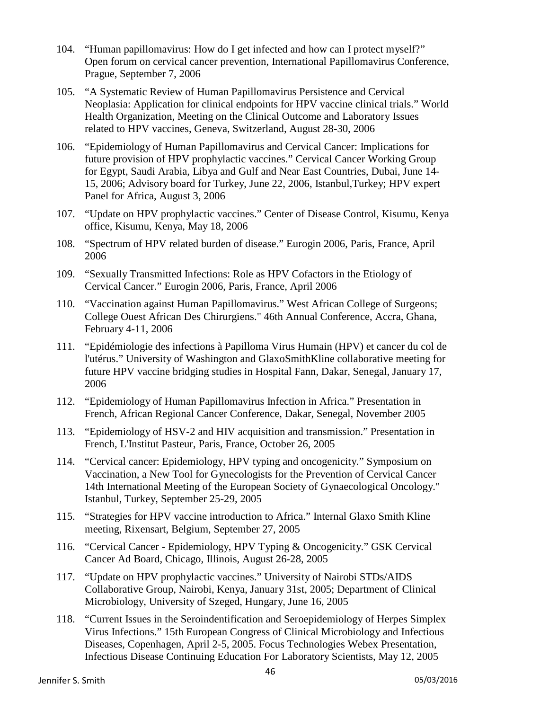- 104. "Human papillomavirus: How do I get infected and how can I protect myself?" Open forum on cervical cancer prevention, International Papillomavirus Conference, Prague, September 7, 2006
- 105. "A Systematic Review of Human Papillomavirus Persistence and Cervical Neoplasia: Application for clinical endpoints for HPV vaccine clinical trials." World Health Organization, Meeting on the Clinical Outcome and Laboratory Issues related to HPV vaccines, Geneva, Switzerland, August 28-30, 2006
- 106. "Epidemiology of Human Papillomavirus and Cervical Cancer: Implications for future provision of HPV prophylactic vaccines." Cervical Cancer Working Group for Egypt, Saudi Arabia, Libya and Gulf and Near East Countries, Dubai, June 14- 15, 2006; Advisory board for Turkey, June 22, 2006, Istanbul,Turkey; HPV expert Panel for Africa, August 3, 2006
- 107. "Update on HPV prophylactic vaccines." Center of Disease Control, Kisumu, Kenya office, Kisumu, Kenya, May 18, 2006
- 108. "Spectrum of HPV related burden of disease." Eurogin 2006, Paris, France, April 2006
- 109. "Sexually Transmitted Infections: Role as HPV Cofactors in the Etiology of Cervical Cancer." Eurogin 2006, Paris, France, April 2006
- 110. "Vaccination against Human Papillomavirus." West African College of Surgeons; College Ouest African Des Chirurgiens." 46th Annual Conference, Accra, Ghana, February 4-11, 2006
- 111. "Epidémiologie des infections à Papilloma Virus Humain (HPV) et cancer du col de l'utérus." University of Washington and GlaxoSmithKline collaborative meeting for future HPV vaccine bridging studies in Hospital Fann, Dakar, Senegal, January 17, 2006
- 112. "Epidemiology of Human Papillomavirus Infection in Africa." Presentation in French, African Regional Cancer Conference, Dakar, Senegal, November 2005
- 113. "Epidemiology of HSV-2 and HIV acquisition and transmission." Presentation in French, L'Institut Pasteur, Paris, France, October 26, 2005
- 114. "Cervical cancer: Epidemiology, HPV typing and oncogenicity." Symposium on Vaccination, a New Tool for Gynecologists for the Prevention of Cervical Cancer 14th International Meeting of the European Society of Gynaecological Oncology." Istanbul, Turkey, September 25-29, 2005
- 115. "Strategies for HPV vaccine introduction to Africa." Internal Glaxo Smith Kline meeting, Rixensart, Belgium, September 27, 2005
- 116. "Cervical Cancer Epidemiology, HPV Typing & Oncogenicity." GSK Cervical Cancer Ad Board, Chicago, Illinois, August 26-28, 2005
- 117. "Update on HPV prophylactic vaccines." University of Nairobi STDs/AIDS Collaborative Group, Nairobi, Kenya, January 31st, 2005; Department of Clinical Microbiology, University of Szeged, Hungary, June 16, 2005
- 118. "Current Issues in the Seroindentification and Seroepidemiology of Herpes Simplex Virus Infections." 15th European Congress of Clinical Microbiology and Infectious Diseases, Copenhagen, April 2-5, 2005. Focus Technologies Webex Presentation, Infectious Disease Continuing Education For Laboratory Scientists, May 12, 2005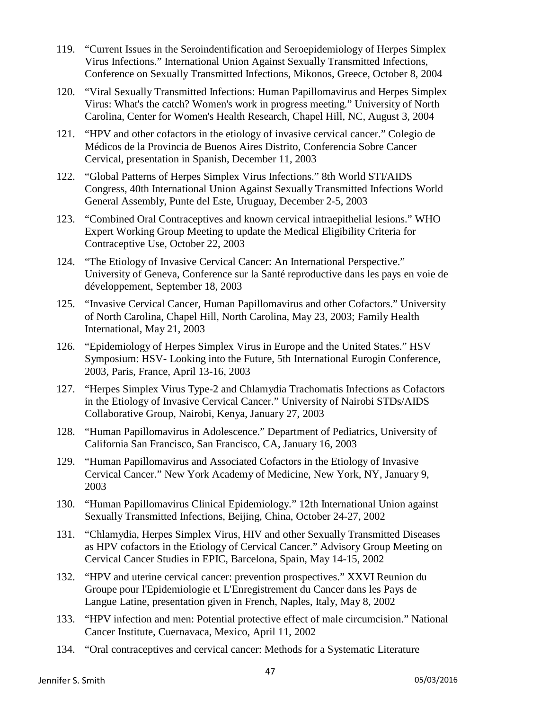- 119. "Current Issues in the Seroindentification and Seroepidemiology of Herpes Simplex Virus Infections." International Union Against Sexually Transmitted Infections, Conference on Sexually Transmitted Infections, Mikonos, Greece, October 8, 2004
- 120. "Viral Sexually Transmitted Infections: Human Papillomavirus and Herpes Simplex Virus: What's the catch? Women's work in progress meeting." University of North Carolina, Center for Women's Health Research, Chapel Hill, NC, August 3, 2004
- 121. "HPV and other cofactors in the etiology of invasive cervical cancer." Colegio de Médicos de la Provincia de Buenos Aires Distrito, Conferencia Sobre Cancer Cervical, presentation in Spanish, December 11, 2003
- 122. "Global Patterns of Herpes Simplex Virus Infections." 8th World STI/AIDS Congress, 40th International Union Against Sexually Transmitted Infections World General Assembly, Punte del Este, Uruguay, December 2-5, 2003
- 123. "Combined Oral Contraceptives and known cervical intraepithelial lesions." WHO Expert Working Group Meeting to update the Medical Eligibility Criteria for Contraceptive Use, October 22, 2003
- 124. "The Etiology of Invasive Cervical Cancer: An International Perspective." University of Geneva, Conference sur la Santé reproductive dans les pays en voie de développement, September 18, 2003
- 125. "Invasive Cervical Cancer, Human Papillomavirus and other Cofactors." University of North Carolina, Chapel Hill, North Carolina, May 23, 2003; Family Health International, May 21, 2003
- 126. "Epidemiology of Herpes Simplex Virus in Europe and the United States." HSV Symposium: HSV- Looking into the Future, 5th International Eurogin Conference, 2003, Paris, France, April 13-16, 2003
- 127. "Herpes Simplex Virus Type-2 and Chlamydia Trachomatis Infections as Cofactors in the Etiology of Invasive Cervical Cancer." University of Nairobi STDs/AIDS Collaborative Group, Nairobi, Kenya, January 27, 2003
- 128. "Human Papillomavirus in Adolescence." Department of Pediatrics, University of California San Francisco, San Francisco, CA, January 16, 2003
- 129. "Human Papillomavirus and Associated Cofactors in the Etiology of Invasive Cervical Cancer." New York Academy of Medicine, New York, NY, January 9, 2003
- 130. "Human Papillomavirus Clinical Epidemiology." 12th International Union against Sexually Transmitted Infections, Beijing, China, October 24-27, 2002
- 131. "Chlamydia, Herpes Simplex Virus, HIV and other Sexually Transmitted Diseases as HPV cofactors in the Etiology of Cervical Cancer." Advisory Group Meeting on Cervical Cancer Studies in EPIC, Barcelona, Spain, May 14-15, 2002
- 132. "HPV and uterine cervical cancer: prevention prospectives." XXVI Reunion du Groupe pour l'Epidemiologie et L'Enregistrement du Cancer dans les Pays de Langue Latine, presentation given in French, Naples, Italy, May 8, 2002
- 133. "HPV infection and men: Potential protective effect of male circumcision." National Cancer Institute, Cuernavaca, Mexico, April 11, 2002
- 134. "Oral contraceptives and cervical cancer: Methods for a Systematic Literature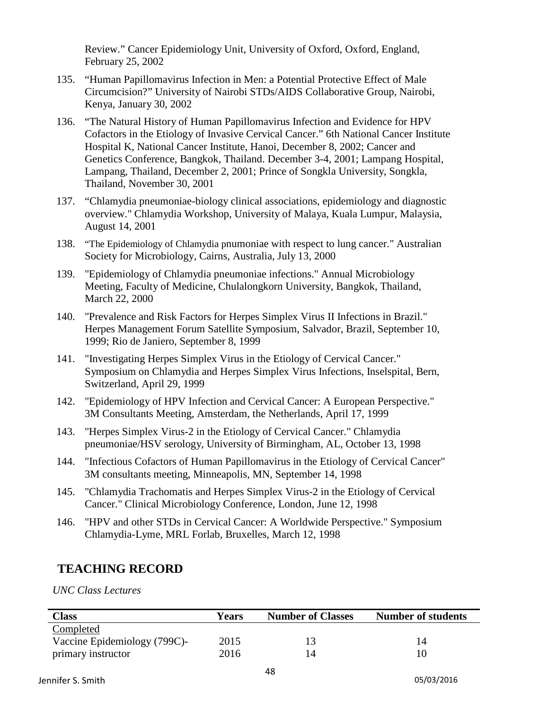Review." Cancer Epidemiology Unit, University of Oxford, Oxford, England, February 25, 2002

- 135. "Human Papillomavirus Infection in Men: a Potential Protective Effect of Male Circumcision?" University of Nairobi STDs/AIDS Collaborative Group, Nairobi, Kenya, January 30, 2002
- 136. "The Natural History of Human Papillomavirus Infection and Evidence for HPV Cofactors in the Etiology of Invasive Cervical Cancer." 6th National Cancer Institute Hospital K, National Cancer Institute, Hanoi, December 8, 2002; Cancer and Genetics Conference, Bangkok, Thailand. December 3-4, 2001; Lampang Hospital, Lampang, Thailand, December 2, 2001; Prince of Songkla University, Songkla, Thailand, November 30, 2001
- 137. "Chlamydia pneumoniae-biology clinical associations, epidemiology and diagnostic overview." Chlamydia Workshop, University of Malaya, Kuala Lumpur, Malaysia, August 14, 2001
- 138. "The Epidemiology of Chlamydia pnumoniae with respect to lung cancer." Australian Society for Microbiology, Cairns, Australia, July 13, 2000
- 139. "Epidemiology of Chlamydia pneumoniae infections." Annual Microbiology Meeting, Faculty of Medicine, Chulalongkorn University, Bangkok, Thailand, March 22, 2000
- 140. "Prevalence and Risk Factors for Herpes Simplex Virus II Infections in Brazil." Herpes Management Forum Satellite Symposium, Salvador, Brazil, September 10, 1999; Rio de Janiero, September 8, 1999
- 141. "Investigating Herpes Simplex Virus in the Etiology of Cervical Cancer." Symposium on Chlamydia and Herpes Simplex Virus Infections, Inselspital, Bern, Switzerland, April 29, 1999
- 142. "Epidemiology of HPV Infection and Cervical Cancer: A European Perspective." 3M Consultants Meeting, Amsterdam, the Netherlands, April 17, 1999
- 143. "Herpes Simplex Virus-2 in the Etiology of Cervical Cancer." Chlamydia pneumoniae/HSV serology, University of Birmingham, AL, October 13, 1998
- 144. "Infectious Cofactors of Human Papillomavirus in the Etiology of Cervical Cancer" 3M consultants meeting, Minneapolis, MN, September 14, 1998
- 145. "Chlamydia Trachomatis and Herpes Simplex Virus-2 in the Etiology of Cervical Cancer." Clinical Microbiology Conference, London, June 12, 1998
- 146. "HPV and other STDs in Cervical Cancer: A Worldwide Perspective." Symposium Chlamydia-Lyme, MRL Forlab, Bruxelles, March 12, 1998

# **TEACHING RECORD**

*UNC Class Lectures*

| <b>Class</b>                 | Years | <b>Number of Classes</b> | <b>Number of students</b> |
|------------------------------|-------|--------------------------|---------------------------|
| Completed                    |       |                          |                           |
| Vaccine Epidemiology (799C)- | 2015  |                          |                           |
| primary instructor           | 2016  | 14                       |                           |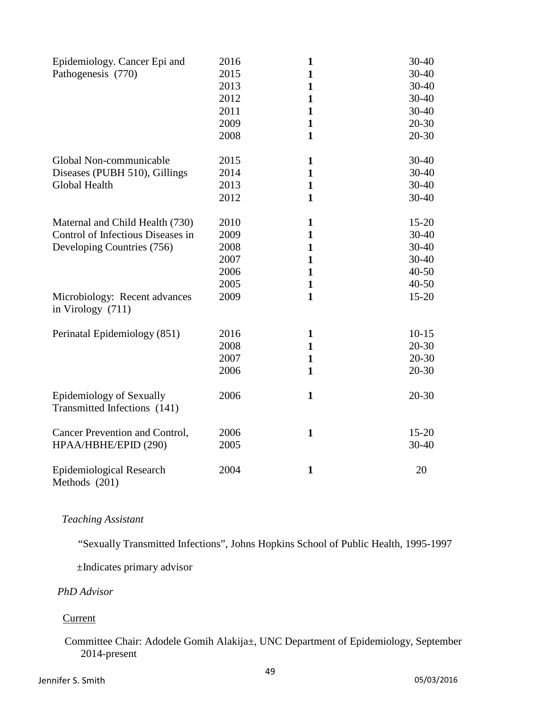| Epidemiology. Cancer Epi and<br>Pathogenesis (770)                                                                                                         | 2016<br>2015<br>2013<br>2012<br>2011<br>2009<br>2008 | 1<br>$\mathbf{1}$<br>$\mathbf{1}$<br>$\mathbf{1}$<br>$\mathbf{1}$<br>$\mathbf{1}$<br>$\mathbf{1}$ | $30 - 40$<br>30-40<br>30-40<br>$30-40$<br>$30 - 40$<br>$20 - 30$<br>20-30               |
|------------------------------------------------------------------------------------------------------------------------------------------------------------|------------------------------------------------------|---------------------------------------------------------------------------------------------------|-----------------------------------------------------------------------------------------|
| Global Non-communicable<br>Diseases (PUBH 510), Gillings<br>Global Health                                                                                  | 2015<br>2014<br>2013<br>2012                         | $\mathbf{1}$<br>1<br>$\mathbf{1}$<br>$\mathbf{1}$                                                 | $30 - 40$<br>30-40<br>$30-40$<br>30-40                                                  |
| Maternal and Child Health (730)<br>Control of Infectious Diseases in<br>Developing Countries (756)<br>Microbiology: Recent advances<br>in Virology $(711)$ | 2010<br>2009<br>2008<br>2007<br>2006<br>2005<br>2009 | 1<br>$\mathbf{1}$<br>$\mathbf{1}$<br>1<br>$\mathbf{1}$<br>$\mathbf{1}$<br>$\mathbf{1}$            | $15 - 20$<br>$30 - 40$<br>$30 - 40$<br>$30 - 40$<br>$40 - 50$<br>$40 - 50$<br>$15 - 20$ |
| Perinatal Epidemiology (851)                                                                                                                               | 2016<br>2008<br>2007<br>2006                         | $\mathbf{1}$<br>$\mathbf{1}$<br>$\mathbf{1}$<br>$\mathbf{1}$                                      | $10-15$<br>$20 - 30$<br>$20 - 30$<br>$20 - 30$                                          |
| <b>Epidemiology of Sexually</b><br>Transmitted Infections (141)                                                                                            | 2006                                                 | $\mathbf{1}$                                                                                      | $20 - 30$                                                                               |
| Cancer Prevention and Control,<br>HPAA/HBHE/EPID (290)                                                                                                     | 2006<br>2005                                         | $\mathbf{1}$                                                                                      | $15 - 20$<br>$30 - 40$                                                                  |
| <b>Epidemiological Research</b><br>Methods (201)                                                                                                           | 2004                                                 | $\mathbf{1}$                                                                                      | 20                                                                                      |

### *Teaching Assistant*

"Sexually Transmitted Infections", Johns Hopkins School of Public Health, 1995-1997

±Indicates primary advisor

## *PhD Advisor*

### **Current**

## Committee Chair: Adodele Gomih Alakija±, UNC Department of Epidemiology, September 2014-present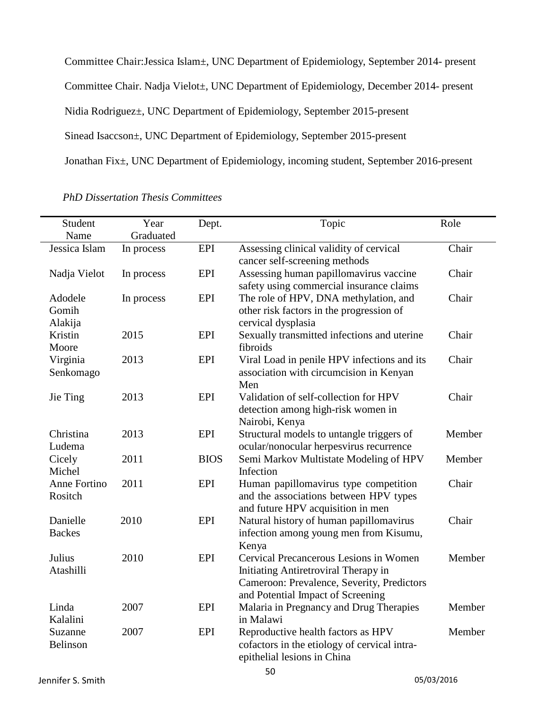Committee Chair:Jessica Islam±, UNC Department of Epidemiology, September 2014- present Committee Chair. Nadja Vielot±, UNC Department of Epidemiology, December 2014- present Nidia Rodriguez±, UNC Department of Epidemiology, September 2015-present Sinead Isaccson±, UNC Department of Epidemiology, September 2015-present Jonathan Fix±, UNC Department of Epidemiology, incoming student, September 2016-present

| Student                     | Year       | Dept.       | Topic                                                                                                                                                             | Role   |
|-----------------------------|------------|-------------|-------------------------------------------------------------------------------------------------------------------------------------------------------------------|--------|
| Name                        | Graduated  |             |                                                                                                                                                                   |        |
| Jessica Islam               | In process | EPI         | Assessing clinical validity of cervical<br>cancer self-screening methods                                                                                          | Chair  |
| Nadja Vielot                | In process | EPI         | Assessing human papillomavirus vaccine<br>safety using commercial insurance claims                                                                                | Chair  |
| Adodele<br>Gomih<br>Alakija | In process | EPI         | The role of HPV, DNA methylation, and<br>other risk factors in the progression of<br>cervical dysplasia                                                           | Chair  |
| Kristin<br>Moore            | 2015       | <b>EPI</b>  | Sexually transmitted infections and uterine<br>fibroids                                                                                                           | Chair  |
| Virginia<br>Senkomago       | 2013       | EPI         | Viral Load in penile HPV infections and its<br>association with circumcision in Kenyan<br>Men                                                                     | Chair  |
| Jie Ting                    | 2013       | <b>EPI</b>  | Validation of self-collection for HPV<br>detection among high-risk women in<br>Nairobi, Kenya                                                                     | Chair  |
| Christina<br>Ludema         | 2013       | <b>EPI</b>  | Structural models to untangle triggers of<br>ocular/nonocular herpesvirus recurrence                                                                              | Member |
| Cicely<br>Michel            | 2011       | <b>BIOS</b> | Semi Markov Multistate Modeling of HPV<br>Infection                                                                                                               | Member |
| Anne Fortino<br>Rositch     | 2011       | EPI         | Human papillomavirus type competition<br>and the associations between HPV types<br>and future HPV acquisition in men                                              | Chair  |
| Danielle<br><b>Backes</b>   | 2010       | EPI         | Natural history of human papillomavirus<br>infection among young men from Kisumu,<br>Kenya                                                                        | Chair  |
| Julius<br>Atashilli         | 2010       | EPI         | Cervical Precancerous Lesions in Women<br>Initiating Antiretroviral Therapy in<br>Cameroon: Prevalence, Severity, Predictors<br>and Potential Impact of Screening | Member |
| Linda<br>Kalalini           | 2007       | EPI         | Malaria in Pregnancy and Drug Therapies<br>in Malawi                                                                                                              | Member |
| Suzanne<br>Belinson         | 2007       | EPI         | Reproductive health factors as HPV<br>cofactors in the etiology of cervical intra-<br>epithelial lesions in China                                                 | Member |

*PhD Dissertation Thesis Committees*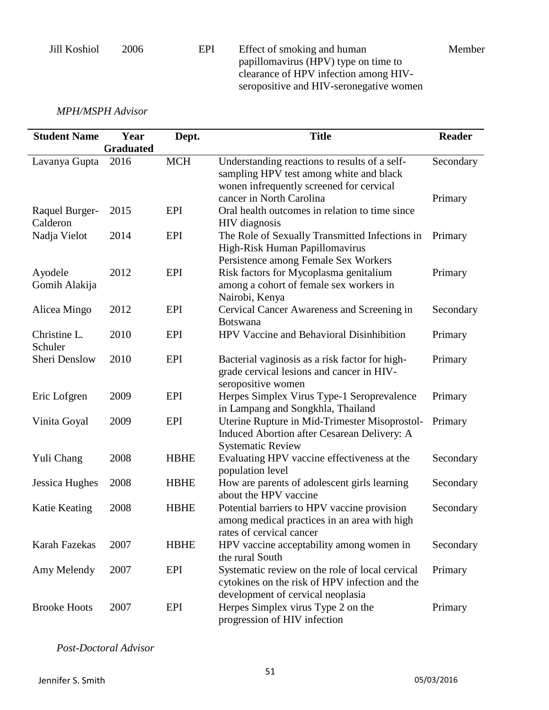Jill Koshiol 2006 EPI Effect of smoking and human papillomavirus (HPV) type on time to clearance of HPV infection among HIVseropositive and HIV-seronegative women

Member

*MPH/MSPH Advisor*

| <b>Student Name</b>        | Year             | Dept.       | <b>Title</b>                                                                                                                                                     | <b>Reader</b>        |
|----------------------------|------------------|-------------|------------------------------------------------------------------------------------------------------------------------------------------------------------------|----------------------|
|                            | <b>Graduated</b> |             |                                                                                                                                                                  |                      |
| Lavanya Gupta              | 2016             | <b>MCH</b>  | Understanding reactions to results of a self-<br>sampling HPV test among white and black<br>wonen infrequently screened for cervical<br>cancer in North Carolina | Secondary<br>Primary |
| Raquel Burger-<br>Calderon | 2015             | EPI         | Oral health outcomes in relation to time since<br><b>HIV</b> diagnosis                                                                                           |                      |
| Nadja Vielot               | 2014             | <b>EPI</b>  | The Role of Sexually Transmitted Infections in<br>High-Risk Human Papillomavirus<br>Persistence among Female Sex Workers                                         | Primary              |
| Ayodele<br>Gomih Alakija   | 2012             | <b>EPI</b>  | Risk factors for Mycoplasma genitalium<br>among a cohort of female sex workers in<br>Nairobi, Kenya                                                              | Primary              |
| Alicea Mingo               | 2012             | EPI         | Cervical Cancer Awareness and Screening in<br><b>Botswana</b>                                                                                                    | Secondary            |
| Christine L.<br>Schuler    | 2010             | <b>EPI</b>  | HPV Vaccine and Behavioral Disinhibition                                                                                                                         | Primary              |
| Sheri Denslow              | 2010             | <b>EPI</b>  | Bacterial vaginosis as a risk factor for high-<br>grade cervical lesions and cancer in HIV-<br>seropositive women                                                | Primary              |
| Eric Lofgren               | 2009             | <b>EPI</b>  | Herpes Simplex Virus Type-1 Seroprevalence<br>in Lampang and Songkhla, Thailand                                                                                  | Primary              |
| Vinita Goyal               | 2009             | EPI         | Uterine Rupture in Mid-Trimester Misoprostol-<br>Induced Abortion after Cesarean Delivery: A<br><b>Systematic Review</b>                                         | Primary              |
| Yuli Chang                 | 2008             | <b>HBHE</b> | Evaluating HPV vaccine effectiveness at the<br>population level                                                                                                  | Secondary            |
| Jessica Hughes             | 2008             | <b>HBHE</b> | How are parents of adolescent girls learning<br>about the HPV vaccine                                                                                            | Secondary            |
| Katie Keating              | 2008             | <b>HBHE</b> | Potential barriers to HPV vaccine provision<br>among medical practices in an area with high<br>rates of cervical cancer                                          | Secondary            |
| Karah Fazekas              | 2007             | <b>HBHE</b> | HPV vaccine acceptability among women in<br>the rural South                                                                                                      | Secondary            |
| Amy Melendy                | 2007             | EPI         | Systematic review on the role of local cervical<br>cytokines on the risk of HPV infection and the<br>development of cervical neoplasia                           | Primary              |
| <b>Brooke Hoots</b>        | 2007             | EPI         | Herpes Simplex virus Type 2 on the<br>progression of HIV infection                                                                                               | Primary              |

*Post-Doctoral Advisor*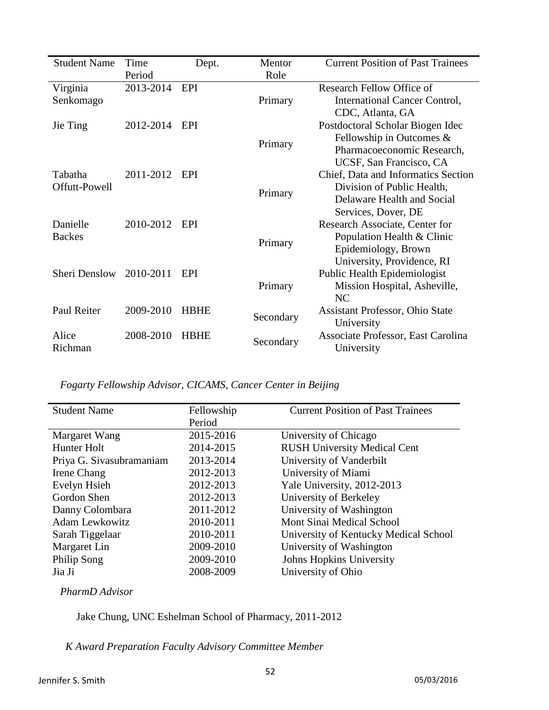| <b>Student Name</b> | Time      | Dept.       | Mentor    | <b>Current Position of Past Trainees</b> |
|---------------------|-----------|-------------|-----------|------------------------------------------|
|                     | Period    |             | Role      |                                          |
| Virginia            | 2013-2014 | <b>EPI</b>  |           | Research Fellow Office of                |
| Senkomago           |           |             | Primary   | International Cancer Control,            |
|                     |           |             |           | CDC, Atlanta, GA                         |
| Jie Ting            | 2012-2014 | EPI         |           | Postdoctoral Scholar Biogen Idec         |
|                     |           |             | Primary   | Fellowship in Outcomes $\&$              |
|                     |           |             |           | Pharmacoeconomic Research,               |
|                     |           |             |           | UCSF, San Francisco, CA                  |
| Tabatha             | 2011-2012 | EPI         |           | Chief, Data and Informatics Section      |
| Offutt-Powell       |           |             | Primary   | Division of Public Health,               |
|                     |           |             |           | Delaware Health and Social               |
|                     |           |             |           | Services, Dover, DE                      |
| Danielle            | 2010-2012 | EPI         |           | Research Associate, Center for           |
| <b>Backes</b>       |           |             | Primary   | Population Health & Clinic               |
|                     |           |             |           | Epidemiology, Brown                      |
|                     |           |             |           | University, Providence, RI               |
| Sheri Denslow       | 2010-2011 | EPI         |           | Public Health Epidemiologist             |
|                     |           |             | Primary   | Mission Hospital, Asheville,             |
|                     |           |             |           | N <sub>C</sub>                           |
| Paul Reiter         | 2009-2010 | <b>HBHE</b> | Secondary | <b>Assistant Professor, Ohio State</b>   |
|                     |           |             |           | University                               |
| Alice               | 2008-2010 | <b>HBHE</b> | Secondary | Associate Professor, East Carolina       |
| Richman             |           |             |           | University                               |

*Fogarty Fellowship Advisor, CICAMS, Cancer Center in Beijing*

| <b>Student Name</b>      | Fellowship | <b>Current Position of Past Trainees</b> |
|--------------------------|------------|------------------------------------------|
|                          | Period     |                                          |
| Margaret Wang            | 2015-2016  | University of Chicago                    |
| Hunter Holt              | 2014-2015  | <b>RUSH University Medical Cent</b>      |
| Priya G. Sivasubramaniam | 2013-2014  | University of Vanderbilt                 |
| Irene Chang              | 2012-2013  | University of Miami                      |
| Evelyn Hsieh             | 2012-2013  | Yale University, 2012-2013               |
| Gordon Shen              | 2012-2013  | University of Berkeley                   |
| Danny Colombara          | 2011-2012  | University of Washington                 |
| <b>Adam Lewkowitz</b>    | 2010-2011  | Mont Sinai Medical School                |
| Sarah Tiggelaar          | 2010-2011  | University of Kentucky Medical School    |
| Margaret Lin             | 2009-2010  | University of Washington                 |
| Philip Song              | 2009-2010  | <b>Johns Hopkins University</b>          |
| Jia Ji                   | 2008-2009  | University of Ohio                       |
|                          |            |                                          |

*PharmD Advisor*

Jake Chung, UNC Eshelman School of Pharmacy, 2011-2012

*K Award Preparation Faculty Advisory Committee Member*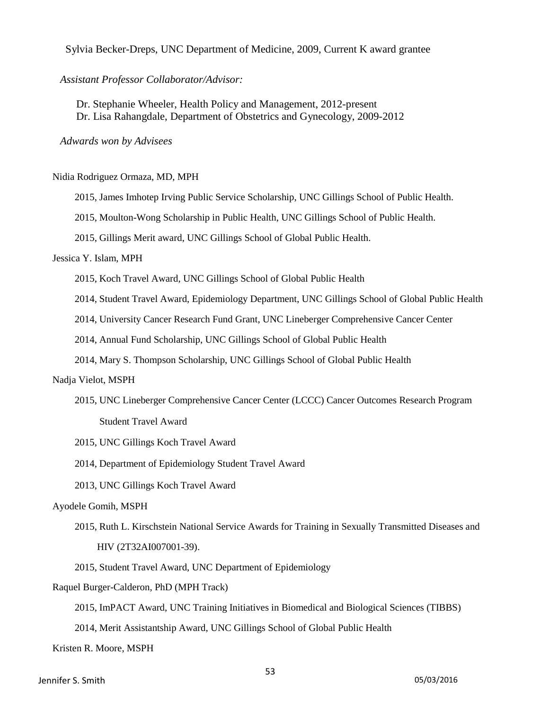Sylvia Becker-Dreps, UNC Department of Medicine, 2009, Current K award grantee

*Assistant Professor Collaborator/Advisor:*

Dr. Stephanie Wheeler, Health Policy and Management, 2012-present Dr. Lisa Rahangdale, Department of Obstetrics and Gynecology, 2009-2012

*Adwards won by Advisees*

Nidia Rodriguez Ormaza, MD, MPH

2015, James Imhotep Irving Public Service Scholarship, UNC Gillings School of Public Health.

2015, Moulton-Wong Scholarship in Public Health, UNC Gillings School of Public Health.

2015, Gillings Merit award, UNC Gillings School of Global Public Health.

#### Jessica Y. Islam, MPH

2015, Koch Travel Award, UNC Gillings School of Global Public Health

2014, Student Travel Award, Epidemiology Department, UNC Gillings School of Global Public Health

2014, University Cancer Research Fund Grant, UNC Lineberger Comprehensive Cancer Center

2014, Annual Fund Scholarship, UNC Gillings School of Global Public Health

2014, Mary S. Thompson Scholarship, UNC Gillings School of Global Public Health

#### Nadja Vielot, MSPH

2015, UNC Lineberger Comprehensive Cancer Center (LCCC) Cancer Outcomes Research Program

Student Travel Award

2015, UNC Gillings Koch Travel Award

2014, Department of Epidemiology Student Travel Award

2013, UNC Gillings Koch Travel Award

#### Ayodele Gomih, MSPH

 2015, Ruth L. Kirschstein National Service Awards for Training in Sexually Transmitted Diseases and HIV (2T32AI007001-39).

2015, Student Travel Award, UNC Department of Epidemiology

Raquel Burger-Calderon, PhD (MPH Track)

2015, ImPACT Award, UNC Training Initiatives in Biomedical and Biological Sciences (TIBBS)

2014, Merit Assistantship Award, UNC Gillings School of Global Public Health

Kristen R. Moore, MSPH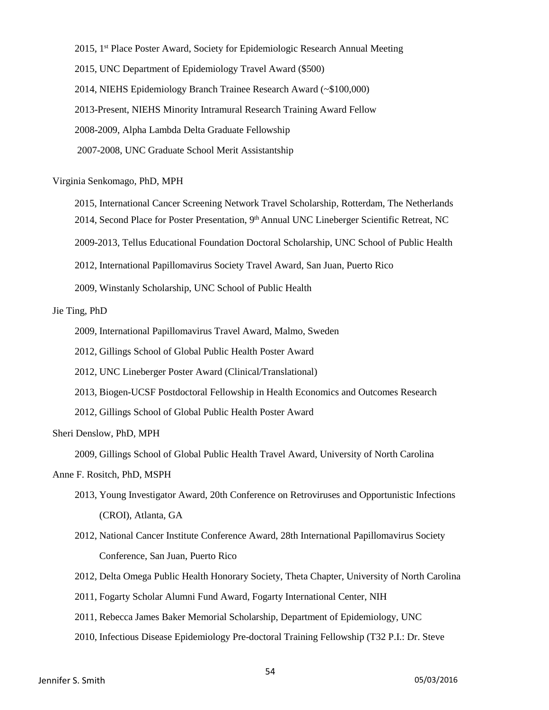2015, 1<sup>st</sup> Place Poster Award, Society for Epidemiologic Research Annual Meeting 2015, UNC Department of Epidemiology Travel Award (\$500) 2014, NIEHS Epidemiology Branch Trainee Research Award (~\$100,000) 2013-Present, NIEHS Minority Intramural Research Training Award Fellow 2008-2009, Alpha Lambda Delta Graduate Fellowship 2007-2008, UNC Graduate School Merit Assistantship

#### Virginia Senkomago, PhD, MPH

- 2015, International Cancer Screening Network Travel Scholarship, Rotterdam, The Netherlands 2014, Second Place for Poster Presentation, 9th Annual UNC Lineberger Scientific Retreat, NC
- 2009-2013, Tellus Educational Foundation Doctoral Scholarship, UNC School of Public Health
- 2012, International Papillomavirus Society Travel Award, San Juan, Puerto Rico
- 2009, Winstanly Scholarship, UNC School of Public Health

#### Jie Ting, PhD

- 2009, International Papillomavirus Travel Award, Malmo, Sweden
- 2012, Gillings School of Global Public Health Poster Award
- 2012, UNC Lineberger Poster Award (Clinical/Translational)
- 2013, Biogen-UCSF Postdoctoral Fellowship in Health Economics and Outcomes Research
- 2012, Gillings School of Global Public Health Poster Award

#### Sheri Denslow, PhD, MPH

2009, Gillings School of Global Public Health Travel Award, University of North Carolina

#### Anne F. Rositch, PhD, MSPH

- 2013, Young Investigator Award, 20th Conference on Retroviruses and Opportunistic Infections (CROI), Atlanta, GA
- 2012, National Cancer Institute Conference Award, 28th International Papillomavirus Society Conference, San Juan, Puerto Rico
- 2012, Delta Omega Public Health Honorary Society, Theta Chapter, University of North Carolina
- 2011, Fogarty Scholar Alumni Fund Award, Fogarty International Center, NIH
- 2011, Rebecca James Baker Memorial Scholarship, Department of Epidemiology, UNC
- 2010, Infectious Disease Epidemiology Pre-doctoral Training Fellowship (T32 P.I.: Dr. Steve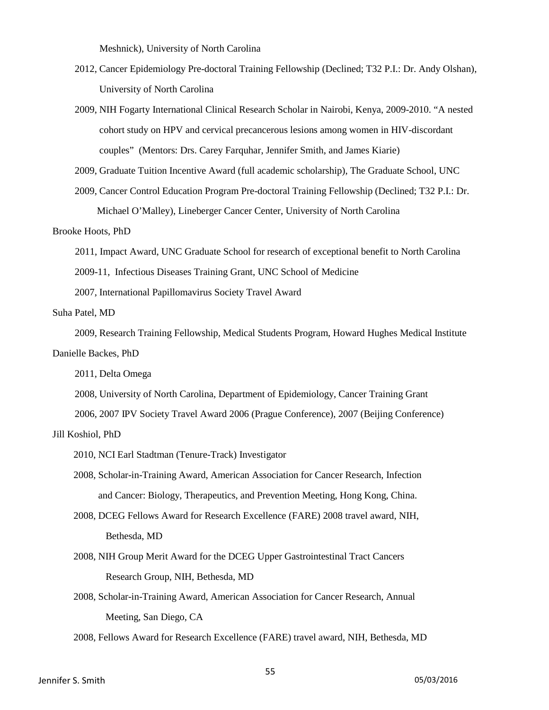Meshnick), University of North Carolina

- 2012, Cancer Epidemiology Pre-doctoral Training Fellowship (Declined; T32 P.I.: Dr. Andy Olshan), University of North Carolina
- 2009, NIH Fogarty International Clinical Research Scholar in Nairobi, Kenya, 2009-2010. "A nested cohort study on HPV and cervical precancerous lesions among women in HIV-discordant couples" (Mentors: Drs. Carey Farquhar, Jennifer Smith, and James Kiarie)
- 2009, Graduate Tuition Incentive Award (full academic scholarship), The Graduate School, UNC
- 2009, Cancer Control Education Program Pre-doctoral Training Fellowship (Declined; T32 P.I.: Dr. Michael O'Malley), Lineberger Cancer Center, University of North Carolina

#### Brooke Hoots, PhD

- 2011, Impact Award, UNC Graduate School for research of exceptional benefit to North Carolina
- 2009-11, Infectious Diseases Training Grant, UNC School of Medicine
- 2007, International Papillomavirus Society Travel Award

#### Suha Patel, MD

 2009, Research Training Fellowship, Medical Students Program, Howard Hughes Medical Institute Danielle Backes, PhD

2011, Delta Omega

2008, University of North Carolina, Department of Epidemiology, Cancer Training Grant

2006, 2007 IPV Society Travel Award 2006 (Prague Conference), 2007 (Beijing Conference)

#### Jill Koshiol, PhD

- 2010, NCI Earl Stadtman (Tenure-Track) Investigator
- 2008, Scholar-in-Training Award, American Association for Cancer Research, Infection and Cancer: Biology, Therapeutics, and Prevention Meeting, Hong Kong, China.
- 2008, DCEG Fellows Award for Research Excellence (FARE) 2008 travel award, NIH, Bethesda, MD
- 2008, NIH Group Merit Award for the DCEG Upper Gastrointestinal Tract Cancers Research Group, NIH, Bethesda, MD
- 2008, Scholar-in-Training Award, American Association for Cancer Research, Annual Meeting, San Diego, CA

2008, Fellows Award for Research Excellence (FARE) travel award, NIH, Bethesda, MD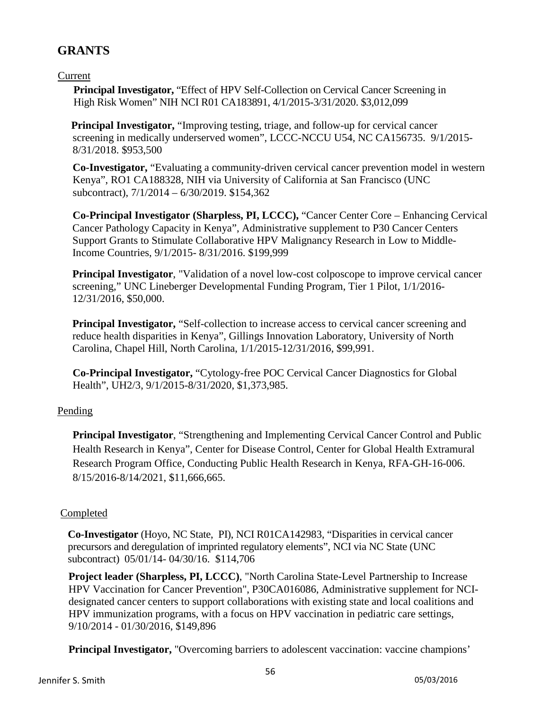# **GRANTS**

## Current

**Principal Investigator, "Effect of HPV Self-Collection on Cervical Cancer Screening in** High Risk Women" NIH NCI R01 CA183891, 4/1/2015-3/31/2020. \$3,012,099

 **Principal Investigator,** "Improving testing, triage, and follow-up for cervical cancer screening in medically underserved women", LCCC-NCCU U54, NC CA156735. 9/1/2015- 8/31/2018. \$953,500

**Co-Investigator,** "Evaluating a community-driven cervical cancer prevention model in western Kenya", RO1 CA188328, NIH via University of California at San Francisco (UNC subcontract), 7/1/2014 – 6/30/2019. \$154,362

**Co-Principal Investigator (Sharpless, PI, LCCC),** "Cancer Center Core – Enhancing Cervical Cancer Pathology Capacity in Kenya", Administrative supplement to P30 Cancer Centers Support Grants to Stimulate Collaborative HPV Malignancy Research in Low to Middle-Income Countries, 9/1/2015- 8/31/2016. \$199,999

**Principal Investigator**, "Validation of a novel low-cost colposcope to improve cervical cancer screening," UNC Lineberger Developmental Funding Program, Tier 1 Pilot, 1/1/2016- 12/31/2016, \$50,000.

**Principal Investigator,** "Self-collection to increase access to cervical cancer screening and reduce health disparities in Kenya", Gillings Innovation Laboratory, University of North Carolina, Chapel Hill, North Carolina, 1/1/2015-12/31/2016, \$99,991.

**Co-Principal Investigator,** "Cytology-free POC Cervical Cancer Diagnostics for Global Health", UH2/3, 9/1/2015-8/31/2020, \$1,373,985.

## Pending

**Principal Investigator**, "Strengthening and Implementing Cervical Cancer Control and Public Health Research in Kenya", Center for Disease Control, Center for Global Health Extramural Research Program Office, Conducting Public Health Research in Kenya, RFA-GH-16-006. 8/15/2016-8/14/2021, \$11,666,665.

## Completed

 **Co-Investigator** (Hoyo, NC State, PI), NCI R01CA142983, "Disparities in cervical cancer precursors and deregulation of imprinted regulatory elements", NCI via NC State (UNC subcontract) 05/01/14- 04/30/16. \$114,706

**Project leader (Sharpless, PI, LCCC)**, "North Carolina State-Level Partnership to Increase HPV Vaccination for Cancer Prevention", P30CA016086, Administrative supplement for NCIdesignated cancer centers to support collaborations with existing state and local coalitions and HPV immunization programs, with a focus on HPV vaccination in pediatric care settings, 9/10/2014 - 01/30/2016, \$149,896

**Principal Investigator,** "Overcoming barriers to adolescent vaccination: vaccine champions'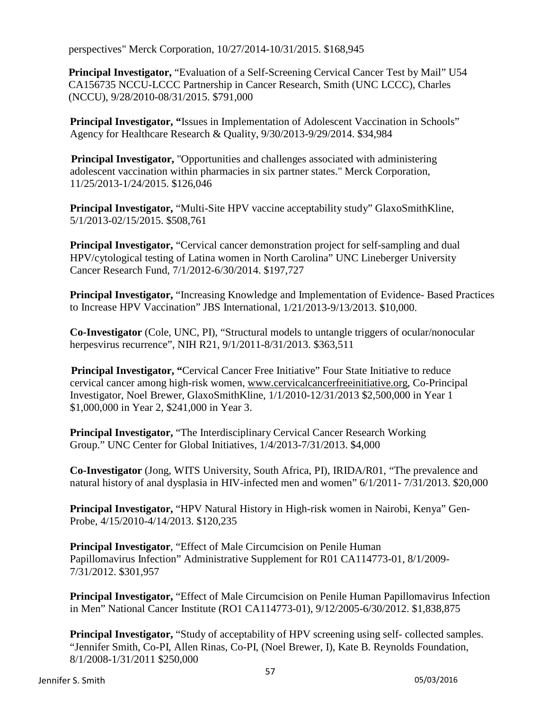perspectives" Merck Corporation, 10/27/2014-10/31/2015. \$168,945

**Principal Investigator,** "Evaluation of a Self-Screening Cervical Cancer Test by Mail" U54 CA156735 NCCU-LCCC Partnership in Cancer Research, Smith (UNC LCCC), Charles (NCCU), 9/28/2010-08/31/2015. \$791,000

**Principal Investigator, "**Issues in Implementation of Adolescent Vaccination in Schools" Agency for Healthcare Research & Quality, 9/30/2013-9/29/2014. \$34,984

**Principal Investigator,** "Opportunities and challenges associated with administering adolescent vaccination within pharmacies in six partner states." Merck Corporation, 11/25/2013-1/24/2015. \$126,046

**Principal Investigator,** "Multi-Site HPV vaccine acceptability study" GlaxoSmithKline, 5/1/2013-02/15/2015. \$508,761

**Principal Investigator,** "Cervical cancer demonstration project for self-sampling and dual HPV/cytological testing of Latina women in North Carolina" UNC Lineberger University Cancer Research Fund, 7/1/2012-6/30/2014. \$197,727

**Principal Investigator,** "Increasing Knowledge and Implementation of Evidence- Based Practices to Increase HPV Vaccination" JBS International, 1/21/2013-9/13/2013. \$10,000.

**Co-Investigator** (Cole, UNC, PI), "Structural models to untangle triggers of ocular/nonocular herpesvirus recurrence", NIH R21, 9/1/2011-8/31/2013. \$363,511

**Principal Investigator, "Cervical Cancer Free Initiative" Four State Initiative to reduce** cervical cancer among high-risk women, [www.cervicalcancerfreeinitiative.org, C](http://www.cervicalcancerfreeinitiative.org/)o-Principal Investigator, Noel Brewer, GlaxoSmithKline, 1/1/2010-12/31/2013 \$2,500,000 in Year 1 \$1,000,000 in Year 2, \$241,000 in Year 3.

**Principal Investigator,** "The Interdisciplinary Cervical Cancer Research Working Group." UNC Center for Global Initiatives, 1/4/2013-7/31/2013. \$4,000

**Co-Investigator** (Jong, WITS University, South Africa, PI), IRIDA/R01, "The prevalence and natural history of anal dysplasia in HIV-infected men and women" 6/1/2011- 7/31/2013. \$20,000

**Principal Investigator,** "HPV Natural History in High-risk women in Nairobi, Kenya" Gen-Probe, 4/15/2010-4/14/2013. \$120,235

**Principal Investigator**, "Effect of Male Circumcision on Penile Human Papillomavirus Infection" Administrative Supplement for R01 CA114773-01, 8/1/2009- 7/31/2012. \$301,957

**Principal Investigator,** "Effect of Male Circumcision on Penile Human Papillomavirus Infection in Men" National Cancer Institute (RO1 CA114773-01), 9/12/2005-6/30/2012. \$1,838,875

**Principal Investigator,** "Study of acceptability of HPV screening using self- collected samples. "Jennifer Smith, Co-PI, Allen Rinas, Co-PI, (Noel Brewer, I), Kate B. Reynolds Foundation, 8/1/2008-1/31/2011 \$250,000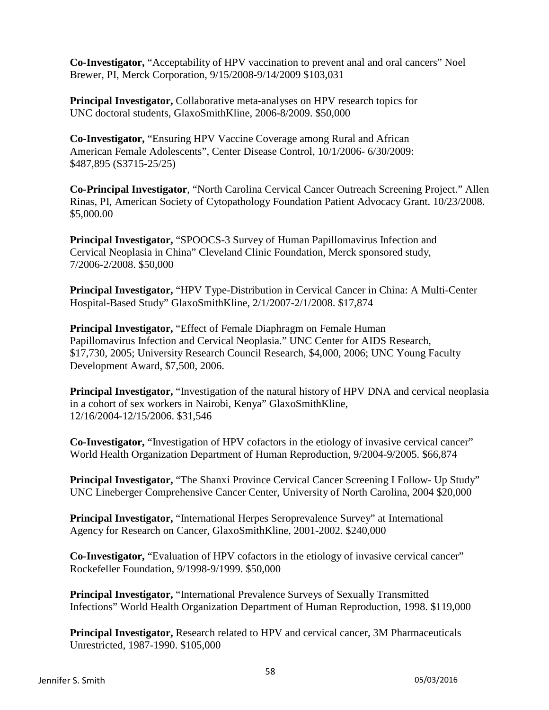**Co-Investigator,** "Acceptability of HPV vaccination to prevent anal and oral cancers" Noel Brewer, PI, Merck Corporation, 9/15/2008-9/14/2009 \$103,031

**Principal Investigator,** Collaborative meta-analyses on HPV research topics for UNC doctoral students, GlaxoSmithKline, 2006-8/2009. \$50,000

**Co-Investigator,** "Ensuring HPV Vaccine Coverage among Rural and African American Female Adolescents", Center Disease Control, 10/1/2006- 6/30/2009: \$487,895 (S3715-25/25)

**Co-Principal Investigator**, "North Carolina Cervical Cancer Outreach Screening Project." Allen Rinas, PI, American Society of Cytopathology Foundation Patient Advocacy Grant. 10/23/2008. \$5,000.00

**Principal Investigator,** "SPOOCS-3 Survey of Human Papillomavirus Infection and Cervical Neoplasia in China" Cleveland Clinic Foundation, Merck sponsored study, 7/2006-2/2008. \$50,000

**Principal Investigator,** "HPV Type-Distribution in Cervical Cancer in China: A Multi-Center Hospital-Based Study" GlaxoSmithKline, 2/1/2007-2/1/2008. \$17,874

**Principal Investigator,** "Effect of Female Diaphragm on Female Human Papillomavirus Infection and Cervical Neoplasia." UNC Center for AIDS Research, \$17,730, 2005; University Research Council Research, \$4,000, 2006; UNC Young Faculty Development Award, \$7,500, 2006.

**Principal Investigator,** "Investigation of the natural history of HPV DNA and cervical neoplasia in a cohort of sex workers in Nairobi, Kenya" GlaxoSmithKline, 12/16/2004-12/15/2006. \$31,546

**Co-Investigator,** "Investigation of HPV cofactors in the etiology of invasive cervical cancer" World Health Organization Department of Human Reproduction, 9/2004-9/2005. \$66,874

**Principal Investigator,** "The Shanxi Province Cervical Cancer Screening I Follow- Up Study" UNC Lineberger Comprehensive Cancer Center, University of North Carolina, 2004 \$20,000

**Principal Investigator,** "International Herpes Seroprevalence Survey" at International Agency for Research on Cancer, GlaxoSmithKline, 2001-2002. \$240,000

**Co-Investigator,** "Evaluation of HPV cofactors in the etiology of invasive cervical cancer" Rockefeller Foundation, 9/1998-9/1999. \$50,000

**Principal Investigator,** "International Prevalence Surveys of Sexually Transmitted Infections" World Health Organization Department of Human Reproduction, 1998. \$119,000

**Principal Investigator,** Research related to HPV and cervical cancer, 3M Pharmaceuticals Unrestricted, 1987-1990. \$105,000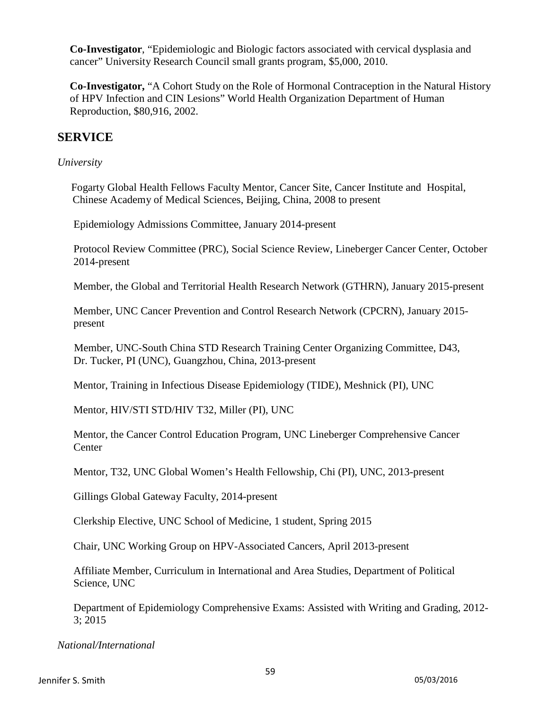**Co-Investigator**, "Epidemiologic and Biologic factors associated with cervical dysplasia and cancer" University Research Council small grants program, \$5,000, 2010.

**Co-Investigator,** "A Cohort Study on the Role of Hormonal Contraception in the Natural History of HPV Infection and CIN Lesions" World Health Organization Department of Human Reproduction, \$80,916, 2002.

## **SERVICE**

#### *University*

 Fogarty Global Health Fellows Faculty Mentor, Cancer Site, Cancer Institute and Hospital, Chinese Academy of Medical Sciences, Beijing, China, 2008 to present

Epidemiology Admissions Committee, January 2014-present

Protocol Review Committee (PRC), Social Science Review, Lineberger Cancer Center, October 2014-present

Member, the Global and Territorial Health Research Network (GTHRN), January 2015-present

Member, UNC Cancer Prevention and Control Research Network (CPCRN), January 2015 present

 Member, UNC-South China STD Research Training Center Organizing Committee, D43, Dr. Tucker, PI (UNC), Guangzhou, China, 2013-present

Mentor, Training in Infectious Disease Epidemiology (TIDE), Meshnick (PI), UNC

Mentor, HIV/STI STD/HIV T32, Miller (PI), UNC

Mentor, the Cancer Control Education Program, UNC Lineberger Comprehensive Cancer **Center** 

Mentor, T32, UNC Global Women's Health Fellowship, [Chi \(PI\), U](http://www.ncbi.nlm.nih.gov/pubmed?term=Chi+BH%5BAuthor%5D)NC, 2013-present

Gillings Global Gateway Faculty, 2014-present

Clerkship Elective, UNC School of Medicine, 1 student, Spring 2015

Chair, UNC Working Group on HPV-Associated Cancers, April 2013-present

Affiliate Member, Curriculum in International and Area Studies, Department of Political Science, UNC

Department of Epidemiology Comprehensive Exams: Assisted with Writing and Grading, 2012- 3; 2015

*National/International*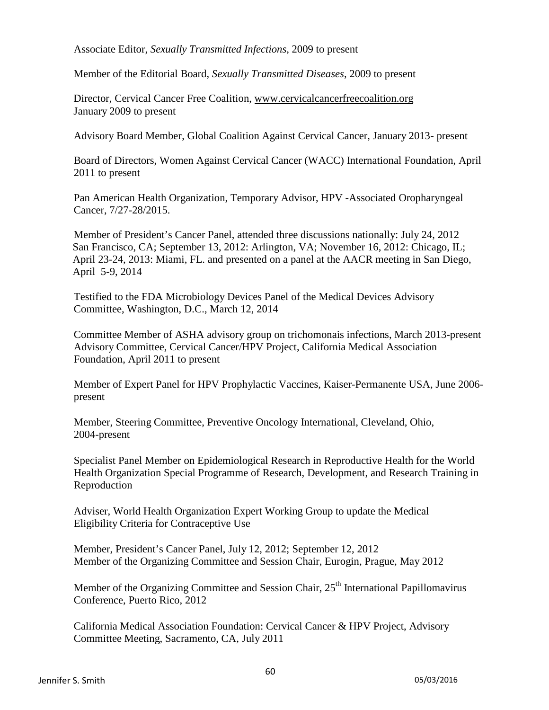Associate Editor, *Sexually Transmitted Infections*, 2009 to present

Member of the Editorial Board, *Sexually Transmitted Diseases*, 2009 to present

Director, Cervical Cancer Free Coalition, [www.cervicalcancerfreecoalition.org](http://www.cervicalcancerfreecoalition.org/) January 2009 to present

Advisory Board Member, Global Coalition Against Cervical Cancer, January 2013- present

Board of Directors, Women Against Cervical Cancer (WACC) International Foundation, April 2011 to present

Pan American Health Organization, Temporary Advisor, HPV -Associated Oropharyngeal Cancer, 7/27-28/2015.

Member of President's Cancer Panel, attended three discussions nationally: July 24, 2012 San Francisco, CA; September 13, 2012: Arlington, VA; November 16, 2012: Chicago, IL; April 23-24, 2013: Miami, FL. and presented on a panel at the AACR meeting in San Diego, April 5-9, 2014

Testified to the FDA Microbiology Devices Panel of the Medical Devices Advisory Committee, Washington, D.C., March 12, 2014

Committee Member of ASHA advisory group on trichomonais infections, March 2013-present Advisory Committee, Cervical Cancer/HPV Project, California Medical Association Foundation, April 2011 to present

Member of Expert Panel for HPV Prophylactic Vaccines, Kaiser-Permanente USA, June 2006 present

Member, Steering Committee, Preventive Oncology International, Cleveland, Ohio, 2004-present

Specialist Panel Member on Epidemiological Research in Reproductive Health for the World Health Organization Special Programme of Research, Development, and Research Training in Reproduction

Adviser, World Health Organization Expert Working Group to update the Medical Eligibility Criteria for Contraceptive Use

Member, President's Cancer Panel, July 12, 2012; September 12, 2012 Member of the Organizing Committee and Session Chair, Eurogin, Prague, May 2012

Member of the Organizing Committee and Session Chair,  $25<sup>th</sup>$  International Papillomavirus Conference, Puerto Rico, 2012

California Medical Association Foundation: Cervical Cancer & HPV Project, Advisory Committee Meeting, Sacramento, CA, July 2011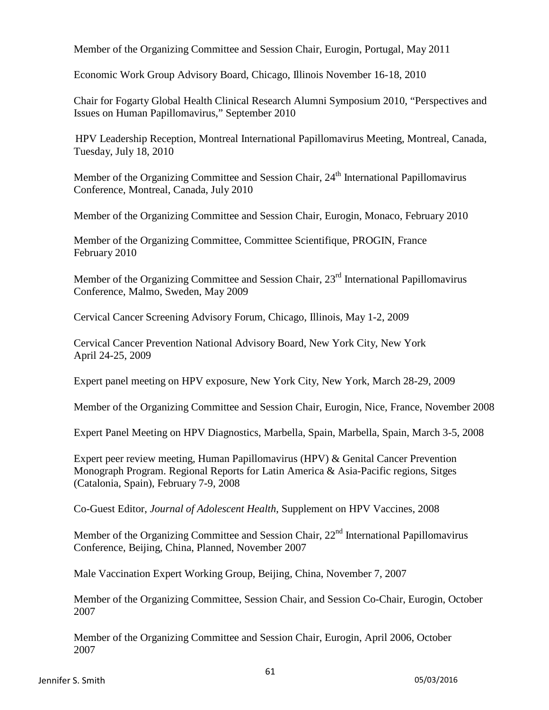Member of the Organizing Committee and Session Chair, Eurogin, Portugal, May 2011

Economic Work Group Advisory Board, Chicago, Illinois November 16-18, 2010

Chair for Fogarty Global Health Clinical Research Alumni Symposium 2010, "Perspectives and Issues on Human Papillomavirus," September 2010

HPV Leadership Reception, Montreal International Papillomavirus Meeting, Montreal, Canada, Tuesday, July 18, 2010

Member of the Organizing Committee and Session Chair, 24<sup>th</sup> International Papillomavirus Conference, Montreal, Canada, July 2010

Member of the Organizing Committee and Session Chair, Eurogin, Monaco, February 2010

Member of the Organizing Committee, Committee Scientifique, PROGIN, France February 2010

Member of the Organizing Committee and Session Chair, 23<sup>rd</sup> International Papillomavirus Conference, Malmo, Sweden, May 2009

Cervical Cancer Screening Advisory Forum, Chicago, Illinois, May 1-2, 2009

Cervical Cancer Prevention National Advisory Board, New York City, New York April 24-25, 2009

Expert panel meeting on HPV exposure, New York City, New York, March 28-29, 2009

Member of the Organizing Committee and Session Chair, Eurogin, Nice, France, November 2008

Expert Panel Meeting on HPV Diagnostics, Marbella, Spain, Marbella, Spain, March 3-5, 2008

Expert peer review meeting, Human Papillomavirus (HPV) & Genital Cancer Prevention Monograph Program. Regional Reports for Latin America & Asia-Pacific regions, Sitges (Catalonia, Spain), February 7-9, 2008

Co-Guest Editor, *Journal of Adolescent Health*, Supplement on HPV Vaccines, 2008

Member of the Organizing Committee and Session Chair,  $22<sup>nd</sup>$  International Papillomavirus Conference, Beijing, China, Planned, November 2007

Male Vaccination Expert Working Group, Beijing, China, November 7, 2007

Member of the Organizing Committee, Session Chair, and Session Co-Chair, Eurogin, October 2007

Member of the Organizing Committee and Session Chair, Eurogin, April 2006, October 2007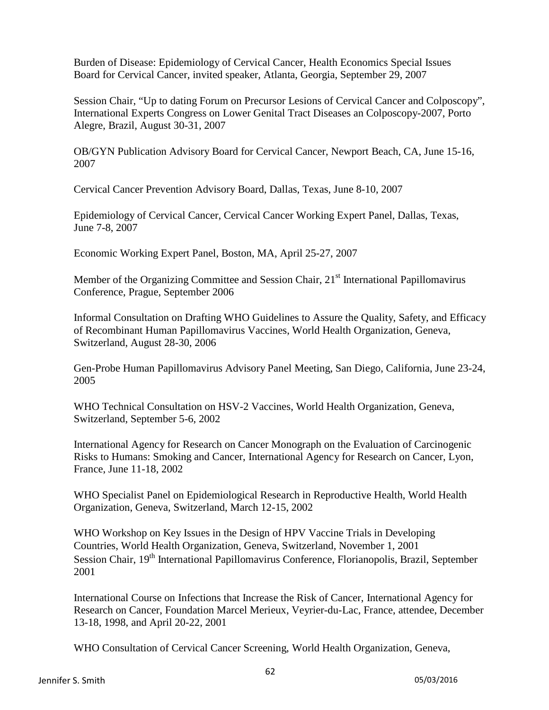Burden of Disease: Epidemiology of Cervical Cancer, Health Economics Special Issues Board for Cervical Cancer, invited speaker, Atlanta, Georgia, September 29, 2007

Session Chair, "Up to dating Forum on Precursor Lesions of Cervical Cancer and Colposcopy", International Experts Congress on Lower Genital Tract Diseases an Colposcopy-2007, Porto Alegre, Brazil, August 30-31, 2007

OB/GYN Publication Advisory Board for Cervical Cancer, Newport Beach, CA, June 15-16, 2007

Cervical Cancer Prevention Advisory Board, Dallas, Texas, June 8-10, 2007

Epidemiology of Cervical Cancer, Cervical Cancer Working Expert Panel, Dallas, Texas, June 7-8, 2007

Economic Working Expert Panel, Boston, MA, April 25-27, 2007

Member of the Organizing Committee and Session Chair, 21<sup>st</sup> International Papillomavirus Conference, Prague, September 2006

Informal Consultation on Drafting WHO Guidelines to Assure the Quality, Safety, and Efficacy of Recombinant Human Papillomavirus Vaccines, World Health Organization, Geneva, Switzerland, August 28-30, 2006

Gen-Probe Human Papillomavirus Advisory Panel Meeting, San Diego, California, June 23-24, 2005

WHO Technical Consultation on HSV-2 Vaccines, World Health Organization, Geneva, Switzerland, September 5-6, 2002

International Agency for Research on Cancer Monograph on the Evaluation of Carcinogenic Risks to Humans: Smoking and Cancer, International Agency for Research on Cancer, Lyon, France, June 11-18, 2002

WHO Specialist Panel on Epidemiological Research in Reproductive Health, World Health Organization, Geneva, Switzerland, March 12-15, 2002

WHO Workshop on Key Issues in the Design of HPV Vaccine Trials in Developing Countries, World Health Organization, Geneva, Switzerland, November 1, 2001 Session Chair, 19<sup>th</sup> International Papillomavirus Conference, Florianopolis, Brazil, September 2001

International Course on Infections that Increase the Risk of Cancer, International Agency for Research on Cancer, Foundation Marcel Merieux, Veyrier-du-Lac, France, attendee, December 13-18, 1998, and April 20-22, 2001

WHO Consultation of Cervical Cancer Screening, World Health Organization, Geneva,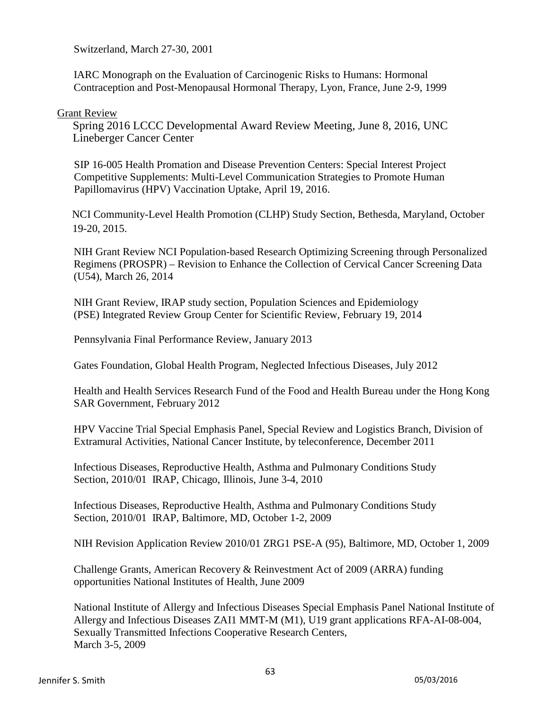Switzerland, March 27-30, 2001

IARC Monograph on the Evaluation of Carcinogenic Risks to Humans: Hormonal Contraception and Post-Menopausal Hormonal Therapy, Lyon, France, June 2-9, 1999

#### Grant Review

 Spring 2016 LCCC Developmental Award Review Meeting, June 8, 2016, UNC Lineberger Cancer Center

 SIP 16-005 Health Promation and Disease Prevention Centers: Special Interest Project Competitive Supplements: Multi-Level Communication Strategies to Promote Human Papillomavirus (HPV) Vaccination Uptake, April 19, 2016.

 NCI Community-Level Health Promotion (CLHP) Study Section, Bethesda, Maryland, October 19-20, 2015.

NIH Grant Review NCI Population-based Research Optimizing Screening through Personalized Regimens (PROSPR) – Revision to Enhance the Collection of Cervical Cancer Screening Data (U54), March 26, 2014

NIH Grant Review, IRAP study section, Population Sciences and Epidemiology (PSE) Integrated Review Group Center for Scientific Review, February 19, 2014

Pennsylvania Final Performance Review, January 2013

Gates Foundation, Global Health Program, Neglected Infectious Diseases, July 2012

Health and Health Services Research Fund of the Food and Health Bureau under the Hong Kong SAR Government, February 2012

HPV Vaccine Trial Special Emphasis Panel, Special Review and Logistics Branch, Division of Extramural Activities, National Cancer Institute, by teleconference, December 2011

Infectious Diseases, Reproductive Health, Asthma and Pulmonary Conditions Study Section, 2010/01 IRAP, Chicago, Illinois, June 3-4, 2010

Infectious Diseases, Reproductive Health, Asthma and Pulmonary Conditions Study Section, 2010/01 IRAP, Baltimore, MD, October 1-2, 2009

NIH Revision Application Review 2010/01 ZRG1 PSE-A (95), Baltimore, MD, October 1, 2009

Challenge Grants, American Recovery & Reinvestment Act of 2009 (ARRA) funding opportunities National Institutes of Health, June 2009

National Institute of Allergy and Infectious Diseases Special Emphasis Panel National Institute of Allergy and Infectious Diseases ZAI1 MMT-M (M1), U19 grant applications RFA-AI-08-004, Sexually Transmitted Infections Cooperative Research Centers, March 3-5, 2009